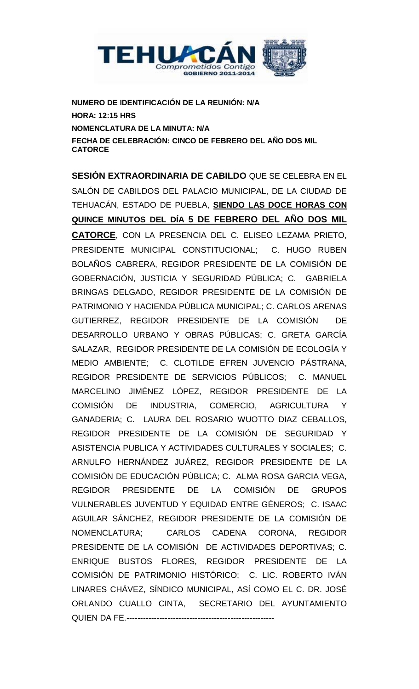

**NUMERO DE IDENTIFICACIÓN DE LA REUNIÓN: N/A HORA: 12:15 HRS NOMENCLATURA DE LA MINUTA: N/A FECHA DE CELEBRACIÓN: CINCO DE FEBRERO DEL AÑO DOS MIL CATORCE**

**SESIÓN EXTRAORDINARIA DE CABILDO** QUE SE CELEBRA EN EL SALÓN DE CABILDOS DEL PALACIO MUNICIPAL, DE LA CIUDAD DE TEHUACÁN, ESTADO DE PUEBLA, **SIENDO LAS DOCE HORAS CON QUINCE MINUTOS DEL DÍA 5 DE FEBRERO DEL AÑO DOS MIL CATORCE**, CON LA PRESENCIA DEL C. ELISEO LEZAMA PRIETO, PRESIDENTE MUNICIPAL CONSTITUCIONAL; C. HUGO RUBEN BOLAÑOS CABRERA, REGIDOR PRESIDENTE DE LA COMISIÓN DE GOBERNACIÓN, JUSTICIA Y SEGURIDAD PÚBLICA; C. GABRIELA BRINGAS DELGADO, REGIDOR PRESIDENTE DE LA COMISIÓN DE PATRIMONIO Y HACIENDA PÚBLICA MUNICIPAL; C. CARLOS ARENAS GUTIERREZ, REGIDOR PRESIDENTE DE LA COMISIÓN DE DESARROLLO URBANO Y OBRAS PÚBLICAS; C. GRETA GARCÍA SALAZAR, REGIDOR PRESIDENTE DE LA COMISIÓN DE ECOLOGÍA Y MEDIO AMBIENTE; C. CLOTILDE EFREN JUVENCIO PÁSTRANA, REGIDOR PRESIDENTE DE SERVICIOS PÚBLICOS; C. MANUEL MARCELINO JIMÉNEZ LÓPEZ, REGIDOR PRESIDENTE DE LA COMISIÓN DE INDUSTRIA, COMERCIO, AGRICULTURA Y GANADERIA; C. LAURA DEL ROSARIO WUOTTO DIAZ CEBALLOS, REGIDOR PRESIDENTE DE LA COMISIÓN DE SEGURIDAD Y ASISTENCIA PUBLICA Y ACTIVIDADES CULTURALES Y SOCIALES; C. ARNULFO HERNÁNDEZ JUÁREZ, REGIDOR PRESIDENTE DE LA COMISIÓN DE EDUCACIÓN PÚBLICA; C. ALMA ROSA GARCIA VEGA, REGIDOR PRESIDENTE DE LA COMISIÓN DE GRUPOS VULNERABLES JUVENTUD Y EQUIDAD ENTRE GÉNEROS; C. ISAAC AGUILAR SÁNCHEZ, REGIDOR PRESIDENTE DE LA COMISIÓN DE NOMENCLATURA; CARLOS CADENA CORONA, REGIDOR PRESIDENTE DE LA COMISIÓN DE ACTIVIDADES DEPORTIVAS; C. ENRIQUE BUSTOS FLORES, REGIDOR PRESIDENTE DE LA COMISIÓN DE PATRIMONIO HISTÓRICO; C. LIC. ROBERTO IVÁN LINARES CHÁVEZ, SÍNDICO MUNICIPAL, ASÍ COMO EL C. DR. JOSÉ ORLANDO CUALLO CINTA, SECRETARIO DEL AYUNTAMIENTO QUIEN DA FE.------------------------------------------------------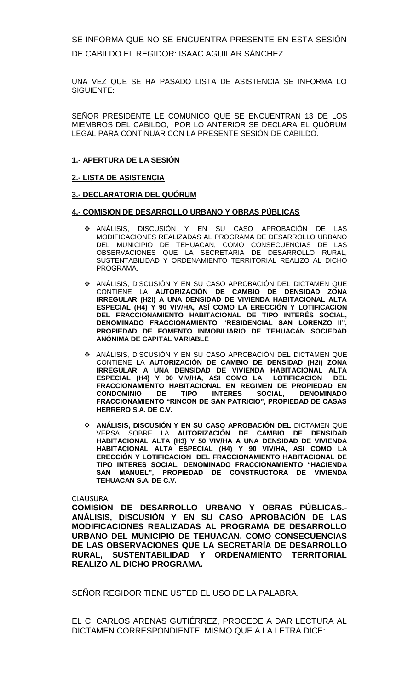SE INFORMA QUE NO SE ENCUENTRA PRESENTE EN ESTA SESIÓN DE CABILDO EL REGIDOR: ISAAC AGUILAR SÁNCHEZ.

UNA VEZ QUE SE HA PASADO LISTA DE ASISTENCIA SE INFORMA LO SIGUIENTE:

SEÑOR PRESIDENTE LE COMUNICO QUE SE ENCUENTRAN 13 DE LOS MIEMBROS DEL CABILDO, POR LO ANTERIOR SE DECLARA EL QUÓRUM LEGAL PARA CONTINUAR CON LA PRESENTE SESIÓN DE CABILDO.

#### **1.- APERTURA DE LA SESIÓN**

#### **2.- LISTA DE ASISTENCIA**

#### **3.- DECLARATORIA DEL QUÓRUM**

#### **4.- COMISION DE DESARROLLO URBANO Y OBRAS PÚBLICAS**

- ANÁLISIS, DISCUSIÓN Y EN SU CASO APROBACIÓN DE LAS MODIFICACIONES REALIZADAS AL PROGRAMA DE DESARROLLO URBANO DEL MUNICIPIO DE TEHUACAN, COMO CONSECUENCIAS DE LAS OBSERVACIONES QUE LA SECRETARIA DE DESARROLLO RURAL, SUSTENTABILIDAD Y ORDENAMIENTO TERRITORIAL REALIZO AL DICHO PROGRAMA.
- ANÁLISIS, DISCUSIÓN Y EN SU CASO APROBACIÓN DEL DICTAMEN QUE CONTIENE LA **AUTORIZACIÓN DE CAMBIO DE DENSIDAD ZONA IRREGULAR (H2I) A UNA DENSIDAD DE VIVIENDA HABITACIONAL ALTA ESPECIAL (H4) Y 90 VIV/HA, ASÍ COMO LA ERECCIÓN Y LOTIFICACION DEL FRACCIONAMIENTO HABITACIONAL DE TIPO INTERÉS SOCIAL, DENOMINADO FRACCIONAMIENTO "RESIDENCIAL SAN LORENZO II", PROPIEDAD DE FOMENTO INMOBILIARIO DE TEHUACÁN SOCIEDAD ANÓNIMA DE CAPITAL VARIABLE**
- ANÁLISIS, DISCUSIÓN Y EN SU CASO APROBACIÓN DEL DICTAMEN QUE CONTIENE LA **AUTORIZACIÓN DE CAMBIO DE DENSIDAD (H2i) ZONA IRREGULAR A UNA DENSIDAD DE VIVIENDA HABITACIONAL ALTA ESPECIAL (H4) Y 90 VIV/HA, ASI COMO LA LOTIFICACION DEL FRACCIONAMIENTO HABITACIONAL EN REGIMEN DE PROPIEDAD EN CONDOMINIO DE TIPO INTERES SOCIAL, DENOMINADO FRACCIONAMIENTO "RINCON DE SAN PATRICIO", PROPIEDAD DE CASAS HERRERO S.A. DE C.V.**
- **ANÁLISIS, DISCUSIÓN Y EN SU CASO APROBACIÓN DEL** DICTAMEN QUE VERSA SOBRE LA **AUTORIZACIÓN DE CAMBIO DE DENSIDAD HABITACIONAL ALTA (H3) Y 50 VIV/HA A UNA DENSIDAD DE VIVIENDA HABITACIONAL ALTA ESPECIAL (H4) Y 90 VIV/HA, ASI COMO LA ERECCIÓN Y LOTIFICACION DEL FRACCIONAMIENTO HABITACIONAL DE TIPO INTERES SOCIAL, DENOMINADO FRACCIONAMIENTO "HACIENDA SAN MANUEL", PROPIEDAD DE CONSTRUCTORA DE VIVIENDA TEHUACAN S.A. DE C.V.**

CLAUSURA.

**COMISION DE DESARROLLO URBANO Y OBRAS PÚBLICAS.- ANÁLISIS, DISCUSIÓN Y EN SU CASO APROBACIÓN DE LAS MODIFICACIONES REALIZADAS AL PROGRAMA DE DESARROLLO URBANO DEL MUNICIPIO DE TEHUACAN, COMO CONSECUENCIAS DE LAS OBSERVACIONES QUE LA SECRETARÍA DE DESARROLLO RURAL, SUSTENTABILIDAD Y ORDENAMIENTO TERRITORIAL REALIZO AL DICHO PROGRAMA.** 

SEÑOR REGIDOR TIENE USTED EL USO DE LA PALABRA.

EL C. CARLOS ARENAS GUTIÉRREZ, PROCEDE A DAR LECTURA AL DICTAMEN CORRESPONDIENTE, MISMO QUE A LA LETRA DICE: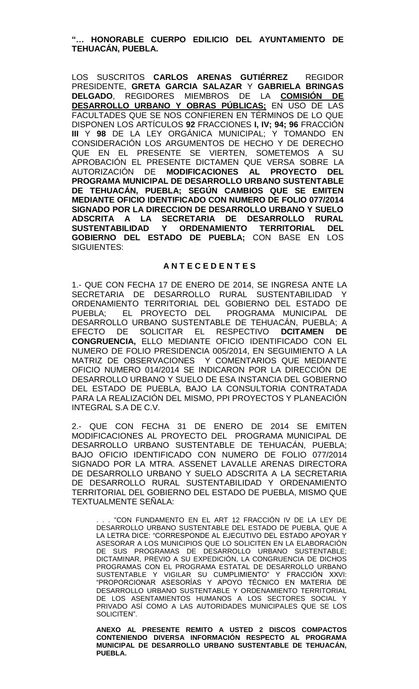# **"… HONORABLE CUERPO EDILICIO DEL AYUNTAMIENTO DE TEHUACÁN, PUEBLA.**

LOS SUSCRITOS **CARLOS ARENAS GUTIÉRREZ** REGIDOR PRESIDENTE, **GRETA GARCIA SALAZAR** Y **GABRIELA BRINGAS DELGADO**, REGIDORES MIEMBROS DE LA **COMISIÓN DE DESARROLLO URBANO Y OBRAS PÚBLICAS;** EN USO DE LAS FACULTADES QUE SE NOS CONFIEREN EN TÉRMINOS DE LO QUE DISPONEN LOS ARTÍCULOS **92** FRACCIONES **I, IV; 94; 96** FRACCIÓN **III** Y **98** DE LA LEY ORGÁNICA MUNICIPAL; Y TOMANDO EN CONSIDERACIÓN LOS ARGUMENTOS DE HECHO Y DE DERECHO QUE EN EL PRESENTE SE VIERTEN, SOMETEMOS A SU APROBACIÓN EL PRESENTE DICTAMEN QUE VERSA SOBRE LA AUTORIZACIÓN DE **MODIFICACIONES AL PROYECTO DEL PROGRAMA MUNICIPAL DE DESARROLLO URBANO SUSTENTABLE DE TEHUACÁN, PUEBLA; SEGÚN CAMBIOS QUE SE EMITEN MEDIANTE OFICIO IDENTIFICADO CON NUMERO DE FOLIO 077/2014 SIGNADO POR LA DIRECCION DE DESARROLLO URBANO Y SUELO ADSCRITA A LA SECRETARIA DE DESARROLLO RURAL SUSTENTABILIDAD Y ORDENAMIENTO TERRITORIAL DEL GOBIERNO DEL ESTADO DE PUEBLA;** CON BASE EN LOS SIGUIENTES:

#### **A N T E C E D E N T E S**

1.- QUE CON FECHA 17 DE ENERO DE 2014, SE INGRESA ANTE LA SECRETARIA DE DESARROLLO RURAL SUSTENTABILIDAD Y ORDENAMIENTO TERRITORIAL DEL GOBIERNO DEL ESTADO DE PUEBLA; EL PROYECTO DEL PROGRAMA MUNICIPAL DE DESARROLLO URBANO SUSTENTABLE DE TEHUACÁN, PUEBLA; A EFECTO DE SOLICITAR EL RESPECTIVO **DCITAMEN DE CONGRUENCIA,** ELLO MEDIANTE OFICIO IDENTIFICADO CON EL NUMERO DE FOLIO PRESIDENCIA 005/2014, EN SEGUIMIENTO A LA MATRIZ DE OBSERVACIONES Y COMENTARIOS QUE MEDIANTE OFICIO NUMERO 014/2014 SE INDICARON POR LA DIRECCIÓN DE DESARROLLO URBANO Y SUELO DE ESA INSTANCIA DEL GOBIERNO DEL ESTADO DE PUEBLA, BAJO LA CONSULTORIA CONTRATADA PARA LA REALIZACIÓN DEL MISMO, PPI PROYECTOS Y PLANEACIÓN INTEGRAL S.A DE C.V.

2.- QUE CON FECHA 31 DE ENERO DE 2014 SE EMITEN MODIFICACIONES AL PROYECTO DEL PROGRAMA MUNICIPAL DE DESARROLLO URBANO SUSTENTABLE DE TEHUACÁN, PUEBLA; BAJO OFICIO IDENTIFICADO CON NUMERO DE FOLIO 077/2014 SIGNADO POR LA MTRA. ASSENET LAVALLE ARENAS DIRECTORA DE DESARROLLO URBANO Y SUELO ADSCRITA A LA SECRETARIA DE DESARROLLO RURAL SUSTENTABILIDAD Y ORDENAMIENTO TERRITORIAL DEL GOBIERNO DEL ESTADO DE PUEBLA, MISMO QUE TEXTUALMENTE SEÑALA:

"CON FUNDAMENTO EN EL ART 12 FRACCIÓN IV DE LA LEY DE DESARROLLO URBANO SUSTENTABLE DEL ESTADO DE PUEBLA, QUE A LA LETRA DICE: "CORRESPONDE AL EJECUTIVO DEL ESTADO APOYAR Y ASESORAR A LOS MUNICIPIOS QUE LO SOLICITEN EN LA ELABORACIÓN DE SUS PROGRAMAS DE DESARROLLO URBANO SUSTENTABLE; DICTAMINAR, PREVIO A SU EXPEDICIÓN, LA CONGRUENCIA DE DICHOS PROGRAMAS CON EL PROGRAMA ESTATAL DE DESARROLLO URBANO SUSTENTABLE Y VIGILAR SU CUMPLIMIENTO" Y FRACCIÓN XXVI: "PROPORCIONAR ASESORÍAS Y APOYO TÉCNICO EN MATERIA DE DESARROLLO URBANO SUSTENTABLE Y ORDENAMIENTO TERRITORIAL DE LOS ASENTAMIENTOS HUMANOS A LOS SECTORES SOCIAL Y PRIVADO ASÍ COMO A LAS AUTORIDADES MUNICIPALES QUE SE LOS SOLICITEN".

**ANEXO AL PRESENTE REMITO A USTED 2 DISCOS COMPACTOS CONTENIENDO DIVERSA INFORMACIÓN RESPECTO AL PROGRAMA MUNICIPAL DE DESARROLLO URBANO SUSTENTABLE DE TEHUACÁN, PUERLA**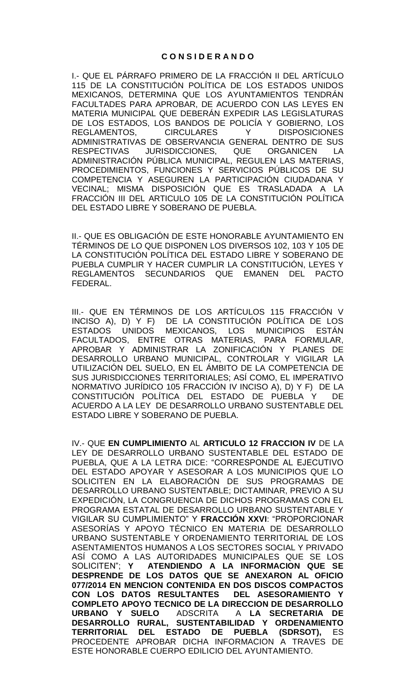# **C O N S I D E R A N D O**

I.- QUE EL PÁRRAFO PRIMERO DE LA FRACCIÓN II DEL ARTÍCULO 115 DE LA CONSTITUCIÓN POLÍTICA DE LOS ESTADOS UNIDOS MEXICANOS, DETERMINA QUE LOS AYUNTAMIENTOS TENDRÁN FACULTADES PARA APROBAR, DE ACUERDO CON LAS LEYES EN MATERIA MUNICIPAL QUE DEBERÁN EXPEDIR LAS LEGISLATURAS DE LOS ESTADOS, LOS BANDOS DE POLICÍA Y GOBIERNO, LOS REGLAMENTOS, CIRCULARES Y DISPOSICIONES ADMINISTRATIVAS DE OBSERVANCIA GENERAL DENTRO DE SUS RESPECTIVAS JURISDICCIONES, QUE ORGANICEN LA ADMINISTRACIÓN PÚBLICA MUNICIPAL, REGULEN LAS MATERIAS, PROCEDIMIENTOS, FUNCIONES Y SERVICIOS PÚBLICOS DE SU COMPETENCIA Y ASEGUREN LA PARTICIPACIÓN CIUDADANA Y VECINAL; MISMA DISPOSICIÓN QUE ES TRASLADADA A LA FRACCIÓN III DEL ARTICULO 105 DE LA CONSTITUCIÓN POLÍTICA DEL ESTADO LIBRE Y SOBERANO DE PUEBLA.

II.- QUE ES OBLIGACIÓN DE ESTE HONORABLE AYUNTAMIENTO EN TÉRMINOS DE LO QUE DISPONEN LOS DIVERSOS 102, 103 Y 105 DE LA CONSTITUCIÓN POLÍTICA DEL ESTADO LIBRE Y SOBERANO DE PUEBLA CUMPLIR Y HACER CUMPLIR LA CONSTITUCIÓN, LEYES Y REGLAMENTOS SECUNDARIOS QUE EMANEN DEL PACTO FEDERAL.

III.- QUE EN TÉRMINOS DE LOS ARTÍCULOS 115 FRACCIÓN V INCISO A), D) Y F) DE LA CONSTITUCIÓN POLÍTICA DE LOS ESTADOS UNIDOS MEXICANOS, LOS MUNICIPIOS ESTÁN FACULTADOS, ENTRE OTRAS MATERIAS, PARA FORMULAR, APROBAR Y ADMINISTRAR LA ZONIFICACIÓN Y PLANES DE DESARROLLO URBANO MUNICIPAL, CONTROLAR Y VIGILAR LA UTILIZACIÓN DEL SUELO, EN EL ÁMBITO DE LA COMPETENCIA DE SUS JURISDICCIONES TERRITORIALES; ASÍ COMO, EL IMPERATIVO NORMATIVO JURÍDICO 105 FRACCIÓN IV INCISO A), D) Y F) DE LA CONSTITUCIÓN POLÍTICA DEL ESTADO DE PUEBLA Y DE ACUERDO A LA LEY DE DESARROLLO URBANO SUSTENTABLE DEL ESTADO LIBRE Y SOBERANO DE PUEBLA.

IV.- QUE **EN CUMPLIMIENTO** AL **ARTICULO 12 FRACCION IV** DE LA LEY DE DESARROLLO URBANO SUSTENTABLE DEL ESTADO DE PUEBLA, QUE A LA LETRA DICE: "CORRESPONDE AL EJECUTIVO DEL ESTADO APOYAR Y ASESORAR A LOS MUNICIPIOS QUE LO SOLICITEN EN LA ELABORACIÓN DE SUS PROGRAMAS DE DESARROLLO URBANO SUSTENTABLE; DICTAMINAR, PREVIO A SU EXPEDICIÓN, LA CONGRUENCIA DE DICHOS PROGRAMAS CON EL PROGRAMA ESTATAL DE DESARROLLO URBANO SUSTENTABLE Y VIGILAR SU CUMPLIMIENTO" Y **FRACCIÓN XXVI**: "PROPORCIONAR ASESORÍAS Y APOYO TÉCNICO EN MATERIA DE DESARROLLO URBANO SUSTENTABLE Y ORDENAMIENTO TERRITORIAL DE LOS ASENTAMIENTOS HUMANOS A LOS SECTORES SOCIAL Y PRIVADO ASÍ COMO A LAS AUTORIDADES MUNICIPALES QUE SE LOS SOLICITEN"; **Y ATENDIENDO A LA INFORMACION QUE SE DESPRENDE DE LOS DATOS QUE SE ANEXARON AL OFICIO 077/2014 EN MENCION CONTENIDA EN DOS DISCOS COMPACTOS CON LOS DATOS RESULTANTES DEL ASESORAMIENTO Y COMPLETO APOYO TECNICO DE LA DIRECCION DE DESARROLLO URBANO Y SUELO** ADSCRITA A **LA SECRETARIA DE DESARROLLO RURAL, SUSTENTABILIDAD Y ORDENAMIENTO TERRITORIAL DEL ESTADO DE PUEBLA (SDRSOT),** ES PROCEDENTE APROBAR DICHA INFORMACION A TRAVES DE ESTE HONORABLE CUERPO EDILICIO DEL AYUNTAMIENTO.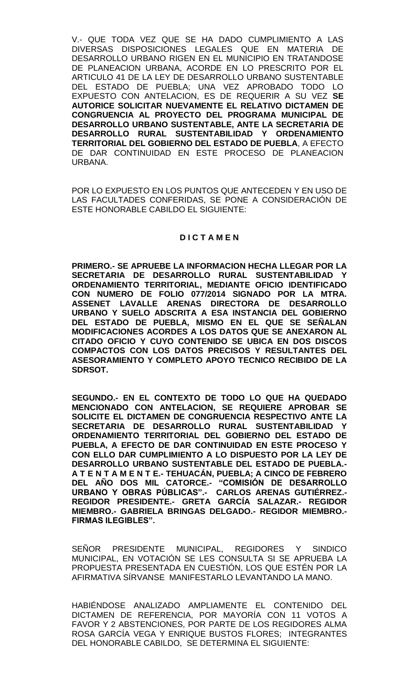V.- QUE TODA VEZ QUE SE HA DADO CUMPLIMIENTO A LAS DIVERSAS DISPOSICIONES LEGALES QUE EN MATERIA DE DESARROLLO URBANO RIGEN EN EL MUNICIPIO EN TRATANDOSE DE PLANEACION URBANA, ACORDE EN LO PRESCRITO POR EL ARTICULO 41 DE LA LEY DE DESARROLLO URBANO SUSTENTABLE DEL ESTADO DE PUEBLA; UNA VEZ APROBADO TODO LO EXPUESTO CON ANTELACION, ES DE REQUERIR A SU VEZ **SE AUTORICE SOLICITAR NUEVAMENTE EL RELATIVO DICTAMEN DE CONGRUENCIA AL PROYECTO DEL PROGRAMA MUNICIPAL DE DESARROLLO URBANO SUSTENTABLE, ANTE LA SECRETARIA DE DESARROLLO RURAL SUSTENTABILIDAD Y ORDENAMIENTO TERRITORIAL DEL GOBIERNO DEL ESTADO DE PUEBLA**, A EFECTO DE DAR CONTINUIDAD EN ESTE PROCESO DE PLANEACION URBANA.

POR LO EXPUESTO EN LOS PUNTOS QUE ANTECEDEN Y EN USO DE LAS FACULTADES CONFERIDAS, SE PONE A CONSIDERACIÓN DE ESTE HONORABLE CABILDO EL SIGUIENTE:

# **D I C T A M E N**

**PRIMERO.- SE APRUEBE LA INFORMACION HECHA LLEGAR POR LA**  SECRETARIA DE DESARROLLO RURAL SUSTENTABILIDAD **ORDENAMIENTO TERRITORIAL, MEDIANTE OFICIO IDENTIFICADO CON NUMERO DE FOLIO 077/2014 SIGNADO POR LA MTRA. ASSENET LAVALLE ARENAS DIRECTORA DE DESARROLLO URBANO Y SUELO ADSCRITA A ESA INSTANCIA DEL GOBIERNO DEL ESTADO DE PUEBLA, MISMO EN EL QUE SE SEÑALAN MODIFICACIONES ACORDES A LOS DATOS QUE SE ANEXARON AL CITADO OFICIO Y CUYO CONTENIDO SE UBICA EN DOS DISCOS COMPACTOS CON LOS DATOS PRECISOS Y RESULTANTES DEL ASESORAMIENTO Y COMPLETO APOYO TECNICO RECIBIDO DE LA SDRSOT.** 

**SEGUNDO.- EN EL CONTEXTO DE TODO LO QUE HA QUEDADO MENCIONADO CON ANTELACION, SE REQUIERE APROBAR SE SOLICITE EL DICTAMEN DE CONGRUENCIA RESPECTIVO ANTE LA SECRETARIA DE DESARROLLO RURAL SUSTENTABILIDAD Y ORDENAMIENTO TERRITORIAL DEL GOBIERNO DEL ESTADO DE PUEBLA, A EFECTO DE DAR CONTINUIDAD EN ESTE PROCESO Y CON ELLO DAR CUMPLIMIENTO A LO DISPUESTO POR LA LEY DE DESARROLLO URBANO SUSTENTABLE DEL ESTADO DE PUEBLA.- A T E N T A M E N T E.- TEHUACÁN, PUEBLA; A CINCO DE FEBRERO DEL AÑO DOS MIL CATORCE.- "COMISIÓN DE DESARROLLO URBANO Y OBRAS PÚBLICAS".- CARLOS ARENAS GUTIÉRREZ.- REGIDOR PRESIDENTE.- GRETA GARCÍA SALAZAR.- REGIDOR MIEMBRO.- GABRIELA BRINGAS DELGADO.- REGIDOR MIEMBRO.- FIRMAS ILEGIBLES".**

SEÑOR PRESIDENTE MUNICIPAL, REGIDORES Y SINDICO MUNICIPAL, EN VOTACIÓN SE LES CONSULTA SI SE APRUEBA LA PROPUESTA PRESENTADA EN CUESTIÓN, LOS QUE ESTÉN POR LA AFIRMATIVA SÍRVANSE MANIFESTARLO LEVANTANDO LA MANO.

HABIÉNDOSE ANALIZADO AMPLIAMENTE EL CONTENIDO DEL DICTAMEN DE REFERENCIA, POR MAYORÍA CON 11 VOTOS A FAVOR Y 2 ABSTENCIONES, POR PARTE DE LOS REGIDORES ALMA ROSA GARCÍA VEGA Y ENRIQUE BUSTOS FLORES; INTEGRANTES DEL HONORABLE CABILDO, SE DETERMINA EL SIGUIENTE: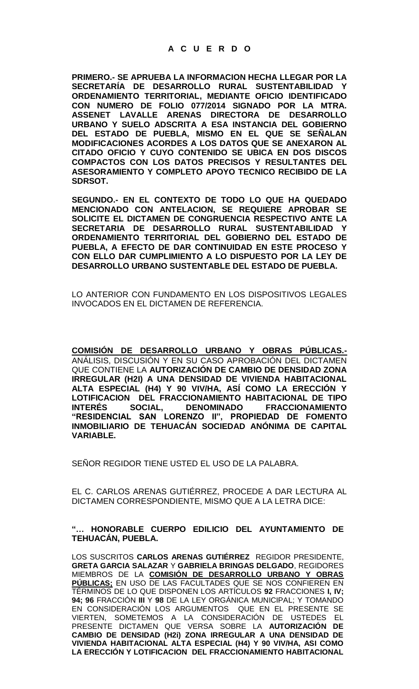**PRIMERO.- SE APRUEBA LA INFORMACION HECHA LLEGAR POR LA SECRETARÍA DE DESARROLLO RURAL SUSTENTABILIDAD Y ORDENAMIENTO TERRITORIAL, MEDIANTE OFICIO IDENTIFICADO CON NUMERO DE FOLIO 077/2014 SIGNADO POR LA MTRA. ASSENET LAVALLE ARENAS DIRECTORA DE DESARROLLO URBANO Y SUELO ADSCRITA A ESA INSTANCIA DEL GOBIERNO DEL ESTADO DE PUEBLA, MISMO EN EL QUE SE SEÑALAN MODIFICACIONES ACORDES A LOS DATOS QUE SE ANEXARON AL CITADO OFICIO Y CUYO CONTENIDO SE UBICA EN DOS DISCOS COMPACTOS CON LOS DATOS PRECISOS Y RESULTANTES DEL ASESORAMIENTO Y COMPLETO APOYO TECNICO RECIBIDO DE LA SDRSOT.** 

**SEGUNDO.- EN EL CONTEXTO DE TODO LO QUE HA QUEDADO MENCIONADO CON ANTELACION, SE REQUIERE APROBAR SE SOLICITE EL DICTAMEN DE CONGRUENCIA RESPECTIVO ANTE LA SECRETARIA DE DESARROLLO RURAL SUSTENTABILIDAD Y ORDENAMIENTO TERRITORIAL DEL GOBIERNO DEL ESTADO DE PUEBLA, A EFECTO DE DAR CONTINUIDAD EN ESTE PROCESO Y CON ELLO DAR CUMPLIMIENTO A LO DISPUESTO POR LA LEY DE DESARROLLO URBANO SUSTENTABLE DEL ESTADO DE PUEBLA.**

LO ANTERIOR CON FUNDAMENTO EN LOS DISPOSITIVOS LEGALES INVOCADOS EN EL DICTAMEN DE REFERENCIA.

**COMISIÓN DE DESARROLLO URBANO Y OBRAS PÚBLICAS.-** ANÁLISIS, DISCUSIÓN Y EN SU CASO APROBACIÓN DEL DICTAMEN QUE CONTIENE LA **AUTORIZACIÓN DE CAMBIO DE DENSIDAD ZONA IRREGULAR (H2I) A UNA DENSIDAD DE VIVIENDA HABITACIONAL ALTA ESPECIAL (H4) Y 90 VIV/HA, ASÍ COMO LA ERECCIÓN Y LOTIFICACION DEL FRACCIONAMIENTO HABITACIONAL DE TIPO INTERÉS SOCIAL, DENOMINADO FRACCIONAMIENTO "RESIDENCIAL SAN LORENZO II", PROPIEDAD DE FOMENTO INMOBILIARIO DE TEHUACÁN SOCIEDAD ANÓNIMA DE CAPITAL VARIABLE.**

SEÑOR REGIDOR TIENE USTED EL USO DE LA PALABRA.

EL C. CARLOS ARENAS GUTIÉRREZ, PROCEDE A DAR LECTURA AL DICTAMEN CORRESPONDIENTE, MISMO QUE A LA LETRA DICE:

### **"… HONORABLE CUERPO EDILICIO DEL AYUNTAMIENTO DE TEHUACÁN, PUEBLA.**

LOS SUSCRITOS **CARLOS ARENAS GUTIÉRREZ** REGIDOR PRESIDENTE, **GRETA GARCIA SALAZAR** Y **GABRIELA BRINGAS DELGADO**, REGIDORES MIEMBROS DE LA **COMISIÓN DE DESARROLLO URBANO Y OBRAS PÚBLICAS;** EN USO DE LAS FACULTADES QUE SE NOS CONFIEREN EN TÉRMINOS DE LO QUE DISPONEN LOS ARTÍCULOS **92** FRACCIONES **I, IV; 94; 96** FRACCIÓN **III** Y **98** DE LA LEY ORGÁNICA MUNICIPAL; Y TOMANDO EN CONSIDERACIÓN LOS ARGUMENTOS QUE EN EL PRESENTE SE VIERTEN, SOMETEMOS A LA CONSIDERACIÓN DE USTEDES EL PRESENTE DICTAMEN QUE VERSA SOBRE LA **AUTORIZACIÓN DE CAMBIO DE DENSIDAD (H2i) ZONA IRREGULAR A UNA DENSIDAD DE VIVIENDA HABITACIONAL ALTA ESPECIAL (H4) Y 90 VIV/HA, ASI COMO LA ERECCIÓN Y LOTIFICACION DEL FRACCIONAMIENTO HABITACIONAL**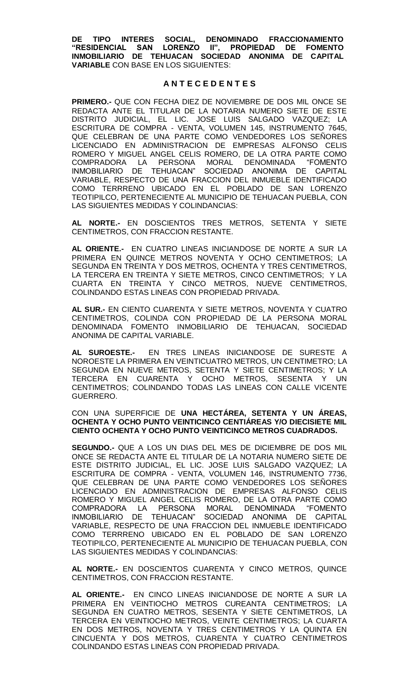**DE TIPO INTERES SOCIAL, DENOMINADO FRACCIONAMIENTO "RESIDENCIAL SAN LORENZO II", PROPIEDAD DE FOMENTO INMOBILIARIO DE TEHUACAN SOCIEDAD ANONIMA DE CAPITAL VARIABLE** CON BASE EN LOS SIGUIENTES:

### **A N T E C E D E N T E S**

**PRIMERO.-** QUE CON FECHA DIEZ DE NOVIEMBRE DE DOS MIL ONCE SE REDACTA ANTE EL TITULAR DE LA NOTARIA NUMERO SIETE DE ESTE DISTRITO JUDICIAL, EL LIC. JOSE LUIS SALGADO VAZQUEZ; LA ESCRITURA DE COMPRA - VENTA, VOLUMEN 145, INSTRUMENTO 7645, QUE CELEBRAN DE UNA PARTE COMO VENDEDORES LOS SEÑORES LICENCIADO EN ADMINISTRACION DE EMPRESAS ALFONSO CELIS ROMERO Y MIGUEL ANGEL CELIS ROMERO, DE LA OTRA PARTE COMO COMPRADORA LA PERSONA MORAL DENOMINADA "FOMENTO INMOBILIARIO DE TEHUACAN" SOCIEDAD ANONIMA DE CAPITAL VARIABLE, RESPECTO DE UNA FRACCION DEL INMUEBLE IDENTIFICADO COMO TERRRENO UBICADO EN EL POBLADO DE SAN LORENZO TEOTIPILCO, PERTENECIENTE AL MUNICIPIO DE TEHUACAN PUEBLA, CON LAS SIGUIENTES MEDIDAS Y COLINDANCIAS:

**AL NORTE.-** EN DOSCIENTOS TRES METROS, SETENTA Y SIETE CENTIMETROS, CON FRACCION RESTANTE.

**AL ORIENTE.-** EN CUATRO LINEAS INICIANDOSE DE NORTE A SUR LA PRIMERA EN QUINCE METROS NOVENTA Y OCHO CENTIMETROS; LA SEGUNDA EN TREINTA Y DOS METROS, OCHENTA Y TRES CENTIMETROS, LA TERCERA EN TREINTA Y SIETE METROS, CINCO CENTIMETROS; Y LA CUARTA EN TREINTA Y CINCO METROS, NUEVE CENTIMETROS, COLINDANDO ESTAS LINEAS CON PROPIEDAD PRIVADA.

**AL SUR.-** EN CIENTO CUARENTA Y SIETE METROS, NOVENTA Y CUATRO CENTIMETROS, COLINDA CON PROPIEDAD DE LA PERSONA MORAL DENOMINADA FOMENTO INMOBILIARIO DE TEHUACAN, SOCIEDAD ANONIMA DE CAPITAL VARIABLE.

**AL SUROESTE.-** EN TRES LINEAS INICIANDOSE DE SURESTE A NOROESTE LA PRIMERA EN VEINTICUATRO METROS, UN CENTIMETRO; LA SEGUNDA EN NUEVE METROS, SETENTA Y SIETE CENTIMETROS; Y LA TERCERA EN CUARENTA Y OCHO METROS, SESENTA Y UN CENTIMETROS; COLINDANDO TODAS LAS LINEAS CON CALLE VICENTE GUERRERO.

CON UNA SUPERFICIE DE **UNA HECTÁREA, SETENTA Y UN ÁREAS, OCHENTA Y OCHO PUNTO VEINTICINCO CENTIÁREAS Y/O DIECISIETE MIL CIENTO OCHENTA Y OCHO PUNTO VEINTICINCO METROS CUADRADOS.** 

**SEGUNDO.-** QUE A LOS UN DIAS DEL MES DE DICIEMBRE DE DOS MIL ONCE SE REDACTA ANTE EL TITULAR DE LA NOTARIA NUMERO SIETE DE ESTE DISTRITO JUDICIAL, EL LIC. JOSE LUIS SALGADO VAZQUEZ; LA ESCRITURA DE COMPRA - VENTA, VOLUMEN 146, INSTRUMENTO 7736, QUE CELEBRAN DE UNA PARTE COMO VENDEDORES LOS SEÑORES LICENCIADO EN ADMINISTRACION DE EMPRESAS ALFONSO CELIS ROMERO Y MIGUEL ANGEL CELIS ROMERO, DE LA OTRA PARTE COMO COMPRADORA LA PERSONA MORAL DENOMINADA "FOMENTO INMOBILIARIO DE TEHUACAN" SOCIEDAD ANONIMA DE CAPITAL VARIABLE, RESPECTO DE UNA FRACCION DEL INMUEBLE IDENTIFICADO COMO TERRRENO UBICADO EN EL POBLADO DE SAN LORENZO TEOTIPILCO, PERTENECIENTE AL MUNICIPIO DE TEHUACAN PUEBLA, CON LAS SIGUIENTES MEDIDAS Y COLINDANCIAS:

**AL NORTE.-** EN DOSCIENTOS CUARENTA Y CINCO METROS, QUINCE CENTIMETROS, CON FRACCION RESTANTE.

**AL ORIENTE.-** EN CINCO LINEAS INICIANDOSE DE NORTE A SUR LA PRIMERA EN VEINTIOCHO METROS CUREANTA CENTIMETROS; LA SEGUNDA EN CUATRO METROS, SESENTA Y SIETE CENTIMETROS, LA TERCERA EN VEINTIOCHO METROS, VEINTE CENTIMETROS; LA CUARTA EN DOS METROS, NOVENTA Y TRES CENTIMETROS Y LA QUINTA EN CINCUENTA Y DOS METROS, CUARENTA Y CUATRO CENTIMETROS COLINDANDO ESTAS LINEAS CON PROPIEDAD PRIVADA.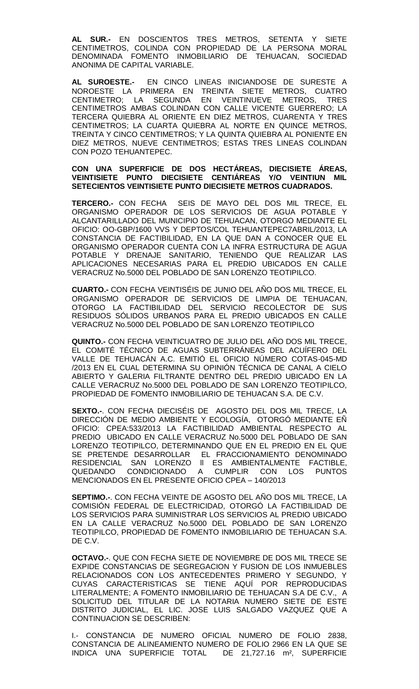**AL SUR.-** EN DOSCIENTOS TRES METROS, SETENTA Y SIETE CENTIMETROS, COLINDA CON PROPIEDAD DE LA PERSONA MORAL DENOMINADA FOMENTO INMOBILIARIO DE TEHUACAN, SOCIEDAD ANONIMA DE CAPITAL VARIABLE.

**AL SUROESTE.-** EN CINCO LINEAS INICIANDOSE DE SURESTE A NOROESTE LA PRIMERA EN TREINTA SIETE METROS, CUATRO CENTIMETRO; LA SEGUNDA EN VEINTINUEVE METROS, TRES CENTIMETROS AMBAS COLINDAN CON CALLE VICENTE GUERRERO; LA TERCERA QUIEBRA AL ORIENTE EN DIEZ METROS, CUARENTA Y TRES CENTIMETROS; LA CUARTA QUIEBRA AL NORTE EN QUINCE METROS, TREINTA Y CINCO CENTIMETROS; Y LA QUINTA QUIEBRA AL PONIENTE EN DIEZ METROS, NUEVE CENTIMETROS; ESTAS TRES LINEAS COLINDAN CON POZO TEHUANTEPEC.

#### **CON UNA SUPERFICIE DE DOS HECTÁREAS, DIECISIETE ÁREAS, VEINTISIETE PUNTO DIECISIETE CENTIÁREAS Y/O VEINTIUN MIL SETECIENTOS VEINTISIETE PUNTO DIECISIETE METROS CUADRADOS.**

**TERCERO.-** CON FECHA SEIS DE MAYO DEL DOS MIL TRECE, EL ORGANISMO OPERADOR DE LOS SERVICIOS DE AGUA POTABLE Y ALCANTARILLADO DEL MUNICIPIO DE TEHUACAN, OTORGO MEDIANTE EL OFICIO: OO-GBP/1600 VVS Y DEPTOS/COL TEHUANTEPEC7ABRIL/2013, LA CONSTANCIA DE FACTIBILIDAD, EN LA QUE DAN A CONOCER QUE EL ORGANISMO OPERADOR CUENTA CON LA INFRA ESTRUCTURA DE AGUA POTABLE Y DRENAJE SANITARIO, TENIENDO QUE REALIZAR LAS APLICACIONES NECESARIAS PARA EL PREDIO UBICADOS EN CALLE VERACRUZ No.5000 DEL POBLADO DE SAN LORENZO TEOTIPILCO.

**CUARTO.-** CON FECHA VEINTISÉIS DE JUNIO DEL AÑO DOS MIL TRECE, EL ORGANISMO OPERADOR DE SERVICIOS DE LIMPIA DE TEHUACAN, OTORGO LA FACTIBILIDAD DEL SERVICIO RECOLECTOR DE SUS RESIDUOS SÓLIDOS URBANOS PARA EL PREDIO UBICADOS EN CALLE VERACRUZ No.5000 DEL POBLADO DE SAN LORENZO TEOTIPILCO

**QUINTO.-** CON FECHA VEINTICUATRO DE JULIO DEL AÑO DOS MIL TRECE, EL COMITÉ TÉCNICO DE AGUAS SUBTERRÁNEAS DEL ACUÍFERO DEL VALLE DE TEHUACÁN A.C. EMITIÓ EL OFICIO NÚMERO COTAS-045-MD /2013 EN EL CUAL DETERMINA SU OPINIÓN TÉCNICA DE CANAL A CIELO ABIERTO Y GALERIA FILTRANTE DENTRO DEL PREDIO UBICADO EN LA CALLE VERACRUZ No.5000 DEL POBLADO DE SAN LORENZO TEOTIPILCO, PROPIEDAD DE FOMENTO INMOBILIARIO DE TEHUACAN S.A. DE C.V.

**SEXTO.-**. CON FECHA DIECISÉIS DE AGOSTO DEL DOS MIL TRECE, LA DIRECCIÓN DE MEDIO AMBIENTE Y ECOLOGÍA, OTORGÓ MEDIANTE EÑ OFICIO: CPEA:533/2013 LA FACTIBILIDAD AMBIENTAL RESPECTO AL PREDIO UBICADO EN CALLE VERACRUZ No.5000 DEL POBLADO DE SAN LORENZO TEOTIPILCO, DETERMINANDO QUE EN EL PREDIO EN EL QUE SE PRETENDE DESARROLLAR EL FRACCIONAMIENTO DENOMINADO RESIDENCIAL SAN LORENZO ll ES AMBIENTALMENTE FACTIBLE, QUEDANDO CONDICIONADO A CUMPLIR CON LOS PUNTOS MENCIONADOS EN EL PRESENTE OFICIO CPEA – 140/2013

**SEPTIMO.-**. CON FECHA VEINTE DE AGOSTO DEL AÑO DOS MIL TRECE, LA COMISIÓN FEDERAL DE ELECTRICIDAD, OTORGÓ LA FACTIBILIDAD DE LOS SERVICIOS PARA SUMINISTRAR LOS SERVICIOS AL PREDIO UBICADO EN LA CALLE VERACRUZ No.5000 DEL POBLADO DE SAN LORENZO TEOTIPILCO, PROPIEDAD DE FOMENTO INMOBILIARIO DE TEHUACAN S.A. DE C.V.

**OCTAVO.-**. QUE CON FECHA SIETE DE NOVIEMBRE DE DOS MIL TRECE SE EXPIDE CONSTANCIAS DE SEGREGACION Y FUSION DE LOS INMUEBLES RELACIONADOS CON LOS ANTECEDENTES PRIMERO Y SEGUNDO, Y CUYAS CARACTERISTICAS SE TIENE AQUÍ POR REPRODUCIDAS LITERALMENTE; A FOMENTO INMOBILIARIO DE TEHUACAN S.A DE C.V., A SOLICITUD DEL TITULAR DE LA NOTARIA NUMERO SIETE DE ESTE DISTRITO JUDICIAL, EL LIC. JOSE LUIS SALGADO VAZQUEZ QUE A CONTINUACION SE DESCRIBEN:

I.- CONSTANCIA DE NUMERO OFICIAL NUMERO DE FOLIO 2838, CONSTANCIA DE ALINEAMIENTO NUMERO DE FOLIO 2966 EN LA QUE SE INDICA UNA SUPERFICIE TOTAL DE 21,727.16 m², SUPERFICIE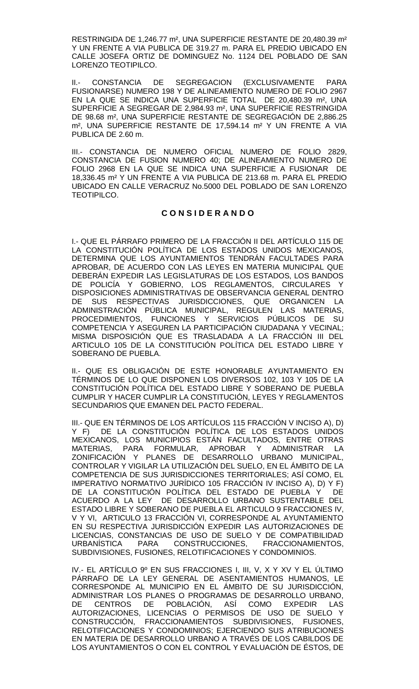RESTRINGIDA DE 1,246.77 m², UNA SUPERFICIE RESTANTE DE 20,480.39 m² Y UN FRENTE A VIA PUBLICA DE 319.27 m. PARA EL PREDIO UBICADO EN CALLE JOSEFA ORTIZ DE DOMINGUEZ No. 1124 DEL POBLADO DE SAN LORENZO TEOTIPILCO.

II.- CONSTANCIA DE SEGREGACION (EXCLUSIVAMENTE PARA FUSIONARSE) NUMERO 198 Y DE ALINEAMIENTO NUMERO DE FOLIO 2967 EN LA QUE SE INDICA UNA SUPERFICIE TOTAL DE 20,480.39 m², UNA SUPERFICIE A SEGREGAR DE 2,984.93 m², UNA SUPERFICIE RESTRINGIDA DE 98.68 m², UNA SUPERFICIE RESTANTE DE SEGREGACIÓN DE 2,886.25 m², UNA SUPERFICIE RESTANTE DE 17,594.14 m² Y UN FRENTE A VIA PUBLICA DE 2.60 m.

III.- CONSTANCIA DE NUMERO OFICIAL NUMERO DE FOLIO 2829, CONSTANCIA DE FUSION NUMERO 40; DE ALINEAMIENTO NUMERO DE FOLIO 2968 EN LA QUE SE INDICA UNA SUPERFICIE A FUSIONAR DE 18,336.45 m² Y UN FRENTE A VIA PUBLICA DE 213.68 m. PARA EL PREDIO UBICADO EN CALLE VERACRUZ No.5000 DEL POBLADO DE SAN LORENZO TEOTIPILCO.

## **C O N S I D E R A N D O**

I.- QUE EL PÁRRAFO PRIMERO DE LA FRACCIÓN II DEL ARTÍCULO 115 DE LA CONSTITUCIÓN POLÍTICA DE LOS ESTADOS UNIDOS MEXICANOS, DETERMINA QUE LOS AYUNTAMIENTOS TENDRÁN FACULTADES PARA APROBAR, DE ACUERDO CON LAS LEYES EN MATERIA MUNICIPAL QUE DEBERÁN EXPEDIR LAS LEGISLATURAS DE LOS ESTADOS, LOS BANDOS DE POLICÍA Y GOBIERNO, LOS REGLAMENTOS, CIRCULARES DISPOSICIONES ADMINISTRATIVAS DE OBSERVANCIA GENERAL DENTRO DE SUS RESPECTIVAS JURISDICCIONES, QUE ORGANICEN LA ADMINISTRACIÓN PÚBLICA MUNICIPAL, REGULEN LAS MATERIAS, PROCEDIMIENTOS, FUNCIONES Y SERVICIOS PÚBLICOS DE SU COMPETENCIA Y ASEGUREN LA PARTICIPACIÓN CIUDADANA Y VECINAL; MISMA DISPOSICIÓN QUE ES TRASLADADA A LA FRACCIÓN III DEL ARTICULO 105 DE LA CONSTITUCIÓN POLÍTICA DEL ESTADO LIBRE Y SOBERANO DE PUEBLA.

II.- QUE ES OBLIGACIÓN DE ESTE HONORABLE AYUNTAMIENTO EN TÉRMINOS DE LO QUE DISPONEN LOS DIVERSOS 102, 103 Y 105 DE LA CONSTITUCIÓN POLÍTICA DEL ESTADO LIBRE Y SOBERANO DE PUEBLA CUMPLIR Y HACER CUMPLIR LA CONSTITUCIÓN, LEYES Y REGLAMENTOS SECUNDARIOS QUE EMANEN DEL PACTO FEDERAL.

III.- QUE EN TÉRMINOS DE LOS ARTÍCULOS 115 FRACCIÓN V INCISO A), D) Y F) DE LA CONSTITUCIÓN POLÍTICA DE LOS ESTADOS UNIDOS MEXICANOS, LOS MUNICIPIOS ESTÁN FACULTADOS, ENTRE OTRAS MATERIAS, PARA FORMULAR, APROBAR Y ADMINISTRAR LA ZONIFICACIÓN Y PLANES DE DESARROLLO URBANO MUNICIPAL, CONTROLAR Y VIGILAR LA UTILIZACIÓN DEL SUELO, EN EL ÁMBITO DE LA COMPETENCIA DE SUS JURISDICCIONES TERRITORIALES; ASÍ COMO, EL IMPERATIVO NORMATIVO JURÍDICO 105 FRACCIÓN IV INCISO A), D) Y F) DE LA CONSTITUCIÓN POLÍTICA DEL ESTADO DE PUEBLA Y DE ACUERDO A LA LEY DE DESARROLLO URBANO SUSTENTABLE DEL ESTADO LIBRE Y SOBERANO DE PUEBLA EL ARTICULO 9 FRACCIONES IV, V Y VI, ARTICULO 13 FRACCIÓN VI, CORRESPONDE AL AYUNTAMIENTO EN SU RESPECTIVA JURISDICCIÓN EXPEDIR LAS AUTORIZACIONES DE LICENCIAS, CONSTANCIAS DE USO DE SUELO Y DE COMPATIBILIDAD URBANÍSTICA PARA CONSTRUCCIONES, FRACCIONAMIENTOS, SUBDIVISIONES, FUSIONES, RELOTIFICACIONES Y CONDOMINIOS.

IV.- EL ARTÍCULO 9º EN SUS FRACCIONES I, III, V, X Y XV Y EL ÚLTIMO PÁRRAFO DE LA LEY GENERAL DE ASENTAMIENTOS HUMANOS, LE CORRESPONDE AL MUNICIPIO EN EL ÁMBITO DE SU JURISDICCIÓN, ADMINISTRAR LOS PLANES O PROGRAMAS DE DESARROLLO URBANO, DE CENTROS DE POBLACIÓN, ASÍ COMO EXPEDIR LAS AUTORIZACIONES, LICENCIAS O PERMISOS DE USO DE SUELO Y CONSTRUCCIÓN, FRACCIONAMIENTOS SUBDIVISIONES, FUSIONES, RELOTIFICACIONES Y CONDOMINIOS; EJERCIENDO SUS ATRIBUCIONES EN MATERIA DE DESARROLLO URBANO A TRAVÉS DE LOS CABILDOS DE LOS AYUNTAMIENTOS O CON EL CONTROL Y EVALUACIÓN DE ÉSTOS, DE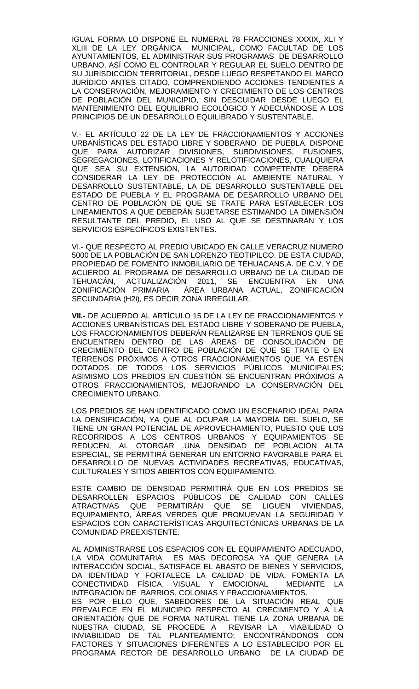IGUAL FORMA LO DISPONE EL NUMERAL 78 FRACCIONES XXXIX, XLI Y XLIII DE LA LEY ORGÁNICA MUNICIPAL, COMO FACULTAD DE LOS AYUNTAMIENTOS, EL ADMINISTRAR SUS PROGRAMAS DE DESARROLLO URBANO, ASÍ COMO EL CONTROLAR Y REGULAR EL SUELO DENTRO DE SU JURISDICCIÓN TERRITORIAL, DESDE LUEGO RESPETANDO EL MARCO JURÍDICO ANTES CITADO, COMPRENDIENDO ACCIONES TENDIENTES A LA CONSERVACIÓN, MEJORAMIENTO Y CRECIMIENTO DE LOS CENTROS DE POBLACIÓN DEL MUNICIPIO, SIN DESCUIDAR DESDE LUEGO EL MANTENIMIENTO DEL EQUILIBRIO ECOLÓGICO Y ADECUÁNDOSE A LOS PRINCIPIOS DE UN DESARROLLO EQUILIBRADO Y SUSTENTABLE.

V.- EL ARTÍCULO 22 DE LA LEY DE FRACCIONAMIENTOS Y ACCIONES URBANÍSTICAS DEL ESTADO LIBRE Y SOBERANO DE PUEBLA, DISPONE QUE PARA AUTORIZAR DIVISIONES, SUBDIVISIONES, FUSIONES, SEGREGACIONES, LOTIFICACIONES Y RELOTIFICACIONES, CUALQUIERA QUE SEA SU EXTENSIÓN, LA AUTORIDAD COMPETENTE DEBERÁ CONSIDERAR LA LEY DE PROTECCIÓN AL AMBIENTE NATURAL Y DESARROLLO SUSTENTABLE, LA DE DESARROLLO SUSTENTABLE DEL ESTADO DE PUEBLA Y EL PROGRAMA DE DESARROLLO URBANO DEL CENTRO DE POBLACIÓN DE QUE SE TRATE PARA ESTABLECER LOS LINEAMIENTOS A QUE DEBERÁN SUJETARSE ESTIMANDO LA DIMENSIÓN RESULTANTE DEL PREDIO, EL USO AL QUE SE DESTINARAN Y LOS SERVICIOS ESPECÍFICOS EXISTENTES.

VI.- QUE RESPECTO AL PREDIO UBICADO EN CALLE VERACRUZ NUMERO 5000 DE LA POBLACIÓN DE SAN LORENZO TEOTIPILCO. DE ESTA CIUDAD, PROPIEDAD DE FOMENTO INMOBILIARIO DE TEHUACANS.A. DE C.V. Y DE ACUERDO AL PROGRAMA DE DESARROLLO URBANO DE LA CIUDAD DE TEHUACÁN, ACTUALIZACIÓN 2011, SE ENCUENTRA EN UNA ZONIFICACIÓN PRIMARIA ÁREA URBANA ACTUAL, ZONIFICACIÓN SECUNDARIA (H2i), ES DECIR ZONA IRREGULAR.

**VII.-** DE ACUERDO AL ARTÍCULO 15 DE LA LEY DE FRACCIONAMIENTOS Y ACCIONES URBANÍSTICAS DEL ESTADO LIBRE Y SOBERANO DE PUEBLA, LOS FRACCIONAMIENTOS DEBERÁN REALIZARSE EN TERRENOS QUE SE ENCUENTREN DENTRO DE LAS ÁREAS DE CONSOLIDACIÓN DE CRECIMIENTO DEL CENTRO DE POBLACIÓN DE QUE SE TRATE O EN TERRENOS PRÓXIMOS A OTROS FRACCIONAMIENTOS QUE YA ESTÉN DOTADOS DE TODOS LOS SERVICIOS PÚBLICOS MUNICIPALES; ASIMISMO LOS PREDIOS EN CUESTIÓN SE ENCUENTRAN PRÓXIMOS A OTROS FRACCIONAMIENTOS, MEJORANDO LA CONSERVACIÓN DEL CRECIMIENTO URBANO.

LOS PREDIOS SE HAN IDENTIFICADO COMO UN ESCENARIO IDEAL PARA LA DENSIFICACIÓN, YA QUE AL OCUPAR LA MAYORÍA DEL SUELO, SE TIENE UN GRAN POTENCIAL DE APROVECHAMIENTO, PUESTO QUE LOS RECORRIDOS A LOS CENTROS URBANOS Y EQUIPAMIENTOS SE REDUCEN, AL OTORGAR .UNA DENSIDAD DE POBLACIÓN ALTA ESPECIAL, SE PERMITIRÁ GENERAR UN ENTORNO FAVORABLE PARA EL DESARROLLO DE NUEVAS ACTIVIDADES RECREATIVAS, EDUCATIVAS, CULTURALES Y SITIOS ABIERTOS CON EQUIPAMIENTO.

ESTE CAMBIO DE DENSIDAD PERMITIRÁ QUE EN LOS PREDIOS SE DESARROLLEN ESPACIOS PÚBLICOS DE CALIDAD CON CALLES<br>ATRACTIVAS QUE PERMITIRÁN QUE SE LIGUEN VIVIENDAS. ATRACTIVAS QUE PERMITIRÁN QUE SE LIGUEN EQUIPAMIENTO, ÁREAS VERDES QUE PROMUEVAN LA SEGURIDAD Y ESPACIOS CON CARACTERÍSTICAS ARQUITECTÓNICAS URBANAS DE LA COMUNIDAD PREEXISTENTE.

AL ADMINISTRARSE LOS ESPACIOS CON EL EQUIPAMIENTO ADECUADO, LA VIDA COMUNITARIA ES MAS DECOROSA YA QUE GENERA LA INTERACCIÓN SOCIAL, SATISFACE EL ABASTO DE BIENES Y SERVICIOS, DA IDENTIDAD Y FORTALECE LA CALIDAD DE VIDA, FOMENTA LA CONECTIVIDAD FÍSICA, VISUAL Y EMOCIONAL MEDIANTE LA INTEGRACIÓN DE BARRIOS, COLONIAS Y FRACCIONAMIENTOS. ES POR ELLO QUE, SABEDORES DE LA SITUACIÓN REAL QUE PREVALECE EN EL MUNICIPIO RESPECTO AL CRECIMIENTO Y A LA ORIENTACIÓN QUE DE FORMA NATURAL TIENE LA ZONA URBANA DE NUESTRA CIUDAD, SE PROCEDE A REVISAR LA VIABILIDAD O INVIABILIDAD DE TAL PLANTEAMIENTO; ENCONTRÁNDONOS CON FACTORES Y SITUACIONES DIFERENTES A LO ESTABLECIDO POR EL PROGRAMA RECTOR DE DESARROLLO URBANO DE LA CIUDAD DE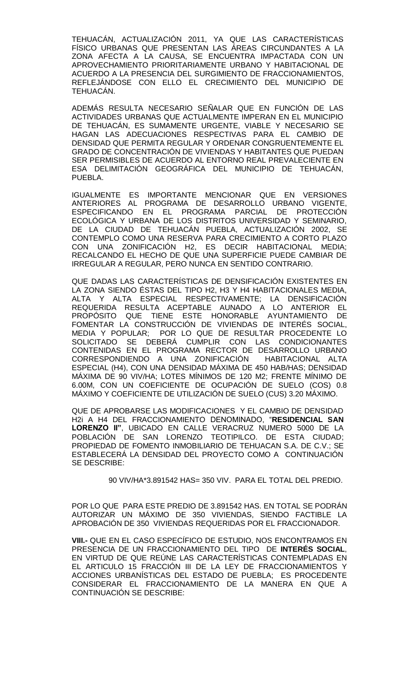TEHUACÁN, ACTUALIZACIÓN 2011, YA QUE LAS CARACTERÍSTICAS FÍSICO URBANAS QUE PRESENTAN LAS ÁREAS CIRCUNDANTES A LA ZONA AFECTA A LA CAUSA, SE ENCUENTRA IMPACTADA CON UN APROVECHAMIENTO PRIORITARIAMENTE URBANO Y HABITACIONAL DE ACUERDO A LA PRESENCIA DEL SURGIMIENTO DE FRACCIONAMIENTOS, REFLEJÁNDOSE CON ELLO EL CRECIMIENTO DEL MUNICIPIO DE TEHUACÁN.

ADEMÁS RESULTA NECESARIO SEÑALAR QUE EN FUNCIÓN DE LAS ACTIVIDADES URBANAS QUE ACTUALMENTE IMPERAN EN EL MUNICIPIO DE TEHUACÁN, ES SUMAMENTE URGENTE, VIABLE Y NECESARIO SE HAGAN LAS ADECUACIONES RESPECTIVAS PARA EL CAMBIO DE DENSIDAD QUE PERMITA REGULAR Y ORDENAR CONGRUENTEMENTE EL GRADO DE CONCENTRACIÓN DE VIVIENDAS Y HABITANTES QUE PUEDAN SER PERMISIBLES DE ACUERDO AL ENTORNO REAL PREVALECIENTE EN ESA DELIMITACIÓN GEOGRÁFICA DEL MUNICIPIO DE TEHUACÁN, PUEBLA.

IGUALMENTE ES IMPORTANTE MENCIONAR QUE EN VERSIONES ANTERIORES AL PROGRAMA DE DESARROLLO URBANO VIGENTE, ESPECIFICANDO EN EL PROGRAMA PARCIAL DE PROTECCIÓN ECOLÓGICA Y URBANA DE LOS DISTRITOS UNIVERSIDAD Y SEMINARIO, DE LA CIUDAD DE TEHUACÁN PUEBLA, ACTUALIZACIÓN 2002, SE CONTEMPLO COMO UNA RESERVA PARA CRECIMIENTO A CORTO PLAZO CON UNA ZONIFICACIÓN H2, ES DECIR HABITACIONAL MEDIA; RECALCANDO EL HECHO DE QUE UNA SUPERFICIE PUEDE CAMBIAR DE IRREGULAR A REGULAR, PERO NUNCA EN SENTIDO CONTRARIO.

QUE DADAS LAS CARACTERÍSTICAS DE DENSIFICACIÓN EXISTENTES EN LA ZONA SIENDO ÉSTAS DEL TIPO H2, H3 Y H4 HABITACIONALES MEDIA, ALTA Y ALTA ESPECIAL RESPECTIVAMENTE; LA DENSIFICACIÓN REQUERIDA RESULTA ACEPTABLE AUNADO A LO ANTERIOR EL PROPÓSITO QUE TIENE ESTE HONORABLE AYUNTAMIENTO DE FOMENTAR LA CONSTRUCCIÓN DE VIVIENDAS DE INTERÉS SOCIAL, MEDIA Y POPULAR; POR LO QUE DE RESULTAR PROCEDENTE LO SOLICITADO SE DEBERÁ CUMPLIR CON LAS CONDICIONANTES CONTENIDAS EN EL PROGRAMA RECTOR DE DESARROLLO URBANO<br>CORRESPONDIENDO A UNA ZONIFICACIÓN HABITACIONAL ALTA CORRESPONDIENDO A UNA ZONIFICACIÓN ESPECIAL (H4), CON UNA DENSIDAD MÁXIMA DE 450 HAB/HAS; DENSIDAD MÁXIMA DE 90 VIV/HA; LOTES MÍNIMOS DE 120 M2; FRENTE MÍNIMO DE 6.00M, CON UN COEFICIENTE DE OCUPACIÓN DE SUELO (COS) 0.8 MÁXIMO Y COEFICIENTE DE UTILIZACIÓN DE SUELO (CUS) 3.20 MÁXIMO.

QUE DE APROBARSE LAS MODIFICACIONES Y EL CAMBIO DE DENSIDAD H2i A H4 DEL FRACCIONAMIENTO DENOMINADO, "**RESIDENCIAL SAN LORENZO II"**, UBICADO EN CALLE VERACRUZ NUMERO 5000 DE LA POBLACIÓN DE SAN LORENZO TEOTIPILCO. DE ESTA CIUDAD; PROPIEDAD DE FOMENTO INMOBILIARIO DE TEHUACAN S.A. DE C.V.; SE ESTABLECERÁ LA DENSIDAD DEL PROYECTO COMO A CONTINUACIÓN SE DESCRIBE:

90 VIV/HA\*3.891542 HAS= 350 VIV. PARA EL TOTAL DEL PREDIO.

POR LO QUE PARA ESTE PREDIO DE 3.891542 HAS. EN TOTAL SE PODRÁN AUTORIZAR UN MÁXIMO DE 350 VIVIENDAS, SIENDO FACTIBLE LA APROBACIÓN DE 350 VIVIENDAS REQUERIDAS POR EL FRACCIONADOR.

**VIII.-** QUE EN EL CASO ESPECÍFICO DE ESTUDIO, NOS ENCONTRAMOS EN PRESENCIA DE UN FRACCIONAMIENTO DEL TIPO DE **INTERÉS SOCIAL**, EN VIRTUD DE QUE REÚNE LAS CARACTERÍSTICAS CONTEMPLADAS EN EL ARTICULO 15 FRACCIÓN III DE LA LEY DE FRACCIONAMIENTOS Y ACCIONES URBANÍSTICAS DEL ESTADO DE PUEBLA; ES PROCEDENTE CONSIDERAR EL FRACCIONAMIENTO DE LA MANERA EN QUE A CONTINUACIÓN SE DESCRIBE: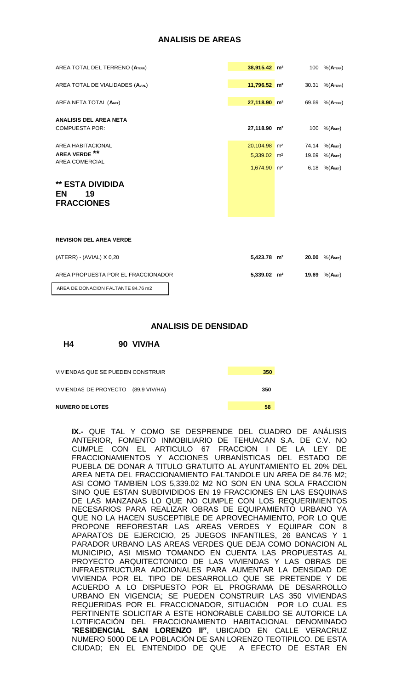## **ANALISIS DE AREAS**

| AREA TOTAL DEL TERRENO (ATERR)                           | $38,915.42$ m <sup>2</sup> | 100 % (Атеrr)       |
|----------------------------------------------------------|----------------------------|---------------------|
| AREA TOTAL DE VIALIDADES (AVIAL)                         | $11,796.52$ m <sup>2</sup> | 30.31 % (ATERR)     |
| AREA NETA TOTAL (ANET)                                   | $27,118.90$ m <sup>2</sup> | 69.69 % (ATERR)     |
| <b>ANALISIS DEL AREA NETA</b><br><b>COMPUESTA POR:</b>   | 27,118.90 m <sup>2</sup>   | 100 % (ANET)        |
| <b>AREA HABITACIONAL</b>                                 | $20,104.98$ m <sup>2</sup> | 74.14 % (Амет)      |
| AREA VERDE **<br><b>AREA COMERCIAL</b>                   | $5,339.02$ m <sup>2</sup>  | 19.69 % (ANET)      |
|                                                          | $1,674.90$ m <sup>2</sup>  | 6.18 $% (A_{NET})$  |
| <b>** ESTA DIVIDIDA</b><br>19<br>EN<br><b>FRACCIONES</b> |                            |                     |
| <b>REVISION DEL AREA VERDE</b>                           |                            |                     |
| (ATERR) - (AVIAL) X 0,20                                 | 5,423.78 m <sup>2</sup>    | 20.00 % $(A_{NET})$ |
| AREA PROPUESTA POR EL FRACCIONADOR                       | 5,339.02 m <sup>2</sup>    | 19.69 % (ANET)      |
| AREA DE DONACION FALTANTE 84.76 m2                       |                            |                     |

#### **ANALISIS DE DENSIDAD**

**H4 90 VIV/HA**

| <b>NUMERO DE LOTES</b>              | 58  |  |
|-------------------------------------|-----|--|
| VIVIENDAS DE PROYECTO (89.9 VIV/HA) | 350 |  |
| VIVIENDAS QUE SE PUEDEN CONSTRUIR   | 350 |  |

**IX.-** QUE TAL Y COMO SE DESPRENDE DEL CUADRO DE ANÁLISIS ANTERIOR, FOMENTO INMOBILIARIO DE TEHUACAN S.A. DE C.V. NO CUMPLE CON EL ARTICULO 67 FRACCION I DE LA LEY DE FRACCIONAMIENTOS Y ACCIONES URBANÍSTICAS DEL ESTADO DE PUEBLA DE DONAR A TITULO GRATUITO AL AYUNTAMIENTO EL 20% DEL AREA NETA DEL FRACCIONAMIENTO FALTANDOLE UN AREA DE 84.76 M2; ASI COMO TAMBIEN LOS 5,339.02 M2 NO SON EN UNA SOLA FRACCION SINO QUE ESTAN SUBDIVIDIDOS EN 19 FRACCIONES EN LAS ESQUINAS DE LAS MANZANAS LO QUE NO CUMPLE CON LOS REQUERIMIENTOS NECESARIOS PARA REALIZAR OBRAS DE EQUIPAMIENTO URBANO YA QUE NO LA HACEN SUSCEPTIBLE DE APROVECHAMIENTO, POR LO QUE PROPONE REFORESTAR LAS AREAS VERDES Y EQUIPAR CON 8 APARATOS DE EJERCICIO, 25 JUEGOS INFANTILES, 26 BANCAS Y 1 PARADOR URBANO LAS AREAS VERDES QUE DEJA COMO DONACION AL MUNICIPIO, ASI MISMO TOMANDO EN CUENTA LAS PROPUESTAS AL PROYECTO ARQUITECTONICO DE LAS VIVIENDAS Y LAS OBRAS DE INFRAESTRUCTURA ADICIONALES PARA AUMENTAR LA DENSIDAD DE VIVIENDA POR EL TIPO DE DESARROLLO QUE SE PRETENDE Y DE ACUERDO A LO DISPUESTO POR EL PROGRAMA DE DESARROLLO URBANO EN VIGENCIA; SE PUEDEN CONSTRUIR LAS 350 VIVIENDAS REQUERIDAS POR EL FRACCIONADOR, SITUACIÓN POR LO CUAL ES PERTINENTE SOLICITAR A ESTE HONORABLE CABILDO SE AUTORICE LA LOTIFICACIÓN DEL FRACCIONAMIENTO HABITACIONAL DENOMINADO "**RESIDENCIAL SAN LORENZO II"**, UBICADO EN CALLE VERACRUZ NUMERO 5000 DE LA POBLACIÓN DE SAN LORENZO TEOTIPILCO. DE ESTA CIUDAD; EN EL ENTENDIDO DE QUE A EFECTO DE ESTAR EN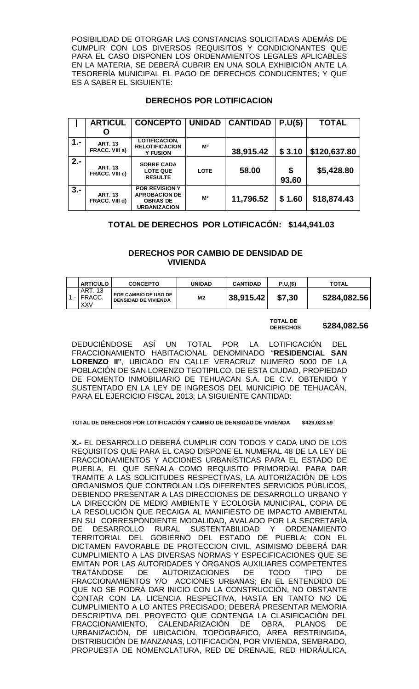POSIBILIDAD DE OTORGAR LAS CONSTANCIAS SOLICITADAS ADEMÁS DE CUMPLIR CON LOS DIVERSOS REQUISITOS Y CONDICIONANTES QUE PARA EL CASO DISPONEN LOS ORDENAMIENTOS LEGALES APLICABLES EN LA MATERIA, SE DEBERÁ CUBRIR EN UNA SOLA EXHIBICIÓN ANTE LA TESORERÍA MUNICIPAL EL PAGO DE DERECHOS CONDUCENTES; Y QUE ES A SABER EL SIGUIENTE:

# **DERECHOS POR LOTIFICACION**

|       | <b>ARTICUL</b>                          | <b>CONCEPTO</b>                                                                         | <b>UNIDAD</b>  | <b>CANTIDAD</b> | P.U(S)      | <b>TOTAL</b> |
|-------|-----------------------------------------|-----------------------------------------------------------------------------------------|----------------|-----------------|-------------|--------------|
|       |                                         |                                                                                         |                |                 |             |              |
| $1 -$ | <b>ART. 13</b><br>FRACC. VIII a)        | LOTIFICACIÓN,<br><b>RELOTIFICACION</b><br><b>Y FUSION</b>                               | M <sup>2</sup> | 38,915.42       | \$3.10      | \$120,637.80 |
| $2 -$ | <b>ART. 13</b><br><b>FRACC. VIII c)</b> | <b>SOBRE CADA</b><br><b>LOTE QUE</b><br><b>RESULTE</b>                                  | <b>LOTE</b>    | 58.00           | \$<br>93.60 | \$5,428.80   |
| $3 -$ | <b>ART. 13</b><br><b>FRACC. VIII d)</b> | <b>POR REVISION Y</b><br><b>APROBACION DE</b><br><b>OBRAS DE</b><br><b>URBANIZACION</b> | M <sup>2</sup> | 11,796.52       | \$1.60      | \$18,874.43  |

# **TOTAL DE DERECHOS POR LOTIFICACÓN: \$144,941.03**

# **DERECHOS POR CAMBIO DE DENSIDAD DE VIVIENDA**

| <b>ARTICULO</b>                       | <b>CONCEPTO</b>                                            | <b>UNIDAD</b> | <b>CANTIDAD</b> | P.U,(\$) | <b>TOTAL</b> |
|---------------------------------------|------------------------------------------------------------|---------------|-----------------|----------|--------------|
| ART. 13<br>$1 -$ FRACC.<br><b>XXV</b> | <b>POR CAMBIO DE USO DE</b><br><b>DENSIDAD DE VIVIENDA</b> | M2            | 38,915.42       | \$7,30   | \$284,082.56 |

#### **TOTAL DE DERECHOS \$284,082.56**

DEDUCIÉNDOSE ASÍ UN TOTAL POR LA LOTIFICACIÓN DEL FRACCIONAMIENTO HABITACIONAL DENOMINADO "**RESIDENCIAL SAN LORENZO II"**, UBICADO EN CALLE VERACRUZ NUMERO 5000 DE LA POBLACIÓN DE SAN LORENZO TEOTIPILCO. DE ESTA CIUDAD, PROPIEDAD DE FOMENTO INMOBILIARIO DE TEHUACAN S.A. DE C.V. OBTENIDO Y SUSTENTADO EN LA LEY DE INGRESOS DEL MUNICIPIO DE TEHUACÁN, PARA EL EJERCICIO FISCAL 2013; LA SIGUIENTE CANTIDAD:

#### **TOTAL DE DERECHOS POR LOTIFICACIÓN Y CAMBIO DE DENSIDAD DE VIVIENDA \$429,023.59**

**X.-** EL DESARROLLO DEBERÁ CUMPLIR CON TODOS Y CADA UNO DE LOS REQUISITOS QUE PARA EL CASO DISPONE EL NUMERAL 48 DE LA LEY DE FRACCIONAMIENTOS Y ACCIONES URBANÍSTICAS PARA EL ESTADO DE PUEBLA, EL QUE SEÑALA COMO REQUISITO PRIMORDIAL PARA DAR TRAMITE A LAS SOLICITUDES RESPECTIVAS, LA AUTORIZACIÓN DE LOS ORGANISMOS QUE CONTROLAN LOS DIFERENTES SERVICIOS PÚBLICOS, DEBIENDO PRESENTAR A LAS DIRECCIONES DE DESARROLLO URBANO Y LA DIRECCIÓN DE MEDIO AMBIENTE Y ECOLOGÍA MUNICIPAL, COPIA DE LA RESOLUCIÓN QUE RECAIGA AL MANIFIESTO DE IMPACTO AMBIENTAL EN SU CORRESPONDIENTE MODALIDAD, AVALADO POR LA SECRETARÍA DE DESARROLLO RURAL SUSTENTABILIDAD Y ORDENAMIENTO TERRITORIAL DEL GOBIERNO DEL ESTADO DE PUEBLA; CON EL DICTAMEN FAVORABLE DE PROTECCION CIVIL, ASIMISMO DEBERÁ DAR CUMPLIMIENTO A LAS DIVERSAS NORMAS Y ESPECIFICACIONES QUE SE EMITAN POR LAS AUTORIDADES Y ÓRGANOS AUXILIARES COMPETENTES TRATÁNDOSE DE AUTORIZACIONES DE TODO TIPO DE FRACCIONAMIENTOS Y/O ACCIONES URBANAS; EN EL ENTENDIDO DE QUE NO SE PODRÁ DAR INICIO CON LA CONSTRUCCIÓN, NO OBSTANTE CONTAR CON LA LICENCIA RESPECTIVA, HASTA EN TANTO NO DE CUMPLIMIENTO A LO ANTES PRECISADO; DEBERÁ PRESENTAR MEMORIA DESCRIPTIVA DEL PROYECTO QUE CONTENGA LA CLASIFICACIÓN DEL FRACCIONAMIENTO, CALENDARIZACIÓN DE OBRA, PLANOS DE URBANIZACIÓN, DE UBICACIÓN, TOPOGRÁFICO, ÁREA RESTRINGIDA, DISTRIBUCIÓN DE MANZANAS, LOTIFICACIÓN, POR VIVIENDA, SEMBRADO, PROPUESTA DE NOMENCLATURA, RED DE DRENAJE, RED HIDRÁULICA,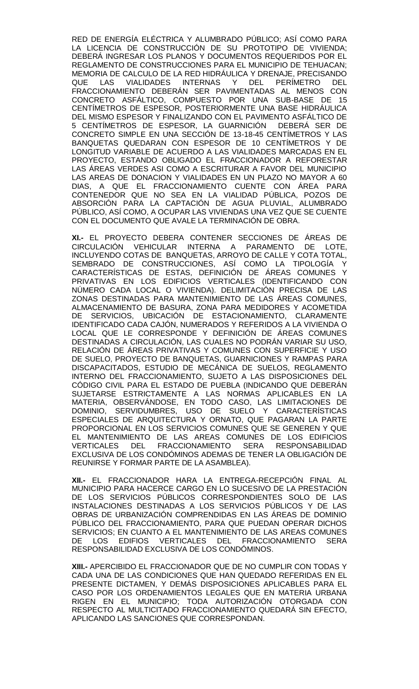RED DE ENERGÍA ELÉCTRICA Y ALUMBRADO PÚBLICO; ASÍ COMO PARA LA LICENCIA DE CONSTRUCCIÓN DE SU PROTOTIPO DE VIVIENDA; DEBERÁ INGRESAR LOS PLANOS Y DOCUMENTOS REQUERIDOS POR EL REGLAMENTO DE CONSTRUCCIONES PARA EL MUNICIPIO DE TEHUACAN; MEMORIA DE CALCULO DE LA RED HIDRÁULICA Y DRENAJE, PRECISANDO<br>QUE LAS VIALIDADES INTERNAS Y DEL PERÍMETRO DEL QUE LAS VIALIDADES INTERNAS Y DEL PERÍMETRO DEL FRACCIONAMIENTO DEBERÁN SER PAVIMENTADAS AL MENOS CON CONCRETO ASFÁLTICO, COMPUESTO POR UNA SUB-BASE DE 15 CENTÍMETROS DE ESPESOR, POSTERIORMENTE UNA BASE HIDRÁULICA DEL MISMO ESPESOR Y FINALIZANDO CON EL PAVIMENTO ASFÁLTICO DE 5 CENTÍMETROS DE ESPESOR, LA GUARNICIÓN DEBERÁ SER DE CONCRETO SIMPLE EN UNA SECCIÓN DE 13-18-45 CENTÍMETROS Y LAS BANQUETAS QUEDARAN CON ESPESOR DE 10 CENTÍMETROS Y DE LONGITUD VARIABLE DE ACUERDO A LAS VIALIDADES MARCADAS EN EL PROYECTO, ESTANDO OBLIGADO EL FRACCIONADOR A REFORESTAR LAS ÁREAS VERDES ASI COMO A ESCRITURAR A FAVOR DEL MUNICIPIO LAS AREAS DE DONACION Y VIALIDADES EN UN PLAZO NO MAYOR A 60 DIAS, A QUE EL FRACCIONAMIENTO CUENTE CON ÁREA PARA CONTENEDOR QUE NO SEA EN LA VIALIDAD PÚBLICA, POZOS DE ABSORCIÓN PARA LA CAPTACIÓN DE AGUA PLUVIAL, ALUMBRADO PÚBLICO, ASÍ COMO, A OCUPAR LAS VIVIENDAS UNA VEZ QUE SE CUENTE CON EL DOCUMENTO QUE AVALE LA TERMINACIÓN DE OBRA.

**XI.-** EL PROYECTO DEBERA CONTENER SECCIONES DE ÁREAS DE CIRCULACIÓN VEHICULAR INTERNA A PARAMENTO DE LOTE, INCLUYENDO COTAS DE BANQUETAS, ARROYO DE CALLE Y COTA TOTAL, SEMBRADO DE CONSTRUCCIONES, ASÍ COMO LA TIPOLOGÍA Y CARACTERÍSTICAS DE ESTAS, DEFINICIÓN DE ÁREAS COMUNES Y PRIVATIVAS EN LOS EDIFICIOS VERTICALES (IDENTIFICANDO CON NÚMERO CADA LOCAL O VIVIENDA). DELIMITACIÓN PRECISA DE LAS ZONAS DESTINADAS PARA MANTENIMIENTO DE LAS ÁREAS COMUNES, ALMACENAMIENTO DE BASURA, ZONA PARA MEDIDORES Y ACOMETIDA DE SERVICIOS, UBICACIÓN DE ESTACIONAMIENTO, CLARAMENTE IDENTIFICADO CADA CAJÓN, NUMERADOS Y REFERIDOS A LA VIVIENDA O LOCAL QUE LE CORRESPONDE Y DEFINICIÓN DE ÁREAS COMUNES DESTINADAS A CIRCULACIÓN, LAS CUALES NO PODRÁN VARIAR SU USO, RELACIÓN DE ÁREAS PRIVATIVAS Y COMUNES CON SUPERFICIE Y USO DE SUELO, PROYECTO DE BANQUETAS, GUARNICIONES Y RAMPAS PARA DISCAPACITADOS, ESTUDIO DE MECÁNICA DE SUELOS, REGLAMENTO INTERNO DEL FRACCIONAMIENTO, SUJETO A LAS DISPOSICIONES DEL CÓDIGO CIVIL PARA EL ESTADO DE PUEBLA (INDICANDO QUE DEBERÁN SUJETARSE ESTRICTAMENTE A LAS NORMAS APLICABLES EN LA MATERIA, OBSERVÁNDOSE, EN TODO CASO, LAS LIMITACIONES DE DOMINIO, SERVIDUMBRES, USO DE SUELO Y CARACTERÍSTICAS ESPECIALES DE ARQUITECTURA Y ORNATO, QUE PAGARAN LA PARTE PROPORCIONAL EN LOS SERVICIOS COMUNES QUE SE GENEREN Y QUE EL MANTENIMIENTO DE LAS AREAS COMUNES DE LOS EDIFICIOS VERTICALES DEL FRACCIONAMIENTO SERA RESPONSABILIDAD EXCLUSIVA DE LOS CONDÓMINOS ADEMAS DE TENER LA OBLIGACIÓN DE REUNIRSE Y FORMAR PARTE DE LA ASAMBLEA).

**XII.-** EL FRACCIONADOR HARA LA ENTREGA-RECEPCIÓN FINAL AL MUNICIPIO PARA HACERCE CARGO EN LO SUCESIVO DE LA PRESTACIÓN DE LOS SERVICIOS PÚBLICOS CORRESPONDIENTES SOLO DE LAS INSTALACIONES DESTINADAS A LOS SERVICIOS PÚBLICOS Y DE LAS OBRAS DE URBANIZACIÓN COMPRENDIDAS EN LAS ÁREAS DE DOMINIO PÚBLICO DEL FRACCIONAMIENTO, PARA QUE PUEDAN OPERAR DICHOS SERVICIOS; EN CUANTO A EL MANTENIMIENTO DE LAS AREAS COMUNES DE LOS EDIFIOS VERTICALES DEL FRACCIONAMIENTO SERA RESPONSABILIDAD EXCLUSIVA DE LOS CONDÓMINOS.

**XIII.-** APERCIBIDO EL FRACCIONADOR QUE DE NO CUMPLIR CON TODAS Y CADA UNA DE LAS CONDICIONES QUE HAN QUEDADO REFERIDAS EN EL PRESENTE DICTAMEN, Y DEMÁS DISPOSICIONES APLICABLES PARA EL CASO POR LOS ORDENAMIENTOS LEGALES QUE EN MATERIA URBANA RIGEN EN EL MUNICIPIO; TODA AUTORIZACIÓN OTORGADA CON RESPECTO AL MULTICITADO FRACCIONAMIENTO QUEDARÁ SIN EFECTO, APLICANDO LAS SANCIONES QUE CORRESPONDAN.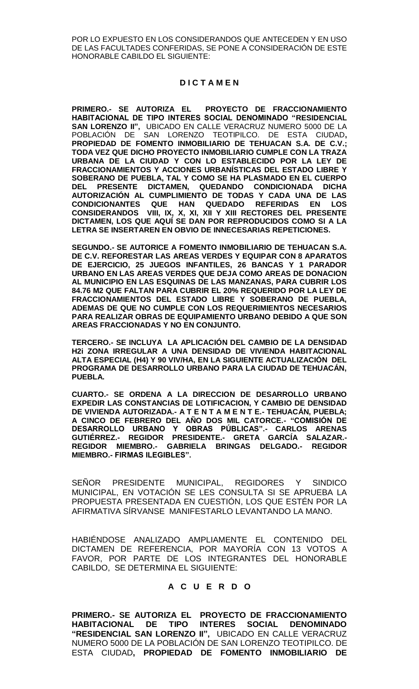POR LO EXPUESTO EN LOS CONSIDERANDOS QUE ANTECEDEN Y EN USO DE LAS FACULTADES CONFERIDAS, SE PONE A CONSIDERACIÓN DE ESTE HONORABLE CABILDO EL SIGUIENTE:

# **D I C T A M E N**

**PRIMERO.- SE AUTORIZA EL PROYECTO DE FRACCIONAMIENTO HABITACIONAL DE TIPO INTERES SOCIAL DENOMINADO "RESIDENCIAL SAN LORENZO II",** UBICADO EN CALLE VERACRUZ NUMERO 5000 DE LA POBLACIÓN DE SAN LORENZO TEOTIPILCO. DE ESTA CIUDAD**, PROPIEDAD DE FOMENTO INMOBILIARIO DE TEHUACAN S.A. DE C.V.; TODA VEZ QUE DICHO PROYECTO INMOBILIARIO CUMPLE CON LA TRAZA URBANA DE LA CIUDAD Y CON LO ESTABLECIDO POR LA LEY DE FRACCIONAMIENTOS Y ACCIONES URBANÍSTICAS DEL ESTADO LIBRE Y SOBERANO DE PUEBLA, TAL Y COMO SE HA PLASMADO EN EL CUERPO DEL PRESENTE DICTAMEN, QUEDANDO CONDICIONADA DICHA AUTORIZACIÓN AL CUMPLIMIENTO DE TODAS Y CADA UNA DE LAS CONDICIONANTES QUE HAN QUEDADO REFERIDAS EN LOS CONSIDERANDOS VIII, IX, X, XI, XII Y XIII RECTORES DEL PRESENTE DICTAMEN, LOS QUE AQUÍ SE DAN POR REPRODUCIDOS COMO SI A LA LETRA SE INSERTAREN EN OBVIO DE INNECESARIAS REPETICIONES.**

**SEGUNDO.- SE AUTORICE A FOMENTO INMOBILIARIO DE TEHUACAN S.A. DE C.V. REFORESTAR LAS AREAS VERDES Y EQUIPAR CON 8 APARATOS DE EJERCICIO, 25 JUEGOS INFANTILES, 26 BANCAS Y 1 PARADOR URBANO EN LAS AREAS VERDES QUE DEJA COMO AREAS DE DONACION AL MUNICIPIO EN LAS ESQUINAS DE LAS MANZANAS, PARA CUBRIR LOS 84.76 M2 QUE FALTAN PARA CUBRIR EL 20% REQUERIDO POR LA LEY DE FRACCIONAMIENTOS DEL ESTADO LIBRE Y SOBERANO DE PUEBLA, ADEMAS DE QUE NO CUMPLE CON LOS REQUERIMIENTOS NECESARIOS PARA REALIZAR OBRAS DE EQUIPAMIENTO URBANO DEBIDO A QUE SON AREAS FRACCIONADAS Y NO EN CONJUNTO.**

**TERCERO.- SE INCLUYA LA APLICACIÓN DEL CAMBIO DE LA DENSIDAD H2i ZONA IRREGULAR A UNA DENSIDAD DE VIVIENDA HABITACIONAL ALTA ESPECIAL (H4) Y 90 VIV/HA, EN LA SIGUIENTE ACTUALIZACIÓN DEL PROGRAMA DE DESARROLLO URBANO PARA LA CIUDAD DE TEHUACÁN, PUEBLA** 

**CUARTO.- SE ORDENA A LA DIRECCION DE DESARROLLO URBANO EXPEDIR LAS CONSTANCIAS DE LOTIFICACION, Y CAMBIO DE DENSIDAD DE VIVIENDA AUTORIZADA.- A T E N T A M E N T E.- TEHUACÁN, PUEBLA; A CINCO DE FEBRERO DEL AÑO DOS MIL CATORCE.- "COMISIÓN DE DESARROLLO URBANO Y OBRAS PÚBLICAS".- CARLOS ARENAS GUTIÉRREZ.- REGIDOR PRESIDENTE.- GRETA GARCÍA SALAZAR.- REGIDOR MIEMBRO.- GABRIELA BRINGAS DELGADO.- REGIDOR MIEMBRO.- FIRMAS ILEGIBLES".**

SEÑOR PRESIDENTE MUNICIPAL, REGIDORES Y SINDICO MUNICIPAL, EN VOTACIÓN SE LES CONSULTA SI SE APRUEBA LA PROPUESTA PRESENTADA EN CUESTIÓN, LOS QUE ESTÉN POR LA AFIRMATIVA SÍRVANSE MANIFESTARLO LEVANTANDO LA MANO.

HABIÉNDOSE ANALIZADO AMPLIAMENTE EL CONTENIDO DEL DICTAMEN DE REFERENCIA, POR MAYORÍA CON 13 VOTOS A FAVOR, POR PARTE DE LOS INTEGRANTES DEL HONORABLE CABILDO, SE DETERMINA EL SIGUIENTE:

## **A C U E R D O**

**PRIMERO.- SE AUTORIZA EL PROYECTO DE FRACCIONAMIENTO HABITACIONAL DE TIPO INTERES SOCIAL DENOMINADO "RESIDENCIAL SAN LORENZO II",** UBICADO EN CALLE VERACRUZ NUMERO 5000 DE LA POBLACIÓN DE SAN LORENZO TEOTIPILCO. DE ESTA CIUDAD**, PROPIEDAD DE FOMENTO INMOBILIARIO DE**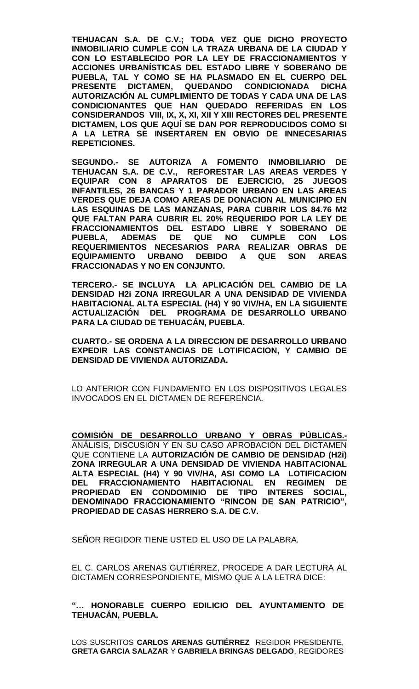**TEHUACAN S.A. DE C.V.; TODA VEZ QUE DICHO PROYECTO INMOBILIARIO CUMPLE CON LA TRAZA URBANA DE LA CIUDAD Y CON LO ESTABLECIDO POR LA LEY DE FRACCIONAMIENTOS Y ACCIONES URBANÍSTICAS DEL ESTADO LIBRE Y SOBERANO DE PUEBLA, TAL Y COMO SE HA PLASMADO EN EL CUERPO DEL PRESENTE DICTAMEN, QUEDANDO CONDICIONADA DICHA AUTORIZACIÓN AL CUMPLIMIENTO DE TODAS Y CADA UNA DE LAS CONDICIONANTES QUE HAN QUEDADO REFERIDAS EN LOS CONSIDERANDOS VIII, IX, X, XI, XII Y XIII RECTORES DEL PRESENTE DICTAMEN, LOS QUE AQUÍ SE DAN POR REPRODUCIDOS COMO SI A LA LETRA SE INSERTAREN EN OBVIO DE INNECESARIAS REPETICIONES.**

**SEGUNDO.- SE AUTORIZA A FOMENTO INMOBILIARIO DE TEHUACAN S.A. DE C.V., REFORESTAR LAS AREAS VERDES Y EQUIPAR CON 8 APARATOS DE EJERCICIO, 25 JUEGOS INFANTILES, 26 BANCAS Y 1 PARADOR URBANO EN LAS AREAS VERDES QUE DEJA COMO AREAS DE DONACION AL MUNICIPIO EN LAS ESQUINAS DE LAS MANZANAS, PARA CUBRIR LOS 84.76 M2 QUE FALTAN PARA CUBRIR EL 20% REQUERIDO POR LA LEY DE FRACCIONAMIENTOS DEL ESTADO LIBRE Y SOBERANO DE PUEBLA, ADEMAS DE QUE NO CUMPLE CON LOS REQUERIMIENTOS NECESARIOS PARA REALIZAR OBRAS DE EQUIPAMIENTO URBANO DEBIDO A QUE SON AREAS FRACCIONADAS Y NO EN CONJUNTO.**

**TERCERO.- SE INCLUYA LA APLICACIÓN DEL CAMBIO DE LA DENSIDAD H2i ZONA IRREGULAR A UNA DENSIDAD DE VIVIENDA HABITACIONAL ALTA ESPECIAL (H4) Y 90 VIV/HA, EN LA SIGUIENTE ACTUALIZACIÓN DEL PROGRAMA DE DESARROLLO URBANO PARA LA CIUDAD DE TEHUACÁN, PUEBLA.**

**CUARTO.- SE ORDENA A LA DIRECCION DE DESARROLLO URBANO EXPEDIR LAS CONSTANCIAS DE LOTIFICACION, Y CAMBIO DE DENSIDAD DE VIVIENDA AUTORIZADA.**

LO ANTERIOR CON FUNDAMENTO EN LOS DISPOSITIVOS LEGALES INVOCADOS EN EL DICTAMEN DE REFERENCIA.

**COMISIÓN DE DESARROLLO URBANO Y OBRAS PÚBLICAS.-** ANÁLISIS, DISCUSIÓN Y EN SU CASO APROBACIÓN DEL DICTAMEN QUE CONTIENE LA **AUTORIZACIÓN DE CAMBIO DE DENSIDAD (H2i) ZONA IRREGULAR A UNA DENSIDAD DE VIVIENDA HABITACIONAL ALTA ESPECIAL (H4) Y 90 VIV/HA, ASI COMO LA LOTIFICACION DEL FRACCIONAMIENTO HABITACIONAL EN REGIMEN DE PROPIEDAD EN CONDOMINIO DE TIPO INTERES SOCIAL, DENOMINADO FRACCIONAMIENTO "RINCON DE SAN PATRICIO", PROPIEDAD DE CASAS HERRERO S.A. DE C.V.**

SEÑOR REGIDOR TIENE USTED EL USO DE LA PALABRA.

EL C. CARLOS ARENAS GUTIÉRREZ, PROCEDE A DAR LECTURA AL DICTAMEN CORRESPONDIENTE, MISMO QUE A LA LETRA DICE:

**"… HONORABLE CUERPO EDILICIO DEL AYUNTAMIENTO DE TEHUACÁN, PUEBLA.**

LOS SUSCRITOS **CARLOS ARENAS GUTIÉRREZ** REGIDOR PRESIDENTE, **GRETA GARCIA SALAZAR** Y **GABRIELA BRINGAS DELGADO**, REGIDORES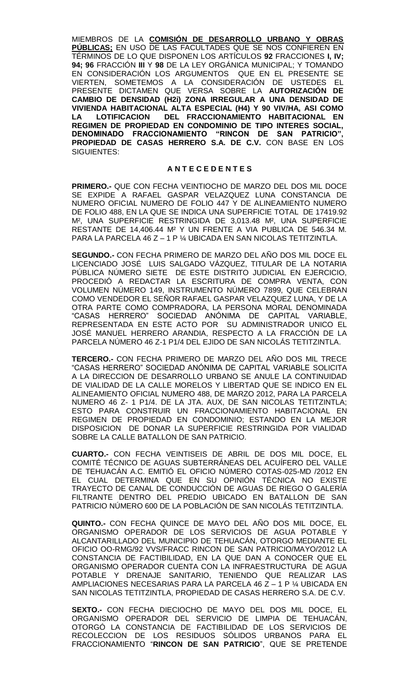MIEMBROS DE LA **COMISIÓN DE DESARROLLO URBANO Y OBRAS PÚBLICAS;** EN USO DE LAS FACULTADES QUE SE NOS CONFIEREN EN TÉRMINOS DE LO QUE DISPONEN LOS ARTÍCULOS **92** FRACCIONES **I, IV; 94; 96** FRACCIÓN **III** Y **98** DE LA LEY ORGÁNICA MUNICIPAL; Y TOMANDO EN CONSIDERACIÓN LOS ARGUMENTOS QUE EN EL PRESENTE SE VIERTEN, SOMETEMOS A LA CONSIDERACIÓN DE USTEDES EL PRESENTE DICTAMEN QUE VERSA SOBRE LA **AUTORIZACIÓN DE CAMBIO DE DENSIDAD (H2i) ZONA IRREGULAR A UNA DENSIDAD DE VIVIENDA HABITACIONAL ALTA ESPECIAL (H4) Y 90 VIV/HA, ASI COMO**  DEL FRACCIONAMIENTO HABITACIONAL EN **REGIMEN DE PROPIEDAD EN CONDOMINIO DE TIPO INTERES SOCIAL, DENOMINADO FRACCIONAMIENTO "RINCON DE SAN PATRICIO", PROPIEDAD DE CASAS HERRERO S.A. DE C.V.** CON BASE EN LOS SIGUIENTES:

### **A N T E C E D E N T E S**

**PRIMERO.-** QUE CON FECHA VEINTIOCHO DE MARZO DEL DOS MIL DOCE SE EXPIDE A RAFAEL GASPAR VELAZQUEZ LUNA CONSTANCIA DE NUMERO OFICIAL NUMERO DE FOLIO 447 Y DE ALINEAMIENTO NUMERO DE FOLIO 488, EN LA QUE SE INDICA UNA SUPERFICIE TOTAL DE 17419.92 M², UNA SUPERFICIE RESTRINGIDA DE 3,013.48 M², UNA SUPERFICIE RESTANTE DE 14,406.44 M² Y UN FRENTE A VIA PUBLICA DE 546.34 M. PARA LA PARCELA 46 Z – 1 P ¼ UBICADA EN SAN NICOLAS TETITZINTLA.

**SEGUNDO.-** CON FECHA PRIMERO DE MARZO DEL AÑO DOS MIL DOCE EL LICENCIADO JOSÉ LUIS SALGADO VÁZQUEZ, TITULAR DE LA NOTARIA PÚBLICA NÚMERO SIETE DE ESTE DISTRITO JUDICIAL EN EJERCICIO, PROCEDIÓ A REDACTAR LA ESCRITURA DE COMPRA VENTA, CON VOLUMEN NÚMERO 149, INSTRUMENTO NÚMERO 7899, QUE CELEBRAN COMO VENDEDOR EL SEÑOR RAFAEL GASPAR VELAZQUEZ LUNA, Y DE LA OTRA PARTE COMO COMPRADORA, LA PERSONA MORAL DENOMINADA "CASAS HERRERO" SOCIEDAD ANÓNIMA DE CAPITAL VARIABLE, REPRESENTADA EN ESTE ACTO POR SU ADMINISTRADOR UNICO EL JOSÉ MANUEL HERRERO ARANDIA, RESPECTO A LA FRACCIÓN DE LA PARCELA NÚMERO 46 Z-1 P1/4 DEL EJIDO DE SAN NICOLÁS TETITZINTLA.

**TERCERO.-** CON FECHA PRIMERO DE MARZO DEL AÑO DOS MIL TRECE "CASAS HERRERO" SOCIEDAD ANÓNIMA DE CAPITAL VARIABLE SOLICITA A LA DIRECCION DE DESARROLLO URBANO SE ANULE LA CONTINUIDAD DE VIALIDAD DE LA CALLE MORELOS Y LIBERTAD QUE SE INDICO EN EL ALINEAMIENTO OFICIAL NUMERO 488, DE MARZO 2012, PARA LA PARCELA NUMERO 46 Z- 1 P1/4. DE LA JTA. AUX, DE SAN NICOLAS TETITZINTLA; ESTO PARA CONSTRUIR UN FRACCIONAMIENTO HABITACIONAL EN REGIMEN DE PROPIEDAD EN CONDOMINIO; ESTANDO EN LA MEJOR DISPOSICION DE DONAR LA SUPERFICIE RESTRINGIDA POR VIALIDAD SOBRE LA CALLE BATALLON DE SAN PATRICIO.

**CUARTO.-** CON FECHA VEINTISEIS DE ABRIL DE DOS MIL DOCE, EL COMITÉ TÉCNICO DE AGUAS SUBTERRÁNEAS DEL ACUÍFERO DEL VALLE DE TEHUACÁN A.C. EMITIÓ EL OFICIO NÚMERO COTAS-025-MD /2012 EN EL CUAL DETERMINA QUE EN SU OPINIÓN TÉCNICA NO EXISTE TRAYECTO DE CANAL DE CONDUCCIÓN DE AGUAS DE RIEGO O GALERÍA FILTRANTE DENTRO DEL PREDIO UBICADO EN BATALLON DE SAN PATRICIO NÚMERO 600 DE LA POBLACIÓN DE SAN NICOLÁS TETITZINTLA.

**QUINTO.-** CON FECHA QUINCE DE MAYO DEL AÑO DOS MIL DOCE, EL ORGANISMO OPERADOR DE LOS SERVICIOS DE AGUA POTABLE Y ALCANTARILLADO DEL MUNICIPIO DE TEHUACÁN, OTORGO MEDIANTE EL OFICIO OO-RMG/92 VVS/FRACC RINCON DE SAN PATRICIO/MAYO/2012 LA CONSTANCIA DE FACTIBILIDAD, EN LA QUE DAN A CONOCER QUE EL ORGANISMO OPERADOR CUENTA CON LA INFRAESTRUCTURA DE AGUA POTABLE Y DRENAJE SANITARIO, TENIENDO QUE REALIZAR LAS AMPLIACIONES NECESARIAS PARA LA PARCELA 46 Z – 1 P ¼ UBICADA EN SAN NICOLAS TETITZINTLA, PROPIEDAD DE CASAS HERRERO S.A. DE C.V.

**SEXTO.-** CON FECHA DIECIOCHO DE MAYO DEL DOS MIL DOCE, EL ORGANISMO OPERADOR DEL SERVICIO DE LIMPIA DE TEHUACÁN, OTORGÓ LA CONSTANCIA DE FACTIBILIDAD DE LOS SERVICIOS DE RECOLECCION DE LOS RESIDUOS SÓLIDOS URBANOS PARA EL FRACCIONAMIENTO "**RINCON DE SAN PATRICIO**", QUE SE PRETENDE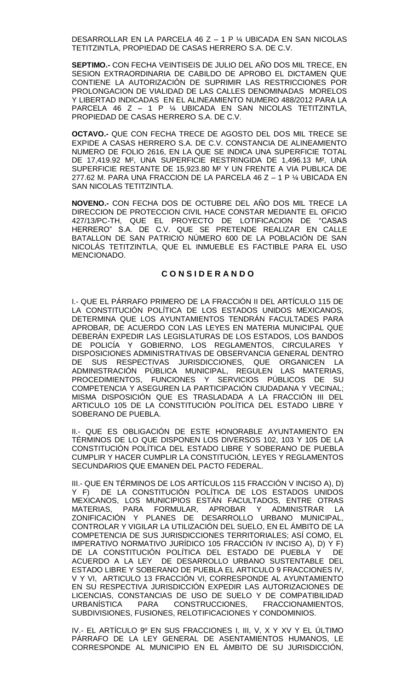DESARROLLAR EN LA PARCELA 46 Z – 1 P ¼ UBICADA EN SAN NICOLAS TETITZINTLA, PROPIEDAD DE CASAS HERRERO S.A. DE C.V.

**SEPTIMO.-** CON FECHA VEINTISEIS DE JULIO DEL AÑO DOS MIL TRECE, EN SESION EXTRAORDINARIA DE CABILDO DE APROBO EL DICTAMEN QUE CONTIENE LA AUTORIZACIÓN DE SUPRIMIR LAS RESTRICCIONES POR PROLONGACION DE VIALIDAD DE LAS CALLES DENOMINADAS MORELOS Y LIBERTAD INDICADAS EN EL ALINEAMIENTO NUMERO 488/2012 PARA LA PARCELA 46 Z – 1 P ¼ UBICADA EN SAN NICOLAS TETITZINTLA, PROPIEDAD DE CASAS HERRERO S.A. DE C.V.

**OCTAVO.-** QUE CON FECHA TRECE DE AGOSTO DEL DOS MIL TRECE SE EXPIDE A CASAS HERRERO S.A. DE C.V. CONSTANCIA DE ALINEAMIENTO NUMERO DE FOLIO 2616, EN LA QUE SE INDICA UNA SUPERFICIE TOTAL DE 17,419.92 M², UNA SUPERFICIE RESTRINGIDA DE 1,496.13 M², UNA SUPERFICIE RESTANTE DE 15,923.80 M² Y UN FRENTE A VIA PUBLICA DE 277.62 M. PARA UNA FRACCION DE LA PARCELA 46 Z – 1 P ¼ UBICADA EN SAN NICOLAS TETITZINTLA.

**NOVENO.-** CON FECHA DOS DE OCTUBRE DEL AÑO DOS MIL TRECE LA DIRECCION DE PROTECCION CIVIL HACE CONSTAR MEDIANTE EL OFICIO 427/13/PC-TH, QUE EL PROYECTO DE LOTIFICACION DE "CASAS HERRERO" S.A. DE C.V. QUE SE PRETENDE REALIZAR EN CALLE BATALLON DE SAN PATRICIO NÚMERO 600 DE LA POBLACIÓN DE SAN NICOLÁS TETITZINTLA, QUE EL INMUEBLE ES FACTIBLE PARA EL USO MENCIONADO.

# **C O N S I D E R A N D O**

I.- QUE EL PÁRRAFO PRIMERO DE LA FRACCIÓN II DEL ARTÍCULO 115 DE LA CONSTITUCIÓN POLÍTICA DE LOS ESTADOS UNIDOS MEXICANOS, DETERMINA QUE LOS AYUNTAMIENTOS TENDRÁN FACULTADES PARA APROBAR, DE ACUERDO CON LAS LEYES EN MATERIA MUNICIPAL QUE DEBERÁN EXPEDIR LAS LEGISLATURAS DE LOS ESTADOS, LOS BANDOS DE POLICÍA Y GOBIERNO, LOS REGLAMENTOS, CIRCULARES Y DISPOSICIONES ADMINISTRATIVAS DE OBSERVANCIA GENERAL DENTRO DE SUS RESPECTIVAS JURISDICCIONES, QUE ORGANICEN LA ADMINISTRACIÓN PÚBLICA MUNICIPAL, REGULEN LAS MATERIAS, PROCEDIMIENTOS, FUNCIONES Y SERVICIOS PÚBLICOS DE SU COMPETENCIA Y ASEGUREN LA PARTICIPACIÓN CIUDADANA Y VECINAL; MISMA DISPOSICIÓN QUE ES TRASLADADA A LA FRACCIÓN III DEL ARTICULO 105 DE LA CONSTITUCIÓN POLÍTICA DEL ESTADO LIBRE Y SOBERANO DE PUEBLA.

II.- QUE ES OBLIGACIÓN DE ESTE HONORABLE AYUNTAMIENTO EN TÉRMINOS DE LO QUE DISPONEN LOS DIVERSOS 102, 103 Y 105 DE LA CONSTITUCIÓN POLÍTICA DEL ESTADO LIBRE Y SOBERANO DE PUEBLA CUMPLIR Y HACER CUMPLIR LA CONSTITUCIÓN, LEYES Y REGLAMENTOS SECUNDARIOS QUE EMANEN DEL PACTO FEDERAL.

III.- QUE EN TÉRMINOS DE LOS ARTÍCULOS 115 FRACCIÓN V INCISO A), D) Y F) DE LA CONSTITUCIÓN POLÍTICA DE LOS ESTADOS UNIDOS MEXICANOS, LOS MUNICIPIOS ESTÁN FACULTADOS, ENTRE OTRAS MATERIAS, PARA FORMULAR, APROBAR Y ADMINISTRAR LA ZONIFICACIÓN Y PLANES DE DESARROLLO URBANO MUNICIPAL, CONTROLAR Y VIGILAR LA UTILIZACIÓN DEL SUELO, EN EL ÁMBITO DE LA COMPETENCIA DE SUS JURISDICCIONES TERRITORIALES; ASÍ COMO, EL IMPERATIVO NORMATIVO JURÍDICO 105 FRACCIÓN IV INCISO A), D) Y F) DE LA CONSTITUCIÓN POLÍTICA DEL ESTADO DE PUEBLA Y DE ACUERDO A LA LEY DE DESARROLLO URBANO SUSTENTABLE DEL ESTADO LIBRE Y SOBERANO DE PUEBLA EL ARTICULO 9 FRACCIONES IV, V Y VI, ARTICULO 13 FRACCIÓN VI, CORRESPONDE AL AYUNTAMIENTO EN SU RESPECTIVA JURISDICCIÓN EXPEDIR LAS AUTORIZACIONES DE LICENCIAS, CONSTANCIAS DE USO DE SUELO Y DE COMPATIBILIDAD<br>URBANÍSTICA PARA CONSTRUCCIONES. FRACCIONAMIENTOS. URBANÍSTICA PARA CONSTRUCCIONES, FRACCIONAMIENTOS, SUBDIVISIONES, FUSIONES, RELOTIFICACIONES Y CONDOMINIOS.

IV.- EL ARTÍCULO 9º EN SUS FRACCIONES I, III, V, X Y XV Y EL ÚLTIMO PÁRRAFO DE LA LEY GENERAL DE ASENTAMIENTOS HUMANOS, LE CORRESPONDE AL MUNICIPIO EN EL ÁMBITO DE SU JURISDICCIÓN,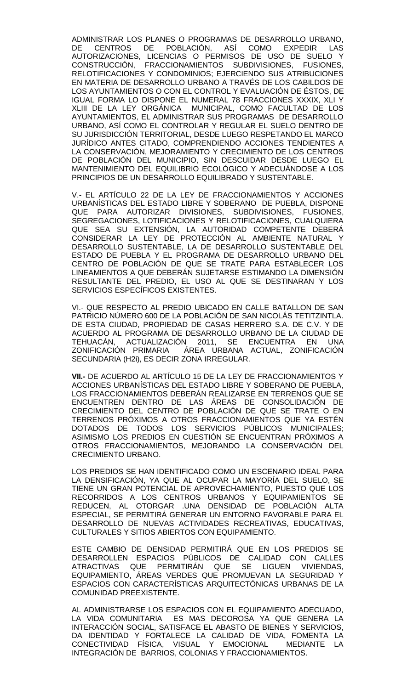ADMINISTRAR LOS PLANES O PROGRAMAS DE DESARROLLO URBANO, DE CENTROS DE POBLACIÓN, ASÍ COMO EXPEDIR LAS AUTORIZACIONES, LICENCIAS O PERMISOS DE USO DE SUELO Y CONSTRUCCIÓN, FRACCIONAMIENTOS SUBDIVISIONES, FUSIONES, RELOTIFICACIONES Y CONDOMINIOS; EJERCIENDO SUS ATRIBUCIONES EN MATERIA DE DESARROLLO URBANO A TRAVÉS DE LOS CABILDOS DE LOS AYUNTAMIENTOS O CON EL CONTROL Y EVALUACIÓN DE ÉSTOS, DE IGUAL FORMA LO DISPONE EL NUMERAL 78 FRACCIONES XXXIX, XLI Y XLIII DE LA LEY ORGÁNICA MUNICIPAL, COMO FACULTAD DE LOS AYUNTAMIENTOS, EL ADMINISTRAR SUS PROGRAMAS DE DESARROLLO URBANO, ASÍ COMO EL CONTROLAR Y REGULAR EL SUELO DENTRO DE SU JURISDICCIÓN TERRITORIAL, DESDE LUEGO RESPETANDO EL MARCO JURÍDICO ANTES CITADO, COMPRENDIENDO ACCIONES TENDIENTES A LA CONSERVACIÓN, MEJORAMIENTO Y CRECIMIENTO DE LOS CENTROS DE POBLACIÓN DEL MUNICIPIO, SIN DESCUIDAR DESDE LUEGO EL MANTENIMIENTO DEL EQUILIBRIO ECOLÓGICO Y ADECUÁNDOSE A LOS PRINCIPIOS DE UN DESARROLLO EQUILIBRADO Y SUSTENTABLE.

V.- EL ARTÍCULO 22 DE LA LEY DE FRACCIONAMIENTOS Y ACCIONES URBANÍSTICAS DEL ESTADO LIBRE Y SOBERANO DE PUEBLA, DISPONE QUE PARA AUTORIZAR DIVISIONES, SUBDIVISIONES, FUSIONES, SEGREGACIONES, LOTIFICACIONES Y RELOTIFICACIONES, CUALQUIERA QUE SEA SU EXTENSION, LA AUTORIDAD COMPETENTE DEBERA CONSIDERAR LA LEY DE PROTECCIÓN AL AMBIENTE NATURAL Y DESARROLLO SUSTENTABLE, LA DE DESARROLLO SUSTENTABLE DEL ESTADO DE PUEBLA Y EL PROGRAMA DE DESARROLLO URBANO DEL CENTRO DE POBLACIÓN DE QUE SE TRATE PARA ESTABLECER LOS LINEAMIENTOS A QUE DEBERÁN SUJETARSE ESTIMANDO LA DIMENSIÓN RESULTANTE DEL PREDIO, EL USO AL QUE SE DESTINARAN Y LOS SERVICIOS ESPECÍFICOS EXISTENTES.

VI.- QUE RESPECTO AL PREDIO UBICADO EN CALLE BATALLON DE SAN PATRICIO NÚMERO 600 DE LA POBLACIÓN DE SAN NICOLÁS TETITZINTLA. DE ESTA CIUDAD, PROPIEDAD DE CASAS HERRERO S.A. DE C.V. Y DE ACUERDO AL PROGRAMA DE DESARROLLO URBANO DE LA CIUDAD DE TEHUACÁN, ACTUALIZACIÓN 2011, SE ENCUENTRA EN UNA ZONIFICACIÓN PRIMARIA ÁREA URBANA ACTUAL, ZONIFICACIÓN SECUNDARIA (H2i), ES DECIR ZONA IRREGULAR.

**VII.-** DE ACUERDO AL ARTÍCULO 15 DE LA LEY DE FRACCIONAMIENTOS Y ACCIONES URBANÍSTICAS DEL ESTADO LIBRE Y SOBERANO DE PUEBLA, LOS FRACCIONAMIENTOS DEBERÁN REALIZARSE EN TERRENOS QUE SE ENCUENTREN DENTRO DE LAS ÁREAS DE CONSOLIDACIÓN DE CRECIMIENTO DEL CENTRO DE POBLACIÓN DE QUE SE TRATE O EN TERRENOS PRÓXIMOS A OTROS FRACCIONAMIENTOS QUE YA ESTÉN DOTADOS DE TODOS LOS SERVICIOS PÚBLICOS MUNICIPALES; ASIMISMO LOS PREDIOS EN CUESTIÓN SE ENCUENTRAN PRÓXIMOS A OTROS FRACCIONAMIENTOS, MEJORANDO LA CONSERVACIÓN DEL CRECIMIENTO URBANO.

LOS PREDIOS SE HAN IDENTIFICADO COMO UN ESCENARIO IDEAL PARA LA DENSIFICACIÓN, YA QUE AL OCUPAR LA MAYORÍA DEL SUELO, SE TIENE UN GRAN POTENCIAL DE APROVECHAMIENTO, PUESTO QUE LOS RECORRIDOS A LOS CENTROS URBANOS Y EQUIPAMIENTOS SE REDUCEN, AL OTORGAR .UNA DENSIDAD DE POBLACIÓN ALTA ESPECIAL, SE PERMITIRÁ GENERAR UN ENTORNO FAVORABLE PARA EL DESARROLLO DE NUEVAS ACTIVIDADES RECREATIVAS, EDUCATIVAS, CULTURALES Y SITIOS ABIERTOS CON EQUIPAMIENTO.

ESTE CAMBIO DE DENSIDAD PERMITIRÁ QUE EN LOS PREDIOS SE DESARROLLEN ESPACIOS PÚBLICOS DE CALIDAD CON CALLES ATRACTIVAS QUE PERMITIRÁN QUE SE LIGUEN VIVIENDAS, EQUIPAMIENTO, ÁREAS VERDES QUE PROMUEVAN LA SEGURIDAD Y ESPACIOS CON CARACTERÍSTICAS ARQUITECTÓNICAS URBANAS DE LA COMUNIDAD PREEXISTENTE.

AL ADMINISTRARSE LOS ESPACIOS CON EL EQUIPAMIENTO ADECUADO, LA VIDA COMUNITARIA ES MAS DECOROSA YA QUE GENERA LA INTERACCIÓN SOCIAL, SATISFACE EL ABASTO DE BIENES Y SERVICIOS, DA IDENTIDAD Y FORTALECE LA CALIDAD DE VIDA, FOMENTA LA CONECTIVIDAD FÍSICA, VISUAL Y EMOCIONAL MEDIANTE LA INTEGRACIÓN DE BARRIOS, COLONIAS Y FRACCIONAMIENTOS.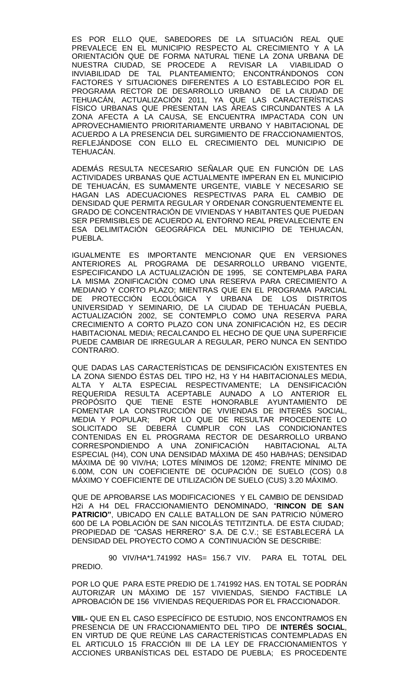ES POR ELLO QUE, SABEDORES DE LA SITUACIÓN REAL QUE PREVALECE EN EL MUNICIPIO RESPECTO AL CRECIMIENTO Y A LA ORIENTACIÓN QUE DE FORMA NATURAL TIENE LA ZONA URBANA DE NUESTRA CIUDAD, SE PROCEDE A REVISAR LA VIABILIDAD O INVIABILIDAD DE TAL PLANTEAMIENTO; ENCONTRÁNDONOS CON FACTORES Y SITUACIONES DIFERENTES A LO ESTABLECIDO POR EL PROGRAMA RECTOR DE DESARROLLO URBANO DE LA CIUDAD DE TEHUACÁN, ACTUALIZACIÓN 2011, YA QUE LAS CARACTERÍSTICAS FÍSICO URBANAS QUE PRESENTAN LAS ÁREAS CIRCUNDANTES A LA ZONA AFECTA A LA CAUSA, SE ENCUENTRA IMPACTADA CON UN APROVECHAMIENTO PRIORITARIAMENTE URBANO Y HABITACIONAL DE ACUERDO A LA PRESENCIA DEL SURGIMIENTO DE FRACCIONAMIENTOS, REFLEJÁNDOSE CON ELLO EL CRECIMIENTO DEL MUNICIPIO DE TEHUACÁN.

ADEMÁS RESULTA NECESARIO SEÑALAR QUE EN FUNCIÓN DE LAS ACTIVIDADES URBANAS QUE ACTUALMENTE IMPERAN EN EL MUNICIPIO DE TEHUACÁN, ES SUMAMENTE URGENTE, VIABLE Y NECESARIO SE HAGAN LAS ADECUACIONES RESPECTIVAS PARA EL CAMBIO DE DENSIDAD QUE PERMITA REGULAR Y ORDENAR CONGRUENTEMENTE EL GRADO DE CONCENTRACIÓN DE VIVIENDAS Y HABITANTES QUE PUEDAN SER PERMISIBLES DE ACUERDO AL ENTORNO REAL PREVALECIENTE EN ESA DELIMITACIÓN GEOGRÁFICA DEL MUNICIPIO DE TEHUACÁN, PUEBLA.

IGUALMENTE ES IMPORTANTE MENCIONAR QUE EN VERSIONES ANTERIORES AL PROGRAMA DE DESARROLLO URBANO VIGENTE, ESPECIFICANDO LA ACTUALIZACIÓN DE 1995, SE CONTEMPLABA PARA LA MISMA ZONIFICACIÓN COMO UNA RESERVA PARA CRECIMIENTO A MEDIANO Y CORTO PLAZO; MIENTRAS QUE EN EL PROGRAMA PARCIAL DE PROTECCIÓN ECOLÓGICA Y URBANA DE LOS DISTRITOS UNIVERSIDAD Y SEMINARIO, DE LA CIUDAD DE TEHUACÁN PUEBLA, ACTUALIZACIÓN 2002, SE CONTEMPLO COMO UNA RESERVA PARA CRECIMIENTO A CORTO PLAZO CON UNA ZONIFICACIÓN H2, ES DECIR HABITACIONAL MEDIA; RECALCANDO EL HECHO DE QUE UNA SUPERFICIE PUEDE CAMBIAR DE IRREGULAR A REGULAR, PERO NUNCA EN SENTIDO CONTRARIO.

QUE DADAS LAS CARACTERÍSTICAS DE DENSIFICACIÓN EXISTENTES EN LA ZONA SIENDO ÉSTAS DEL TIPO H2, H3 Y H4 HABITACIONALES MEDIA, ALTA Y ALTA ESPECIAL RESPECTIVAMENTE; LA DENSIFICACIÓN REQUERIDA RESULTA ACEPTABLE AUNADO A LO ANTERIOR EL PROPÓSITO QUE TIENE ESTE HONORABLE AYUNTAMIENTO DE FOMENTAR LA CONSTRUCCIÓN DE VIVIENDAS DE INTERÉS SOCIAL, MEDIA Y POPULAR; POR LO QUE DE RESULTAR PROCEDENTE LO SOLICITADO SE DEBERÁ CUMPLIR CON LAS CONDICIONANTES CONTENIDAS EN EL PROGRAMA RECTOR DE DESARROLLO URBANO CORRESPONDIENDO A UNA ZONIFICACIÓN HABITACIONAL ALTA ESPECIAL (H4), CON UNA DENSIDAD MÁXIMA DE 450 HAB/HAS; DENSIDAD MÁXIMA DE 90 VIV/HA; LOTES MÍNIMOS DE 120M2; FRENTE MÍNIMO DE 6.00M, CON UN COEFICIENTE DE OCUPACIÓN DE SUELO (COS) 0.8 MÁXIMO Y COEFICIENTE DE UTILIZACIÓN DE SUELO (CUS) 3.20 MÁXIMO.

QUE DE APROBARSE LAS MODIFICACIONES Y EL CAMBIO DE DENSIDAD H2i A H4 DEL FRACCIONAMIENTO DENOMINADO, "**RINCON DE SAN PATRICIO"**, UBICADO EN CALLE BATALLON DE SAN PATRICIO NÚMERO 600 DE LA POBLACIÓN DE SAN NICOLÁS TETITZINTLA. DE ESTA CIUDAD; PROPIEDAD DE "CASAS HERRERO" S.A. DE C.V.; SE ESTABLECERÁ LA DENSIDAD DEL PROYECTO COMO A CONTINUACIÓN SE DESCRIBE:

 90 VIV/HA\*1.741992 HAS= 156.7 VIV. PARA EL TOTAL DEL PREDIO.

POR LO QUE PARA ESTE PREDIO DE 1.741992 HAS. EN TOTAL SE PODRÁN AUTORIZAR UN MÁXIMO DE 157 VIVIENDAS, SIENDO FACTIBLE LA APROBACIÓN DE 156 VIVIENDAS REQUERIDAS POR EL FRACCIONADOR.

**VIII.-** QUE EN EL CASO ESPECÍFICO DE ESTUDIO, NOS ENCONTRAMOS EN PRESENCIA DE UN FRACCIONAMIENTO DEL TIPO DE **INTERÉS SOCIAL**, EN VIRTUD DE QUE REÚNE LAS CARACTERÍSTICAS CONTEMPLADAS EN EL ARTICULO 15 FRACCIÓN III DE LA LEY DE FRACCIONAMIENTOS Y ACCIONES URBANÍSTICAS DEL ESTADO DE PUEBLA; ES PROCEDENTE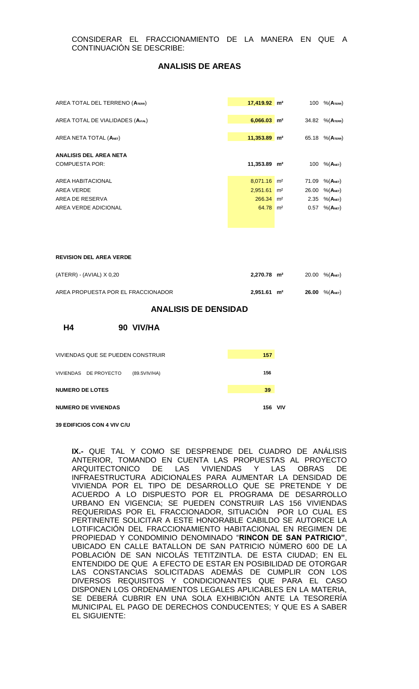### **ANALISIS DE AREAS**

| AREA TOTAL DEL TERRENO (ATERR)   | $17,419.92$ m <sup>2</sup> |                | 100   | $%$ (Aterr)             |
|----------------------------------|----------------------------|----------------|-------|-------------------------|
| AREA TOTAL DE VIALIDADES (AVIAL) | $6.066.03$ m <sup>2</sup>  |                | 34.82 | $%$ (Aterr)             |
| AREA NETA TOTAL (ANET)           | $11,353.89$ m <sup>2</sup> |                | 65.18 | $%$ (Aterr)             |
| ANALISIS DEL AREA NETA           |                            |                |       |                         |
| <b>COMPUESTA POR:</b>            | 11,353.89 m <sup>2</sup>   |                | 100   | $%$ (A <sub>NET</sub> ) |
|                                  |                            |                |       |                         |
| AREA HABITACIONAL                | $8,071.16$ m <sup>2</sup>  |                | 71.09 | $%$ (A <sub>NET</sub> ) |
| AREA VERDE                       | 2,951.61                   | m <sup>2</sup> | 26.00 | $%$ (Anet)              |
| AREA DE RESERVA                  | $266.34$ m <sup>2</sup>    |                |       | 2.35 $% (ANET)$         |
| AREA VERDE ADICIONAL             | $64.78$ m <sup>2</sup>     |                | 0.57  | $%$ (A <sub>NET</sub> ) |

#### **REVISION DEL AREA VERDE**

| (ATERR) - (AVIAL) X 0,20           | $2,270.78$ m <sup>2</sup> |  | 20.00 $%$ (ANET)              |
|------------------------------------|---------------------------|--|-------------------------------|
| AREA PROPUESTA POR EL FRACCIONADOR | $2,951.61 \text{ m}^2$    |  | 26.00 $%$ (A <sub>NET</sub> ) |

#### **ANALISIS DE DENSIDAD**

**H4 90 VIV/HA**

| VIVIENDAS QUE SE PUEDEN CONSTRUIR     | 157 |     |
|---------------------------------------|-----|-----|
| VIVIENDAS DE PROYECTO<br>(89.5VIV/HA) | 156 |     |
| <b>NUMERO DE LOTES</b>                | 39  |     |
| <b>NUMERO DE VIVIENDAS</b>            | 156 | νıν |

**39 EDIFICIOS CON 4 VIV C/U**

**IX.-** QUE TAL Y COMO SE DESPRENDE DEL CUADRO DE ANÁLISIS ANTERIOR, TOMANDO EN CUENTA LAS PROPUESTAS AL PROYECTO ARQUITECTONICO DE LAS VIVIENDAS Y LAS OBRAS DE INFRAESTRUCTURA ADICIONALES PARA AUMENTAR LA DENSIDAD DE VIVIENDA POR EL TIPO DE DESARROLLO QUE SE PRETENDE Y DE ACUERDO A LO DISPUESTO POR EL PROGRAMA DE DESARROLLO URBANO EN VIGENCIA; SE PUEDEN CONSTRUIR LAS 156 VIVIENDAS REQUERIDAS POR EL FRACCIONADOR, SITUACIÓN POR LO CUAL ES PERTINENTE SOLICITAR A ESTE HONORABLE CABILDO SE AUTORICE LA LOTIFICACIÓN DEL FRACCIONAMIENTO HABITACIONAL EN REGIMEN DE PROPIEDAD Y CONDOMINIO DENOMINADO "**RINCON DE SAN PATRICIO"**, UBICADO EN CALLE BATALLON DE SAN PATRICIO NÚMERO 600 DE LA POBLACIÓN DE SAN NICOLÁS TETITZINTLA. DE ESTA CIUDAD; EN EL ENTENDIDO DE QUE A EFECTO DE ESTAR EN POSIBILIDAD DE OTORGAR LAS CONSTANCIAS SOLICITADAS ADEMÁS DE CUMPLIR CON LOS DIVERSOS REQUISITOS Y CONDICIONANTES QUE PARA EL CASO DISPONEN LOS ORDENAMIENTOS LEGALES APLICABLES EN LA MATERIA, SE DEBERÁ CUBRIR EN UNA SOLA EXHIBICIÓN ANTE LA TESORERÍA MUNICIPAL EL PAGO DE DERECHOS CONDUCENTES; Y QUE ES A SABER EL SIGUIENTE: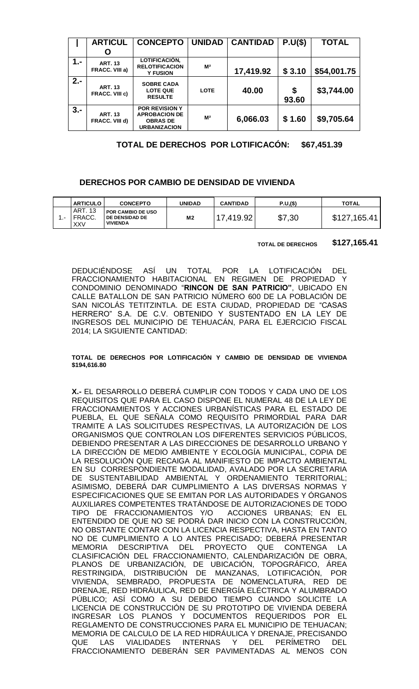|       | <b>ARTICUL</b>                          | <b>CONCEPTO</b>                                                                         | <b>UNIDAD</b>  | <b>CANTIDAD</b> | P.U(S)      | <b>TOTAL</b> |
|-------|-----------------------------------------|-----------------------------------------------------------------------------------------|----------------|-----------------|-------------|--------------|
|       |                                         |                                                                                         |                |                 |             |              |
|       | O                                       |                                                                                         |                |                 |             |              |
| $1 -$ | <b>ART. 13</b><br>FRACC. VIII a)        | LOTIFICACIÓN,<br><b>RELOTIFICACION</b><br><b>Y FUSION</b>                               | M <sup>2</sup> | 17,419.92       | \$3.10      | \$54,001.75  |
| $2 -$ | <b>ART. 13</b><br><b>FRACC. VIII c)</b> | <b>SOBRE CADA</b><br><b>LOTE QUE</b><br><b>RESULTE</b>                                  | <b>LOTE</b>    | 40.00           | \$<br>93.60 | \$3,744.00   |
| $3 -$ | <b>ART. 13</b><br>FRACC. VIII d)        | <b>POR REVISION Y</b><br><b>APROBACION DE</b><br><b>OBRAS DE</b><br><b>URBANIZACION</b> | M <sup>2</sup> | 6,066.03        | \$1.60      | \$9,705.64   |

| TOTAL DE DERECHOS POR LOTIFICACÓN: \$67,451.39 |  |
|------------------------------------------------|--|
|------------------------------------------------|--|

# **DERECHOS POR CAMBIO DE DENSIDAD DE VIVIENDA**

|     | <b>ARTICULO</b>                 | <b>CONCEPTO</b>                                                      | <b>UNIDAD</b>  | CANTIDAD | P.U,(\$) | <b>TOTAL</b> |
|-----|---------------------------------|----------------------------------------------------------------------|----------------|----------|----------|--------------|
| ۰.- | <b>ART. 13</b><br>FRACC.<br>XXV | <b>POR CAMBIO DE USO</b><br><b>DE DENSIDAD DE</b><br><b>VIVIENDA</b> | M <sub>2</sub> | .419.92  | \$7,30   | \$127,165.41 |

**TOTAL DE DERECHOS \$127,165.41**

DEDUCIÉNDOSE ASÍ UN TOTAL POR LA LOTIFICACIÓN DEL FRACCIONAMIENTO HABITACIONAL EN REGIMEN DE PROPIEDAD Y CONDOMINIO DENOMINADO "**RINCON DE SAN PATRICIO"**, UBICADO EN CALLE BATALLON DE SAN PATRICIO NÚMERO 600 DE LA POBLACIÓN DE SAN NICOLÁS TETITZINTLA. DE ESTA CIUDAD, PROPIEDAD DE "CASAS HERRERO" S.A. DE C.V. OBTENIDO Y SUSTENTADO EN LA LEY DE INGRESOS DEL MUNICIPIO DE TEHUACÁN, PARA EL EJERCICIO FISCAL 2014; LA SIGUIENTE CANTIDAD:

#### **TOTAL DE DERECHOS POR LOTIFICACIÓN Y CAMBIO DE DENSIDAD DE VIVIENDA \$194,616.80**

**X.-** EL DESARROLLO DEBERÁ CUMPLIR CON TODOS Y CADA UNO DE LOS REQUISITOS QUE PARA EL CASO DISPONE EL NUMERAL 48 DE LA LEY DE FRACCIONAMIENTOS Y ACCIONES URBANÍSTICAS PARA EL ESTADO DE PUEBLA, EL QUE SEÑALA COMO REQUISITO PRIMORDIAL PARA DAR TRAMITE A LAS SOLICITUDES RESPECTIVAS, LA AUTORIZACIÓN DE LOS ORGANISMOS QUE CONTROLAN LOS DIFERENTES SERVICIOS PÚBLICOS, DEBIENDO PRESENTAR A LAS DIRECCIONES DE DESARROLLO URBANO Y LA DIRECCIÓN DE MEDIO AMBIENTE Y ECOLOGÍA MUNICIPAL, COPIA DE LA RESOLUCIÓN QUE RECAIGA AL MANIFIESTO DE IMPACTO AMBIENTAL EN SU CORRESPONDIENTE MODALIDAD, AVALADO POR LA SECRETARIA DE SUSTENTABILIDAD AMBIENTAL Y ORDENAMIENTO TERRITORIAL; ASIMISMO, DEBERÁ DAR CUMPLIMIENTO A LAS DIVERSAS NORMAS Y ESPECIFICACIONES QUE SE EMITAN POR LAS AUTORIDADES Y ÓRGANOS AUXILIARES COMPETENTES TRATÁNDOSE DE AUTORIZACIONES DE TODO TIPO DE FRACCIONAMIENTOS Y/O ACCIONES URBANAS; EN EL ENTENDIDO DE QUE NO SE PODRÁ DAR INICIO CON LA CONSTRUCCIÓN, NO OBSTANTE CONTAR CON LA LICENCIA RESPECTIVA, HASTA EN TANTO NO DE CUMPLIMIENTO A LO ANTES PRECISADO; DEBERÁ PRESENTAR MEMORIA DESCRIPTIVA DEL PROYECTO QUE CONTENGA LA CLASIFICACIÓN DEL FRACCIONAMIENTO, CALENDARIZACIÓN DE OBRA, PLANOS DE URBANIZACIÓN, DE UBICACIÓN, TOPOGRÁFICO, ÁREA RESTRINGIDA, DISTRIBUCIÓN DE MANZANAS, LOTIFICACIÓN, POR VIVIENDA, SEMBRADO, PROPUESTA DE NOMENCLATURA, RED DE DRENAJE, RED HIDRÁULICA, RED DE ENERGÍA ELÉCTRICA Y ALUMBRADO PÚBLICO; ASÍ COMO A SU DEBIDO TIEMPO CUANDO SOLICITE LA LICENCIA DE CONSTRUCCIÓN DE SU PROTOTIPO DE VIVIENDA DEBERÁ INGRESAR LOS PLANOS Y DOCUMENTOS REQUERIDOS POR EL REGLAMENTO DE CONSTRUCCIONES PARA EL MUNICIPIO DE TEHUACAN; MEMORIA DE CALCULO DE LA RED HIDRÁULICA Y DRENAJE, PRECISANDO QUE LAS VIALIDADES INTERNAS Y DEL PERÍMETRO DEL FRACCIONAMIENTO DEBERÁN SER PAVIMENTADAS AL MENOS CON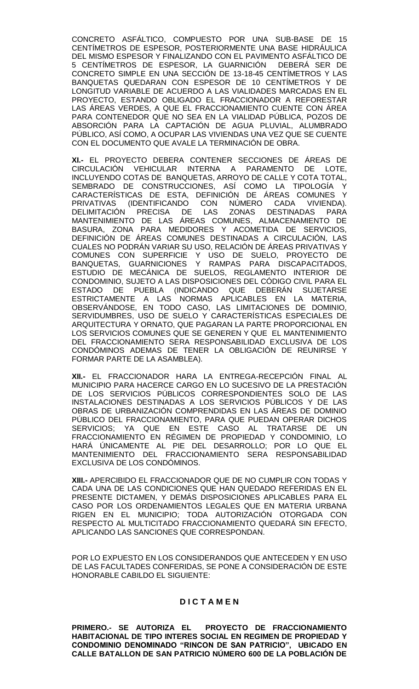CONCRETO ASFÁLTICO, COMPUESTO POR UNA SUB-BASE DE 15 CENTÍMETROS DE ESPESOR, POSTERIORMENTE UNA BASE HIDRÁULICA DEL MISMO ESPESOR Y FINALIZANDO CON EL PAVIMENTO ASFÁLTICO DE 5 CENTÍMETROS DE ESPESOR, LA GUARNICIÓN DEBERÁ SER DE CONCRETO SIMPLE EN UNA SECCIÓN DE 13-18-45 CENTÍMETROS Y LAS BANQUETAS QUEDARAN CON ESPESOR DE 10 CENTÍMETROS Y DE LONGITUD VARIABLE DE ACUERDO A LAS VIALIDADES MARCADAS EN EL PROYECTO, ESTANDO OBLIGADO EL FRACCIONADOR A REFORESTAR LAS ÁREAS VERDES, A QUE EL FRACCIONAMIENTO CUENTE CON ÁREA PARA CONTENEDOR QUE NO SEA EN LA VIALIDAD PÚBLICA, POZOS DE ABSORCIÓN PARA LA CAPTACIÓN DE AGUA PLUVIAL, ALUMBRADO PÚBLICO, ASÍ COMO, A OCUPAR LAS VIVIENDAS UNA VEZ QUE SE CUENTE CON EL DOCUMENTO QUE AVALE LA TERMINACIÓN DE OBRA.

**XI.-** EL PROYECTO DEBERA CONTENER SECCIONES DE ÁREAS DE CIRCULACIÓN VEHICULAR INTERNA A PARAMENTO DE LOTE, INCLUYENDO COTAS DE BANQUETAS, ARROYO DE CALLE Y COTA TOTAL, SEMBRADO DE CONSTRUCCIONES, ASÍ COMO LA TIPOLOGÍA Y CARACTERÍSTICAS DE ESTA, DEFINICIÓN DE ÁREAS COMUNES Y PRIVATIVAS (IDENTIFICANDO CON NÚMERO CADA VIVIENDA). DELIMITACIÓN PRECISA DE LAS ZONAS DESTINADAS PARA MANTENIMIENTO DE LAS ÁREAS COMUNES, ALMACENAMIENTO DE BASURA, ZONA PARA MEDIDORES Y ACOMETIDA DE SERVICIOS, DEFINICIÓN DE ÁREAS COMUNES DESTINADAS A CIRCULACIÓN, LAS CUALES NO PODRÁN VARIAR SU USO, RELACIÓN DE ÁREAS PRIVATIVAS Y COMUNES CON SUPERFICIE Y USO DE SUELO, PROYECTO DE BANQUETAS, GUARNICIONES Y RAMPAS PARA DISCAPACITADOS, ESTUDIO DE MECÁNICA DE SUELOS, REGLAMENTO INTERIOR DE CONDOMINIO, SUJETO A LAS DISPOSICIONES DEL CÓDIGO CIVIL PARA EL ESTADO DE PUEBLA (INDICANDO QUE DEBERÁN SUJETARSE ESTRICTAMENTE A LAS NORMAS APLICABLES EN LA MATERIA, OBSERVÁNDOSE, EN TODO CASO, LAS LIMITACIONES DE DOMINIO, SERVIDUMBRES, USO DE SUELO Y CARACTERÍSTICAS ESPECIALES DE ARQUITECTURA Y ORNATO, QUE PAGARAN LA PARTE PROPORCIONAL EN LOS SERVICIOS COMUNES QUE SE GENEREN Y QUE EL MANTENIMIENTO DEL FRACCIONAMIENTO SERA RESPONSABILIDAD EXCLUSIVA DE LOS CONDÓMINOS ADEMAS DE TENER LA OBLIGACIÓN DE REUNIRSE Y FORMAR PARTE DE LA ASAMBLEA).

**XII.-** EL FRACCIONADOR HARA LA ENTREGA-RECEPCIÓN FINAL AL MUNICIPIO PARA HACERCE CARGO EN LO SUCESIVO DE LA PRESTACIÓN DE LOS SERVICIOS PÚBLICOS CORRESPONDIENTES SOLO DE LAS INSTALACIONES DESTINADAS A LOS SERVICIOS PÚBLICOS Y DE LAS OBRAS DE URBANIZACIÓN COMPRENDIDAS EN LAS ÁREAS DE DOMINIO PÚBLICO DEL FRACCIONAMIENTO, PARA QUE PUEDAN OPERAR DICHOS SERVICIOS; YA QUE EN ESTE CASO AL TRATARSE DE UN FRACCIONAMIENTO EN RÉGIMEN DE PROPIEDAD Y CONDOMINIO, LO HARÁ ÚNICAMENTE AL PIE DEL DESARROLLO; POR LO QUE EL MANTENIMIENTO DEL FRACCIONAMIENTO SERA RESPONSABILIDAD EXCLUSIVA DE LOS CONDÓMINOS.

**XIII.-** APERCIBIDO EL FRACCIONADOR QUE DE NO CUMPLIR CON TODAS Y CADA UNA DE LAS CONDICIONES QUE HAN QUEDADO REFERIDAS EN EL PRESENTE DICTAMEN, Y DEMÁS DISPOSICIONES APLICABLES PARA EL CASO POR LOS ORDENAMIENTOS LEGALES QUE EN MATERIA URBANA RIGEN EN EL MUNICIPIO; TODA AUTORIZACIÓN OTORGADA CON RESPECTO AL MULTICITADO FRACCIONAMIENTO QUEDARÁ SIN EFECTO, APLICANDO LAS SANCIONES QUE CORRESPONDAN.

POR LO EXPUESTO EN LOS CONSIDERANDOS QUE ANTECEDEN Y EN USO DE LAS FACULTADES CONFERIDAS, SE PONE A CONSIDERACIÓN DE ESTE HONORABLE CABILDO EL SIGUIENTE:

## **D I C T A M E N**

**PRIMERO.- SE AUTORIZA EL PROYECTO DE FRACCIONAMIENTO HABITACIONAL DE TIPO INTERES SOCIAL EN REGIMEN DE PROPIEDAD Y CONDOMINIO DENOMINADO "RINCON DE SAN PATRICIO", UBICADO EN CALLE BATALLON DE SAN PATRICIO NÚMERO 600 DE LA POBLACIÓN DE**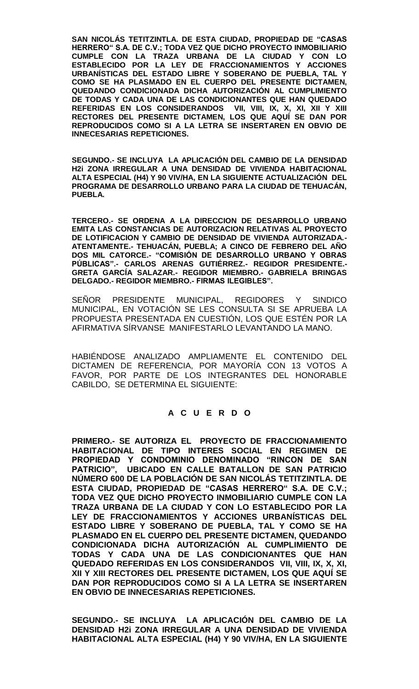**SAN NICOLÁS TETITZINTLA. DE ESTA CIUDAD, PROPIEDAD DE "CASAS HERRERO" S.A. DE C.V.; TODA VEZ QUE DICHO PROYECTO INMOBILIARIO CUMPLE CON LA TRAZA URBANA DE LA CIUDAD Y CON LO ESTABLECIDO POR LA LEY DE FRACCIONAMIENTOS Y ACCIONES URBANÍSTICAS DEL ESTADO LIBRE Y SOBERANO DE PUEBLA, TAL Y COMO SE HA PLASMADO EN EL CUERPO DEL PRESENTE DICTAMEN, QUEDANDO CONDICIONADA DICHA AUTORIZACIÓN AL CUMPLIMIENTO DE TODAS Y CADA UNA DE LAS CONDICIONANTES QUE HAN QUEDADO REFERIDAS EN LOS CONSIDERANDOS VII, VIII, IX, X, XI, XII Y XIII RECTORES DEL PRESENTE DICTAMEN, LOS QUE AQUÍ SE DAN POR REPRODUCIDOS COMO SI A LA LETRA SE INSERTAREN EN OBVIO DE INNECESARIAS REPETICIONES.**

**SEGUNDO.- SE INCLUYA LA APLICACIÓN DEL CAMBIO DE LA DENSIDAD H2i ZONA IRREGULAR A UNA DENSIDAD DE VIVIENDA HABITACIONAL ALTA ESPECIAL (H4) Y 90 VIV/HA, EN LA SIGUIENTE ACTUALIZACIÓN DEL PROGRAMA DE DESARROLLO URBANO PARA LA CIUDAD DE TEHUACÁN, PUEBLA.**

**TERCERO.- SE ORDENA A LA DIRECCION DE DESARROLLO URBANO EMITA LAS CONSTANCIAS DE AUTORIZACION RELATIVAS AL PROYECTO DE LOTIFICACION Y CAMBIO DE DENSIDAD DE VIVIENDA AUTORIZADA.- ATENTAMENTE.- TEHUACÁN, PUEBLA; A CINCO DE FEBRERO DEL AÑO DOS MIL CATORCE.- "COMISIÓN DE DESARROLLO URBANO Y OBRAS PÚBLICAS".- CARLOS ARENAS GUTIÉRREZ.- REGIDOR PRESIDENTE.- GRETA GARCÍA SALAZAR.- REGIDOR MIEMBRO.- GABRIELA BRINGAS DELGADO.- REGIDOR MIEMBRO.- FIRMAS ILEGIBLES".**

SEÑOR PRESIDENTE MUNICIPAL, REGIDORES Y SINDICO MUNICIPAL, EN VOTACIÓN SE LES CONSULTA SI SE APRUEBA LA PROPUESTA PRESENTADA EN CUESTIÓN, LOS QUE ESTÉN POR LA AFIRMATIVA SÍRVANSE MANIFESTARLO LEVANTANDO LA MANO.

HABIÉNDOSE ANALIZADO AMPLIAMENTE EL CONTENIDO DEL DICTAMEN DE REFERENCIA, POR MAYORÍA CON 13 VOTOS A FAVOR, POR PARTE DE LOS INTEGRANTES DEL HONORABLE CABILDO, SE DETERMINA EL SIGUIENTE:

# **A C U E R D O**

**PRIMERO.- SE AUTORIZA EL PROYECTO DE FRACCIONAMIENTO HABITACIONAL DE TIPO INTERES SOCIAL EN REGIMEN DE PROPIEDAD Y CONDOMINIO DENOMINADO "RINCON DE SAN PATRICIO", UBICADO EN CALLE BATALLON DE SAN PATRICIO NÚMERO 600 DE LA POBLACIÓN DE SAN NICOLÁS TETITZINTLA. DE ESTA CIUDAD, PROPIEDAD DE "CASAS HERRERO" S.A. DE C.V.; TODA VEZ QUE DICHO PROYECTO INMOBILIARIO CUMPLE CON LA TRAZA URBANA DE LA CIUDAD Y CON LO ESTABLECIDO POR LA LEY DE FRACCIONAMIENTOS Y ACCIONES URBANÍSTICAS DEL ESTADO LIBRE Y SOBERANO DE PUEBLA, TAL Y COMO SE HA PLASMADO EN EL CUERPO DEL PRESENTE DICTAMEN, QUEDANDO CONDICIONADA DICHA AUTORIZACIÓN AL CUMPLIMIENTO DE TODAS Y CADA UNA DE LAS CONDICIONANTES QUE HAN QUEDADO REFERIDAS EN LOS CONSIDERANDOS VII, VIII, IX, X, XI, XII Y XIII RECTORES DEL PRESENTE DICTAMEN, LOS QUE AQUÍ SE DAN POR REPRODUCIDOS COMO SI A LA LETRA SE INSERTAREN EN OBVIO DE INNECESARIAS REPETICIONES.**

**SEGUNDO.- SE INCLUYA LA APLICACIÓN DEL CAMBIO DE LA DENSIDAD H2i ZONA IRREGULAR A UNA DENSIDAD DE VIVIENDA HABITACIONAL ALTA ESPECIAL (H4) Y 90 VIV/HA, EN LA SIGUIENTE**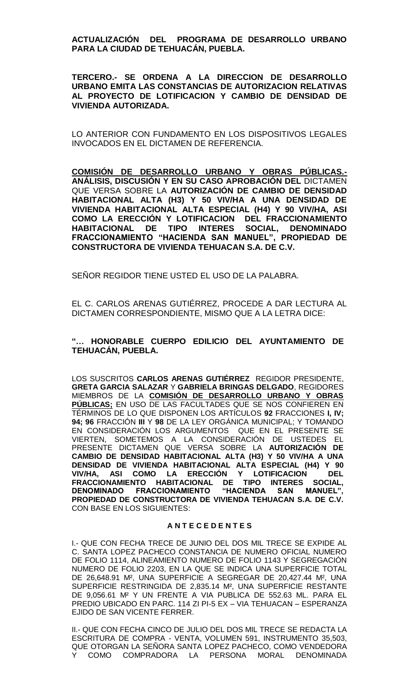**ACTUALIZACIÓN DEL PROGRAMA DE DESARROLLO URBANO PARA LA CIUDAD DE TEHUACÁN, PUEBLA.**

**TERCERO.- SE ORDENA A LA DIRECCION DE DESARROLLO URBANO EMITA LAS CONSTANCIAS DE AUTORIZACION RELATIVAS AL PROYECTO DE LOTIFICACION Y CAMBIO DE DENSIDAD DE VIVIENDA AUTORIZADA.**

LO ANTERIOR CON FUNDAMENTO EN LOS DISPOSITIVOS LEGALES INVOCADOS EN EL DICTAMEN DE REFERENCIA.

**COMISIÓN DE DESARROLLO URBANO Y OBRAS PÚBLICAS.- ANÁLISIS, DISCUSIÓN Y EN SU CASO APROBACIÓN DEL** DICTAMEN QUE VERSA SOBRE LA **AUTORIZACIÓN DE CAMBIO DE DENSIDAD HABITACIONAL ALTA (H3) Y 50 VIV/HA A UNA DENSIDAD DE VIVIENDA HABITACIONAL ALTA ESPECIAL (H4) Y 90 VIV/HA, ASI COMO LA ERECCIÓN Y LOTIFICACION DEL FRACCIONAMIENTO HABITACIONAL DE TIPO INTERES SOCIAL, DENOMINADO FRACCIONAMIENTO "HACIENDA SAN MANUEL", PROPIEDAD DE CONSTRUCTORA DE VIVIENDA TEHUACAN S.A. DE C.V.** 

SEÑOR REGIDOR TIENE USTED EL USO DE LA PALABRA.

EL C. CARLOS ARENAS GUTIÉRREZ, PROCEDE A DAR LECTURA AL DICTAMEN CORRESPONDIENTE, MISMO QUE A LA LETRA DICE:

# **"… HONORABLE CUERPO EDILICIO DEL AYUNTAMIENTO DE TEHUACÁN, PUEBLA.**

LOS SUSCRITOS **CARLOS ARENAS GUTIÉRREZ** REGIDOR PRESIDENTE, **GRETA GARCIA SALAZAR** Y **GABRIELA BRINGAS DELGADO**, REGIDORES MIEMBROS DE LA **COMISIÓN DE DESARROLLO URBANO Y OBRAS PÚBLICAS;** EN USO DE LAS FACULTADES QUE SE NOS CONFIEREN EN TÉRMINOS DE LO QUE DISPONEN LOS ARTÍCULOS **92** FRACCIONES **I, IV; 94; 96** FRACCIÓN **III** Y **98** DE LA LEY ORGÁNICA MUNICIPAL; Y TOMANDO EN CONSIDERACIÓN LOS ARGUMENTOS QUE EN EL PRESENTE SE VIERTEN, SOMETEMOS A LA CONSIDERACIÓN DE USTEDES EL PRESENTE DICTAMEN QUE VERSA SOBRE LA **AUTORIZACIÓN DE CAMBIO DE DENSIDAD HABITACIONAL ALTA (H3) Y 50 VIV/HA A UNA DENSIDAD DE VIVIENDA HABITACIONAL ALTA ESPECIAL (H4) Y 90 VIV/HA, ASI COMO LA ERECCIÓN Y LOTIFICACION DEL FRACCIONAMIENTO HABITACIONAL DE TIPO INTERES SOCIAL, DENOMINADO FRACCIONAMIENTO "HACIENDA SAN MANUEL", PROPIEDAD DE CONSTRUCTORA DE VIVIENDA TEHUACAN S.A. DE C.V.**  CON BASE EN LOS SIGUIENTES:

#### **A N T E C E D E N T E S**

I.- QUE CON FECHA TRECE DE JUNIO DEL DOS MIL TRECE SE EXPIDE AL C. SANTA LOPEZ PACHECO CONSTANCIA DE NUMERO OFICIAL NUMERO DE FOLIO 1114, ALINEAMIENTO NUMERO DE FOLIO 1143 Y SEGREGACIÓN NUMERO DE FOLIO 2203, EN LA QUE SE INDICA UNA SUPERFICIE TOTAL DE 26,648.91 M², UNA SUPERFICIE A SEGREGAR DE 20,427.44 M², UNA SUPERFICIE RESTRINGIDA DE 2,835.14 M², UNA SUPERFICIE RESTANTE DE 9,056.61 M² Y UN FRENTE A VIA PUBLICA DE 552.63 ML. PARA EL PREDIO UBICADO EN PARC. 114 ZI PI-5 EX – VIA TEHUACAN – ESPERANZA EJIDO DE SAN VICENTE FERRER.

II.- QUE CON FECHA CINCO DE JULIO DEL DOS MIL TRECE SE REDACTA LA ESCRITURA DE COMPRA - VENTA, VOLUMEN 591, INSTRUMENTO 35,503, QUE OTORGAN LA SEÑORA SANTA LOPEZ PACHECO, COMO VENDEDORA Y COMO COMPRADORA LA PERSONA MORAL DENOMINADA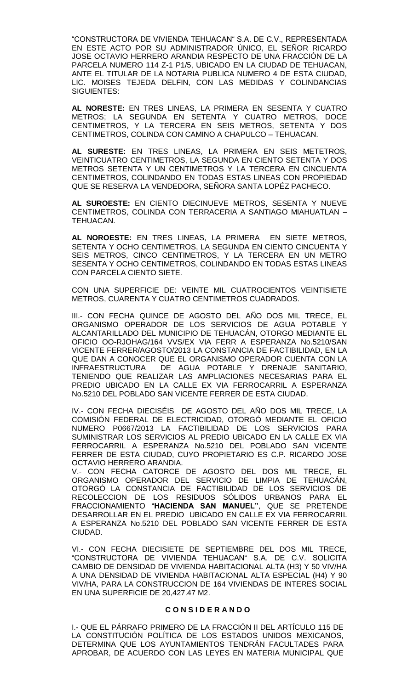"CONSTRUCTORA DE VIVIENDA TEHUACAN" S.A. DE C.V., REPRESENTADA EN ESTE ACTO POR SU ADMINISTRADOR ÚNICO, EL SEÑOR RICARDO JOSE OCTAVIO HERRERO ARANDIA RESPECTO DE UNA FRACCIÓN DE LA PARCELA NUMERO 114 Z-1 P1/5, UBICADO EN LA CIUDAD DE TEHUACAN, ANTE EL TITULAR DE LA NOTARIA PUBLICA NUMERO 4 DE ESTA CIUDAD, LIC. MOISES TEJEDA DELFIN, CON LAS MEDIDAS Y COLINDANCIAS SIGUIENTES:

**AL NORESTE:** EN TRES LINEAS, LA PRIMERA EN SESENTA Y CUATRO METROS; LA SEGUNDA EN SETENTA Y CUATRO METROS, DOCE CENTIMETROS, Y LA TERCERA EN SEIS METROS, SETENTA Y DOS CENTIMETROS, COLINDA CON CAMINO A CHAPULCO – TEHUACAN.

**AL SURESTE:** EN TRES LINEAS, LA PRIMERA EN SEIS METETROS, VEINTICUATRO CENTIMETROS, LA SEGUNDA EN CIENTO SETENTA Y DOS METROS SETENTA Y UN CENTIMETROS Y LA TERCERA EN CINCUENTA CENTIMETROS, COLINDANDO EN TODAS ESTAS LINEAS CON PROPIEDAD QUE SE RESERVA LA VENDEDORA, SEÑORA SANTA LOPÉZ PACHECO.

**AL SUROESTE:** EN CIENTO DIECINUEVE METROS, SESENTA Y NUEVE CENTIMETROS, COLINDA CON TERRACERIA A SANTIAGO MIAHUATLAN – TEHUACAN.

**AL NOROESTE:** EN TRES LINEAS, LA PRIMERA EN SIETE METROS, SETENTA Y OCHO CENTIMETROS, LA SEGUNDA EN CIENTO CINCUENTA Y SEIS METROS, CINCO CENTIMETROS, Y LA TERCERA EN UN METRO SESENTA Y OCHO CENTIMETROS, COLINDANDO EN TODAS ESTAS LINEAS CON PARCELA CIENTO SIETE.

CON UNA SUPERFICIE DE: VEINTE MIL CUATROCIENTOS VEINTISIETE METROS, CUARENTA Y CUATRO CENTIMETROS CUADRADOS.

III.- CON FECHA QUINCE DE AGOSTO DEL AÑO DOS MIL TRECE, EL ORGANISMO OPERADOR DE LOS SERVICIOS DE AGUA POTABLE Y ALCANTARILLADO DEL MUNICIPIO DE TEHUACÁN, OTORGO MEDIANTE EL OFICIO OO-RJOHAG/164 VVS/EX VIA FERR A ESPERANZA No.5210/SAN VICENTE FERRER/AGOSTO/2013 LA CONSTANCIA DE FACTIBILIDAD, EN LA QUE DAN A CONOCER QUE EL ORGANISMO OPERADOR CUENTA CON LA INFRAESTRUCTURA DE AGUA POTABLE Y DRENAJE SANITARIO, TENIENDO QUE REALIZAR LAS AMPLIACIONES NECESARIAS PARA EL PREDIO UBICADO EN LA CALLE EX VIA FERROCARRIL A ESPERANZA No.5210 DEL POBLADO SAN VICENTE FERRER DE ESTA CIUDAD.

IV.- CON FECHA DIECISÉIS DE AGOSTO DEL AÑO DOS MIL TRECE, LA COMISIÓN FEDERAL DE ELECTRICIDAD, OTORGÓ MEDIANTE EL OFICIO NUMERO P0667/2013 LA FACTIBILIDAD DE LOS SERVICIOS PARA SUMINISTRAR LOS SERVICIOS AL PREDIO UBICADO EN LA CALLE EX VIA FERROCARRIL A ESPERANZA No.5210 DEL POBLADO SAN VICENTE FERRER DE ESTA CIUDAD, CUYO PROPIETARIO ES C.P. RICARDO JOSE OCTAVIO HERRERO ARANDIA.

V.- CON FECHA CATORCE DE AGOSTO DEL DOS MIL TRECE, EL ORGANISMO OPERADOR DEL SERVICIO DE LIMPIA DE TEHUACÁN, OTORGÓ LA CONSTANCIA DE FACTIBILIDAD DE LOS SERVICIOS DE RECOLECCION DE LOS RESIDUOS SÓLIDOS URBANOS PARA EL FRACCIONAMIENTO "**HACIENDA SAN MANUEL"**, QUE SE PRETENDE DESARROLLAR EN EL PREDIO UBICADO EN CALLE EX VIA FERROCARRIL A ESPERANZA No.5210 DEL POBLADO SAN VICENTE FERRER DE ESTA CIUDAD.

VI.- CON FECHA DIECISIETE DE SEPTIEMBRE DEL DOS MIL TRECE, "CONSTRUCTORA DE VIVIENDA TEHUACAN" S.A. DE C.V. SOLICITA CAMBIO DE DENSIDAD DE VIVIENDA HABITACIONAL ALTA (H3) Y 50 VIV/HA A UNA DENSIDAD DE VIVIENDA HABITACIONAL ALTA ESPECIAL (H4) Y 90 VIV/HA, PARA LA CONSTRUCCION DE 164 VIVIENDAS DE INTERES SOCIAL EN UNA SUPERFICIE DE 20,427.47 M2.

#### **C O N S I D E R A N D O**

I.- QUE EL PÁRRAFO PRIMERO DE LA FRACCIÓN II DEL ARTÍCULO 115 DE LA CONSTITUCIÓN POLÍTICA DE LOS ESTADOS UNIDOS MEXICANOS, DETERMINA QUE LOS AYUNTAMIENTOS TENDRÁN FACULTADES PARA APROBAR, DE ACUERDO CON LAS LEYES EN MATERIA MUNICIPAL QUE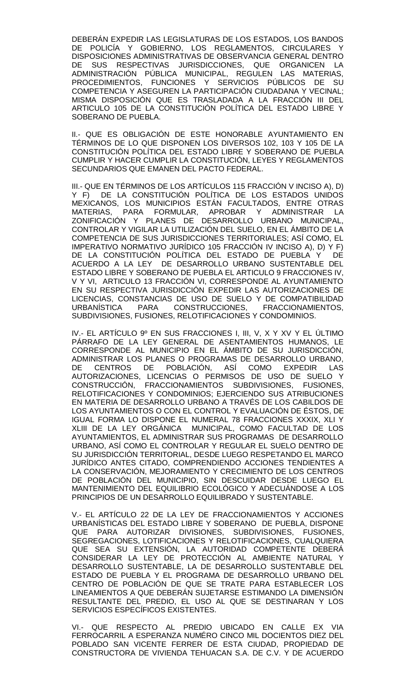DEBERÁN EXPEDIR LAS LEGISLATURAS DE LOS ESTADOS, LOS BANDOS DE POLICÍA Y GOBIERNO, LOS REGLAMENTOS, CIRCULARES DISPOSICIONES ADMINISTRATIVAS DE OBSERVANCIA GENERAL DENTRO DE SUS RESPECTIVAS JURISDICCIONES, QUE ORGANICEN LA ADMINISTRACIÓN PÚBLICA MUNICIPAL, REGULEN LAS MATERIAS, PROCEDIMIENTOS, FUNCIONES Y SERVICIOS PÚBLICOS DE SU COMPETENCIA Y ASEGUREN LA PARTICIPACIÓN CIUDADANA Y VECINAL; MISMA DISPOSICIÓN QUE ES TRASLADADA A LA FRACCIÓN III DEL ARTICULO 105 DE LA CONSTITUCIÓN POLÍTICA DEL ESTADO LIBRE Y SOBERANO DE PUEBLA.

II.- QUE ES OBLIGACIÓN DE ESTE HONORABLE AYUNTAMIENTO EN TÉRMINOS DE LO QUE DISPONEN LOS DIVERSOS 102, 103 Y 105 DE LA CONSTITUCIÓN POLÍTICA DEL ESTADO LIBRE Y SOBERANO DE PUEBLA CUMPLIR Y HACER CUMPLIR LA CONSTITUCIÓN, LEYES Y REGLAMENTOS SECUNDARIOS QUE EMANEN DEL PACTO FEDERAL.

III.- QUE EN TÉRMINOS DE LOS ARTÍCULOS 115 FRACCIÓN V INCISO A), D) Y F) DE LA CONSTITUCIÓN POLÍTICA DE LOS ESTADOS UNIDOS MEXICANOS, LOS MUNICIPIOS ESTÁN FACULTADOS, ENTRE OTRAS MATERIAS, PARA FORMULAR, APROBAR Y ADMINISTRAR LA ZONIFICACIÓN Y PLANES DE DESARROLLO URBANO MUNICIPAL, CONTROLAR Y VIGILAR LA UTILIZACIÓN DEL SUELO, EN EL ÁMBITO DE LA COMPETENCIA DE SUS JURISDICCIONES TERRITORIALES; ASÍ COMO, EL IMPERATIVO NORMATIVO JURÍDICO 105 FRACCIÓN IV INCISO A), D) Y F) DE LA CONSTITUCIÓN POLÍTICA DEL ESTADO DE PUEBLA Y DE ACUERDO A LA LEY DE DESARROLLO URBANO SUSTENTABLE DEL ESTADO LIBRE Y SOBERANO DE PUEBLA EL ARTICULO 9 FRACCIONES IV, V Y VI, ARTICULO 13 FRACCIÓN VI, CORRESPONDE AL AYUNTAMIENTO EN SU RESPECTIVA JURISDICCIÓN EXPEDIR LAS AUTORIZACIONES DE LICENCIAS, CONSTANCIAS DE USO DE SUELO Y DE COMPATIBILIDAD URBANÍSTICA PARA CONSTRUCCIONES, FRACCIONAMIENTOS, SUBDIVISIONES, FUSIONES, RELOTIFICACIONES Y CONDOMINIOS.

IV.- EL ARTÍCULO 9º EN SUS FRACCIONES I, III, V, X Y XV Y EL ÚLTIMO PÁRRAFO DE LA LEY GENERAL DE ASENTAMIENTOS HUMANOS, LE CORRESPONDE AL MUNICIPIO EN EL ÁMBITO DE SU JURISDICCIÓN, ADMINISTRAR LOS PLANES O PROGRAMAS DE DESARROLLO URBANO,<br>DE CENTROS DE POBLACIÓN, ASÍ COMO EXPEDIR LAS DE CENTROS DE POBLACIÓN, ASÍ COMO EXPEDIR LAS AUTORIZACIONES, LICENCIAS O PERMISOS DE USO DE SUELO Y CONSTRUCCIÓN, FRACCIONAMIENTOS SUBDIVISIONES, FUSIONES, RELOTIFICACIONES Y CONDOMINIOS; EJERCIENDO SUS ATRIBUCIONES EN MATERIA DE DESARROLLO URBANO A TRAVÉS DE LOS CABILDOS DE LOS AYUNTAMIENTOS O CON EL CONTROL Y EVALUACIÓN DE ÉSTOS, DE IGUAL FORMA LO DISPONE EL NUMERAL 78 FRACCIONES XXXIX, XLI Y XLIII DE LA LEY ORGÁNICA MUNICIPAL, COMO FACULTAD DE LOS AYUNTAMIENTOS, EL ADMINISTRAR SUS PROGRAMAS DE DESARROLLO URBANO, ASÍ COMO EL CONTROLAR Y REGULAR EL SUELO DENTRO DE SU JURISDICCIÓN TERRITORIAL, DESDE LUEGO RESPETANDO EL MARCO JURÍDICO ANTES CITADO, COMPRENDIENDO ACCIONES TENDIENTES A LA CONSERVACIÓN, MEJORAMIENTO Y CRECIMIENTO DE LOS CENTROS DE POBLACIÓN DEL MUNICIPIO, SIN DESCUIDAR DESDE LUEGO EL MANTENIMIENTO DEL EQUILIBRIO ECOLÓGICO Y ADECUÁNDOSE A LOS PRINCIPIOS DE UN DESARROLLO EQUILIBRADO Y SUSTENTABLE.

V.- EL ARTÍCULO 22 DE LA LEY DE FRACCIONAMIENTOS Y ACCIONES URBANÍSTICAS DEL ESTADO LIBRE Y SOBERANO DE PUEBLA, DISPONE QUE PARA AUTORIZAR DIVISIONES, SUBDIVISIONES, FUSIONES, SEGREGACIONES, LOTIFICACIONES Y RELOTIFICACIONES, CUALQUIERA QUE SEA SU EXTENSIÓN, LA AUTORIDAD COMPETENTE DEBERÁ CONSIDERAR LA LEY DE PROTECCIÓN AL AMBIENTE NATURAL Y DESARROLLO SUSTENTABLE, LA DE DESARROLLO SUSTENTABLE DEL ESTADO DE PUEBLA Y EL PROGRAMA DE DESARROLLO URBANO DEL CENTRO DE POBLACIÓN DE QUE SE TRATE PARA ESTABLECER LOS LINEAMIENTOS A QUE DEBERÁN SUJETARSE ESTIMANDO LA DIMENSIÓN RESULTANTE DEL PREDIO, EL USO AL QUE SE DESTINARAN Y LOS SERVICIOS ESPECÍFICOS EXISTENTES.

VI.- QUE RESPECTO AL PREDIO UBICADO EN CALLE EX VIA FERROCARRIL A ESPERANZA NUMÉRO CINCO MIL DOCIENTOS DIEZ DEL POBLADO SAN VICENTE FERRER DE ESTA CIUDAD, PROPIEDAD DE CONSTRUCTORA DE VIVIENDA TEHUACAN S.A. DE C.V. Y DE ACUERDO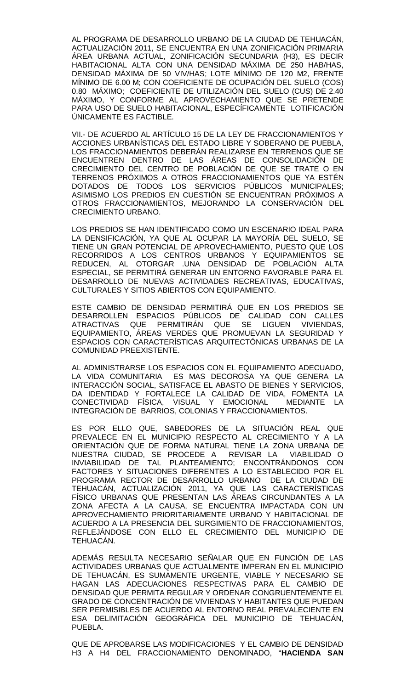AL PROGRAMA DE DESARROLLO URBANO DE LA CIUDAD DE TEHUACÁN, ACTUALIZACIÓN 2011, SE ENCUENTRA EN UNA ZONIFICACIÓN PRIMARIA ÁREA URBANA ACTUAL, ZONIFICACIÓN SECUNDARIA (H3), ES DECIR HABITACIONAL ALTA CON UNA DENSIDAD MÁXIMA DE 250 HAB/HAS, DENSIDAD MÁXIMA DE 50 VIV/HAS; LOTE MÍNIMO DE 120 M2, FRENTE MÍNIMO DE 6.00 M; CON COEFICIENTE DE OCUPACIÓN DEL SUELO (COS) 0.80 MÁXIMO; COEFICIENTE DE UTILIZACIÓN DEL SUELO (CUS) DE 2.40 MÁXIMO, Y CONFORME AL APROVECHAMIENTO QUE SE PRETENDE PARA USO DE SUELO HABITACIONAL, ESPECÍFICAMENTE LOTIFICACIÓN ÚNICAMENTE ES FACTIBLE.

VII.- DE ACUERDO AL ARTÍCULO 15 DE LA LEY DE FRACCIONAMIENTOS Y ACCIONES URBANÍSTICAS DEL ESTADO LIBRE Y SOBERANO DE PUEBLA, LOS FRACCIONAMIENTOS DEBERÁN REALIZARSE EN TERRENOS QUE SE ENCUENTREN DENTRO DE LAS ÁREAS DE CONSOLIDACIÓN DE CRECIMIENTO DEL CENTRO DE POBLACIÓN DE QUE SE TRATE O EN TERRENOS PRÓXIMOS A OTROS FRACCIONAMIENTOS QUE YA ESTÉN DOTADOS DE TODOS LOS SERVICIOS PÚBLICOS MUNICIPALES; ASIMISMO LOS PREDIOS EN CUESTIÓN SE ENCUENTRAN PRÓXIMOS A OTROS FRACCIONAMIENTOS, MEJORANDO LA CONSERVACIÓN DEL CRECIMIENTO URBANO.

LOS PREDIOS SE HAN IDENTIFICADO COMO UN ESCENARIO IDEAL PARA LA DENSIFICACIÓN, YA QUE AL OCUPAR LA MAYORÍA DEL SUELO, SE TIENE UN GRAN POTENCIAL DE APROVECHAMIENTO, PUESTO QUE LOS RECORRIDOS A LOS CENTROS URBANOS Y EQUIPAMIENTOS SE REDUCEN, AL OTORGAR .UNA DENSIDAD DE POBLACIÓN ALTA ESPECIAL, SE PERMITIRÁ GENERAR UN ENTORNO FAVORABLE PARA EL DESARROLLO DE NUEVAS ACTIVIDADES RECREATIVAS, EDUCATIVAS, CULTURALES Y SITIOS ABIERTOS CON EQUIPAMIENTO.

ESTE CAMBIO DE DENSIDAD PERMITIRÁ QUE EN LOS PREDIOS SE DESARROLLEN ESPACIOS PÚBLICOS DE CALIDAD CON CALLES<br>ATRACTIVAS QUE PERMITIRÁN QUE SE LIGUEN VIVIENDAS. PERMITIRÁN QUE SE LIGUEN VIVIENDAS, EQUIPAMIENTO, ÁREAS VERDES QUE PROMUEVAN LA SEGURIDAD Y ESPACIOS CON CARACTERÍSTICAS ARQUITECTÓNICAS URBANAS DE LA COMUNIDAD PREEXISTENTE.

AL ADMINISTRARSE LOS ESPACIOS CON EL EQUIPAMIENTO ADECUADO, LA VIDA COMUNITARIA ES MAS DECOROSA YA QUE GENERA LA INTERACCIÓN SOCIAL, SATISFACE EL ABASTO DE BIENES Y SERVICIOS, DA IDENTIDAD Y FORTALECE LA CALIDAD DE VIDA, FOMENTA LA<br>CONECTIVIDAD FÍSICA. VISUAL Y EMOCIONAL MEDIANTE LA CONECTIVIDAD FÍSICA, VISUAL Y EMOCIONAL INTEGRACIÓN DE BARRIOS, COLONIAS Y FRACCIONAMIENTOS.

ES POR ELLO QUE, SABEDORES DE LA SITUACIÓN REAL QUE PREVALECE EN EL MUNICIPIO RESPECTO AL CRECIMIENTO Y A LA ORIENTACIÓN QUE DE FORMA NATURAL TIENE LA ZONA URBANA DE NUESTRA CIUDAD, SE PROCEDE A REVISAR LA VIABILIDAD O INVIABILIDAD DE TAL PLANTEAMIENTO; ENCONTRÁNDONOS CON FACTORES Y SITUACIONES DIFERENTES A LO ESTABLECIDO POR EL PROGRAMA RECTOR DE DESARROLLO URBANO DE LA CIUDAD DE TEHUACÁN, ACTUALIZACIÓN 2011, YA QUE LAS CARACTERÍSTICAS FÍSICO URBANAS QUE PRESENTAN LAS ÁREAS CIRCUNDANTES A LA ZONA AFECTA A LA CAUSA, SE ENCUENTRA IMPACTADA CON UN APROVECHAMIENTO PRIORITARIAMENTE URBANO Y HABITACIONAL DE ACUERDO A LA PRESENCIA DEL SURGIMIENTO DE FRACCIONAMIENTOS, REFLEJÁNDOSE CON ELLO EL CRECIMIENTO DEL MUNICIPIO DE TEHUACÁN.

ADEMÁS RESULTA NECESARIO SEÑALAR QUE EN FUNCIÓN DE LAS ACTIVIDADES URBANAS QUE ACTUALMENTE IMPERAN EN EL MUNICIPIO DE TEHUACÁN, ES SUMAMENTE URGENTE, VIABLE Y NECESARIO SE HAGAN LAS ADECUACIONES RESPECTIVAS PARA EL CAMBIO DE DENSIDAD QUE PERMITA REGULAR Y ORDENAR CONGRUENTEMENTE EL GRADO DE CONCENTRACIÓN DE VIVIENDAS Y HABITANTES QUE PUEDAN SER PERMISIBLES DE ACUERDO AL ENTORNO REAL PREVALECIENTE EN ESA DELIMITACIÓN GEOGRÁFICA DEL MUNICIPIO DE TEHUACÁN, PUEBLA.

QUE DE APROBARSE LAS MODIFICACIONES Y EL CAMBIO DE DENSIDAD H3 A H4 DEL FRACCIONAMIENTO DENOMINADO, "**HACIENDA SAN**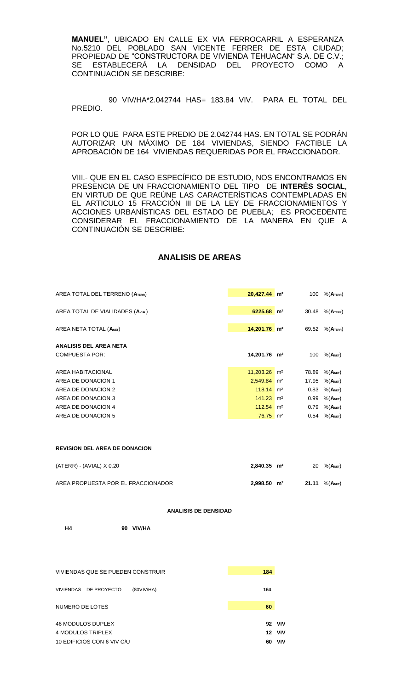**MANUEL"**, UBICADO EN CALLE EX VIA FERROCARRIL A ESPERANZA No.5210 DEL POBLADO SAN VICENTE FERRER DE ESTA CIUDAD; PROPIEDAD DE "CONSTRUCTORA DE VIVIENDA TEHUACAN" S.A. DE C.V.; SE ESTABLECERÁ LA DENSIDAD DEL PROYECTO COMO A CONTINUACIÓN SE DESCRIBE:

 90 VIV/HA\*2.042744 HAS= 183.84 VIV. PARA EL TOTAL DEL PREDIO.

POR LO QUE PARA ESTE PREDIO DE 2.042744 HAS. EN TOTAL SE PODRÁN AUTORIZAR UN MÁXIMO DE 184 VIVIENDAS, SIENDO FACTIBLE LA APROBACIÓN DE 164 VIVIENDAS REQUERIDAS POR EL FRACCIONADOR.

VIII.- QUE EN EL CASO ESPECÍFICO DE ESTUDIO, NOS ENCONTRAMOS EN PRESENCIA DE UN FRACCIONAMIENTO DEL TIPO DE **INTERÉS SOCIAL**, EN VIRTUD DE QUE REÚNE LAS CARACTERÍSTICAS CONTEMPLADAS EN EL ARTICULO 15 FRACCIÓN III DE LA LEY DE FRACCIONAMIENTOS Y ACCIONES URBANÍSTICAS DEL ESTADO DE PUEBLA; ES PROCEDENTE CONSIDERAR EL FRACCIONAMIENTO DE LA MANERA EN QUE A CONTINUACIÓN SE DESCRIBE:

#### **ANALISIS DE AREAS**

| AREA TOTAL DEL TERRENO (ATERR)   | $20,427.44$ m <sup>2</sup> | 100   | $%$ $(ATERR)$           |
|----------------------------------|----------------------------|-------|-------------------------|
| AREA TOTAL DE VIALIDADES (AVIAL) | 6225.68 m <sup>2</sup>     | 30.48 | $%$ $(ATERR)$           |
| AREA NETA TOTAL (ANET)           | 14,201.76 m <sup>2</sup>   | 69.52 | $%$ $(ATERR)$           |
| ANALISIS DEL AREA NETA           |                            |       |                         |
| <b>COMPUESTA POR:</b>            | 14,201.76 m <sup>2</sup>   | 100   | $%$ (A <sub>NET</sub> ) |
| AREA HABITACIONAL                | $11,203.26$ m <sup>2</sup> | 78.89 | $%$ (A <sub>NET</sub> ) |
| AREA DE DONACION 1               | $2,549.84$ m <sup>2</sup>  | 17.95 | $%$ (Anet)              |
| AREA DE DONACION 2               | $118.14$ m <sup>2</sup>    | 0.83  | $%$ (Anet)              |
| AREA DE DONACION 3               | $141.23$ m <sup>2</sup>    | 0.99  | $%$ (A <sub>NET</sub> ) |
| AREA DE DONACION 4               | $112.54$ m <sup>2</sup>    | 0.79  | $%$ (Anet)              |
| AREA DE DONACION 5               | $76.75 \text{ m}^2$        |       | $0.54\%$ (ANET)         |
|                                  |                            |       |                         |

#### **REVISION DEL AREA DE DONACION**

| (ATERR) - (AVIAL) X 0,20           | $2,840.35$ m <sup>2</sup> |  | 20 $%({\bf A}_{NET})$         |
|------------------------------------|---------------------------|--|-------------------------------|
| AREA PROPUESTA POR EL FRACCIONADOR | $2.998.50$ m <sup>2</sup> |  | 21.11 $%$ (A <sub>NET</sub> ) |

**ANALISIS DE DENSIDAD**

**H4 90 VIV/HA**

| VIVIENDAS QUE SE PUEDEN CONSTRUIR |            |     |            |
|-----------------------------------|------------|-----|------------|
| VIVIENDAS DE PROYECTO             | (80VIV/HA) | 164 |            |
| NUMERO DE LOTES                   |            | 60  |            |
| 46 MODULOS DUPLEX                 |            | 92  | <b>VIV</b> |
| 4 MODULOS TRIPLEX                 |            | 12  | <b>VIV</b> |
| 10 EDIFICIOS CON 6 VIV C/U        | 60         | VIV |            |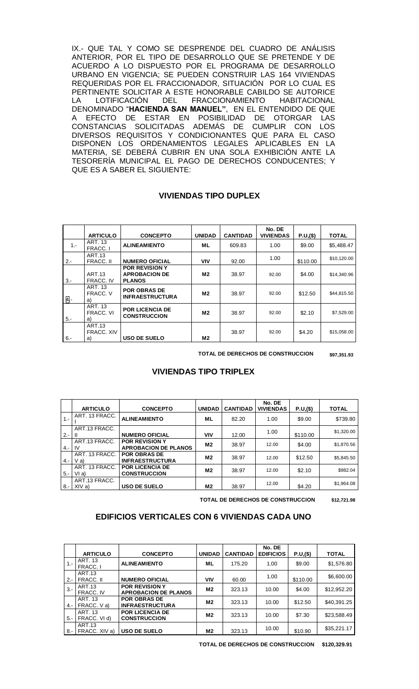IX.- QUE TAL Y COMO SE DESPRENDE DEL CUADRO DE ANÁLISIS ANTERIOR, POR EL TIPO DE DESARROLLO QUE SE PRETENDE Y DE ACUERDO A LO DISPUESTO POR EL PROGRAMA DE DESARROLLO URBANO EN VIGENCIA; SE PUEDEN CONSTRUIR LAS 164 VIVIENDAS REQUERIDAS POR EL FRACCIONADOR, SITUACIÓN POR LO CUAL ES PERTINENTE SOLICITAR A ESTE HONORABLE CABILDO SE AUTORICE<br>LA LOTIFICACIÓN DEL FRACCIONAMIENTO HABITACIONAL LA LOTIFICACIÓN DEL FRACCIONAMIENTO DENOMINADO "**HACIENDA SAN MANUEL"**, EN EL ENTENDIDO DE QUE A EFECTO DE ESTAR EN POSIBILIDAD DE OTORGAR LAS CONSTANCIAS SOLICITADAS ADEMÁS DE CUMPLIR CON LOS DIVERSOS REQUISITOS Y CONDICIONANTES QUE PARA EL CASO DISPONEN LOS ORDENAMIENTOS LEGALES APLICABLES EN LA MATERIA, SE DEBERÁ CUBRIR EN UNA SOLA EXHIBICIÓN ANTE LA TESORERÍA MUNICIPAL EL PAGO DE DERECHOS CONDUCENTES; Y QUE ES A SABER EL SIGUIENTE:

## **VIVIENDAS TIPO DUPLEX**

|        | <b>ARTICULO</b>                   | <b>CONCEPTO</b>                                                | <b>UNIDAD</b>  | <b>CANTIDAD</b> | No. DE<br><b>VIVIENDAS</b> | P.U.(\$) | <b>TOTAL</b> |
|--------|-----------------------------------|----------------------------------------------------------------|----------------|-----------------|----------------------------|----------|--------------|
| $1 -$  | <b>ART. 13</b><br>FRACC. I        | <b>ALINEAMIENTO</b>                                            | ML             | 609.83          | 1.00                       | \$9.00   | \$5.488.47   |
| $2 -$  | <b>ART.13</b><br>FRACC. II        | <b>NUMERO OFICIAL</b>                                          | <b>VIV</b>     | 92.00           | 1.00                       | \$110.00 | \$10,120.00  |
| $3 -$  | <b>ART.13</b><br>FRACC. IV        | <b>POR REVISION Y</b><br><b>APROBACION DE</b><br><b>PLANOS</b> | M2             | 38.97           | 92.00                      | \$4.00   | \$14,340.96  |
| 4.-    | <b>ART. 13</b><br>FRACC. V<br>a)  | <b>POR OBRAS DE</b><br><b>INFRAESTRUCTURA</b>                  | M2             | 38.97           | 92.00                      | \$12.50  | \$44,815.50  |
| $5. -$ | <b>ART. 13</b><br>FRACC. VI<br>a) | <b>POR LICENCIA DE</b><br><b>CONSTRUCCION</b>                  | M <sub>2</sub> | 38.97           | 92.00                      | \$2.10   | \$7,529.00   |
| $6 -$  | ART.13<br>FRACC, XIV<br>a)        | <b>USO DE SUELO</b>                                            | M <sub>2</sub> | 38.97           | 92.00                      | \$4.20   | \$15,058.00  |

**TOTAL DE DERECHOS DE CONSTRUCCION \$97,351.93**

|         | <b>ARTICULO</b>          | <b>CONCEPTO</b>                                      | <b>UNIDAD</b>  | <b>CANTIDAD</b> | No. DE<br><b>VIVIENDAS</b> | P.U,(\$) | <b>TOTAL</b> |
|---------|--------------------------|------------------------------------------------------|----------------|-----------------|----------------------------|----------|--------------|
| $1 -$   | ART. 13 FRACC.           | <b>ALINEAMIENTO</b>                                  | ML             | 82.20           | 1.00                       | \$9.00   | \$739.80     |
| $2 -$   | ART.13 FRACC.            | <b>NUMERO OFICIAL</b>                                | <b>VIV</b>     | 12.00           | 1.00                       | \$110.00 | \$1,320.00   |
| $4 -$   | ART.13 FRACC.<br>IV.     | <b>POR REVISION Y</b><br><b>APROBACION DE PLANOS</b> | M2             | 38.97           | 12.00                      | \$4.00   | \$1,870.56   |
| $4 -$   | ART. 13 FRACC.<br>$V$ a) | <b>POR OBRAS DE</b><br><b>INFRAESTRUCTURA</b>        | M2             | 38.97           | 12.00                      | \$12.50  | \$5,845.50   |
| $5 - 1$ | ART. 13 FRACC.<br>V1a)   | <b>POR LICENCIA DE</b><br><b>CONSTRUCCION</b>        | M2             | 38.97           | 12.00                      | \$2.10   | \$982.04     |
| 8.-     | ART.13 FRACC.<br>XIV a)  | <b>USO DE SUELO</b>                                  | M <sub>2</sub> | 38.97           | 12.00                      | \$4.20   | \$1,964.08   |

# **VIVIENDAS TIPO TRIPLEX**

**TOTAL DE DERECHOS DE CONSTRUCCION \$12,721.98**

## **EDIFICIOS VERTICALES CON 6 VIVIENDAS CADA UNO**

|        | <b>ARTICULO</b>                | <b>CONCEPTO</b>                                      | <b>UNIDAD</b> | <b>CANTIDAD</b> | No. DE<br><b>EDIFICIOS</b> | P.U,(\$) | <b>TOTAL</b> |
|--------|--------------------------------|------------------------------------------------------|---------------|-----------------|----------------------------|----------|--------------|
| $1 -$  | ART. 13<br>FRACC. I            | <b>ALINEAMIENTO</b>                                  | ML            | 175.20          | 1.00                       | \$9.00   | \$1,576.80   |
| $2 -$  | ART.13<br>FRACC. II            | <b>NUMERO OFICIAL</b>                                | <b>VIV</b>    | 60.00           | 1.00                       | \$110.00 | \$6,600.00   |
| $3 -$  | ART.13<br>FRACC. IV            | <b>POR REVISION Y</b><br><b>APROBACION DE PLANOS</b> | M2            | 323.13          | 10.00                      | \$4.00   | \$12,952.20  |
| $4. -$ | <b>ART. 13</b><br>FRACC. V a)  | <b>POR OBRAS DE</b><br><b>INFRAESTRUCTURA</b>        | M2            | 323.13          | 10.00                      | \$12.50  | \$40,391.25  |
| $5 -$  | <b>ART. 13</b><br>FRACC. VI d) | <b>POR LICENCIA DE</b><br><b>CONSTRUCCION</b>        | M2            | 323.13          | 10.00                      | \$7.30   | \$23,588.49  |
| 8.-    | ART.13<br>FRACC. XIV a)        | <b>USO DE SUELO</b>                                  | M2            | 323.13          | 10.00                      | \$10.90  | \$35,221.17  |

**TOTAL DE DERECHOS DE CONSTRUCCION \$120,329.91**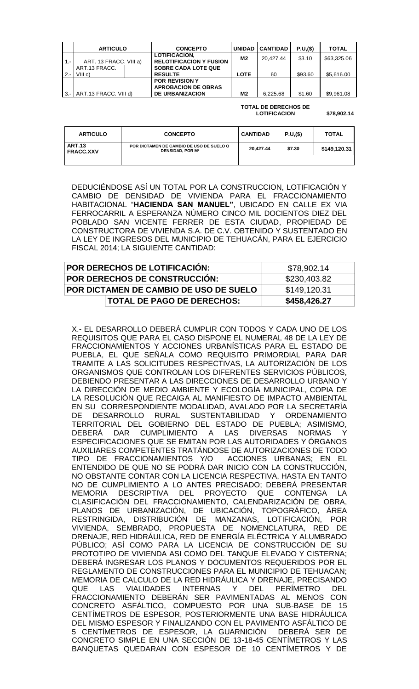|       | <b>ARTICULO</b>          | <b>CONCEPTO</b>                                                               | <b>UNIDAD</b> | <b>CANTIDAD</b> | P.U.(\$) | <b>TOTAL</b> |
|-------|--------------------------|-------------------------------------------------------------------------------|---------------|-----------------|----------|--------------|
| $1 -$ | ART. 13 FRACC. VIII a)   | <b>LOTIFICACION,</b><br><b>RELOTIFICACION Y FUSION</b>                        | M2            | 20.427.44       | \$3.10   | \$63,325.06  |
| $2 -$ | ART.13 FRACC.<br>VIII c) | <b>SOBRE CADA LOTE QUE</b><br><b>RESULTE</b>                                  | LOTE          | 60              | \$93.60  | \$5,616.00   |
| $3 -$ | ART.13 FRACC. VIII d)    | <b>POR REVISION Y</b><br><b>APROBACION DE OBRAS</b><br><b>DE URBANIZACION</b> | M2            | 6,225.68        | \$1.60   | \$9,961.08   |

#### **TOTAL DE DERECHOS DE LOTIFICACION \$78,902.14**

| <b>ARTICULO</b>                                                                                                     | <b>CONCEPTO</b> | <b>CANTIDAD</b> | P.U.(\$) | <b>TOTAL</b> |
|---------------------------------------------------------------------------------------------------------------------|-----------------|-----------------|----------|--------------|
| <b>ART.13</b><br>POR DICTAMEN DE CAMBIO DE USO DE SUELO O<br><b>DENSIDAD, POR M<sup>2</sup></b><br><b>FRACC.XXV</b> |                 | 20.427.44       | \$7.30   | \$149,120.31 |
|                                                                                                                     |                 |                 |          |              |

DEDUCIÉNDOSE ASÍ UN TOTAL POR LA CONSTRUCCION, LOTIFICACIÓN Y CAMBIO DE DENSIDAD DE VIVIENDA PARA EL FRACCIONAMIENTO HABITACIONAL "**HACIENDA SAN MANUEL"**, UBICADO EN CALLE EX VIA FERROCARRIL A ESPERANZA NÚMERO CINCO MIL DOCIENTOS DIEZ DEL POBLADO SAN VICENTE FERRER DE ESTA CIUDAD, PROPIEDAD DE CONSTRUCTORA DE VIVIENDA S.A. DE C.V. OBTENIDO Y SUSTENTADO EN LA LEY DE INGRESOS DEL MUNICIPIO DE TEHUACÁN, PARA EL EJERCICIO FISCAL 2014; LA SIGUIENTE CANTIDAD:

| POR DERECHOS DE LOTIFICACIÓN:          | \$78,902.14  |
|----------------------------------------|--------------|
| POR DERECHOS DE CONSTRUCCION:          | \$230,403.82 |
| POR DICTAMEN DE CAMBIO DE USO DE SUELO | \$149,120.31 |
| <b>TOTAL DE PAGO DE DERECHOS:</b>      | \$458,426.27 |

X.- EL DESARROLLO DEBERÁ CUMPLIR CON TODOS Y CADA UNO DE LOS REQUISITOS QUE PARA EL CASO DISPONE EL NUMERAL 48 DE LA LEY DE FRACCIONAMIENTOS Y ACCIONES URBANÍSTICAS PARA EL ESTADO DE PUEBLA, EL QUE SEÑALA COMO REQUISITO PRIMORDIAL PARA DAR TRAMITE A LAS SOLICITUDES RESPECTIVAS, LA AUTORIZACIÓN DE LOS ORGANISMOS QUE CONTROLAN LOS DIFERENTES SERVICIOS PÚBLICOS, DEBIENDO PRESENTAR A LAS DIRECCIONES DE DESARROLLO URBANO Y LA DIRECCIÓN DE MEDIO AMBIENTE Y ECOLOGÍA MUNICIPAL, COPIA DE LA RESOLUCIÓN QUE RECAIGA AL MANIFIESTO DE IMPACTO AMBIENTAL EN SU CORRESPONDIENTE MODALIDAD, AVALADO POR LA SECRETARÍA DE DESARROLLO RURAL SUSTENTABILIDAD Y ORDENAMIENTO TERRITORIAL DEL GOBIERNO DEL ESTADO DE PUEBLA; ASIMISMO, DEBERÁ DAR CUMPLIMIENTO A LAS DIVERSAS NORMAS ESPECIFICACIONES QUE SE EMITAN POR LAS AUTORIDADES Y ÓRGANOS AUXILIARES COMPETENTES TRATÁNDOSE DE AUTORIZACIONES DE TODO TIPO DE FRACCIONAMIENTOS Y/O ACCIONES URBANAS; EN EL ENTENDIDO DE QUE NO SE PODRÁ DAR INICIO CON LA CONSTRUCCIÓN, NO OBSTANTE CONTAR CON LA LICENCIA RESPECTIVA, HASTA EN TANTO NO DE CUMPLIMIENTO A LO ANTES PRECISADO; DEBERÁ PRESENTAR MEMORIA DESCRIPTIVA DEL PROYECTO QUE CONTENGA LA CLASIFICACIÓN DEL FRACCIONAMIENTO, CALENDARIZACIÓN DE OBRA, PLANOS DE URBANIZACIÓN, DE UBICACIÓN, TOPOGRÁFICO, ÁREA RESTRINGIDA, DISTRIBUCIÓN DE MANZANAS, LOTIFICACIÓN, POR VIVIENDA, SEMBRADO, PROPUESTA DE NOMENCLATURA, RED DE DRENAJE, RED HIDRÁULICA, RED DE ENERGÍA ELÉCTRICA Y ALUMBRADO PÚBLICO; ASÍ COMO PARA LA LICENCIA DE CONSTRUCCIÓN DE SU PROTOTIPO DE VIVIENDA ASI COMO DEL TANQUE ELEVADO Y CISTERNA; DEBERÁ INGRESAR LOS PLANOS Y DOCUMENTOS REQUERIDOS POR EL REGLAMENTO DE CONSTRUCCIONES PARA EL MUNICIPIO DE TEHUACAN; MEMORIA DE CALCULO DE LA RED HIDRÁULICA Y DRENAJE, PRECISANDO QUE LAS VIALIDADES INTERNAS Y DEL PERÍMETRO DEL FRACCIONAMIENTO DEBERÁN SER PAVIMENTADAS AL MENOS CON CONCRETO ASFÁLTICO, COMPUESTO POR UNA SUB-BASE DE 15 CENTÍMETROS DE ESPESOR, POSTERIORMENTE UNA BASE HIDRÁULICA DEL MISMO ESPESOR Y FINALIZANDO CON EL PAVIMENTO ASFÁLTICO DE 5 CENTÍMETROS DE ESPESOR, LA GUARNICIÓN DEBERÁ SER DE CONCRETO SIMPLE EN UNA SECCIÓN DE 13-18-45 CENTÍMETROS Y LAS BANQUETAS QUEDARAN CON ESPESOR DE 10 CENTÍMETROS Y DE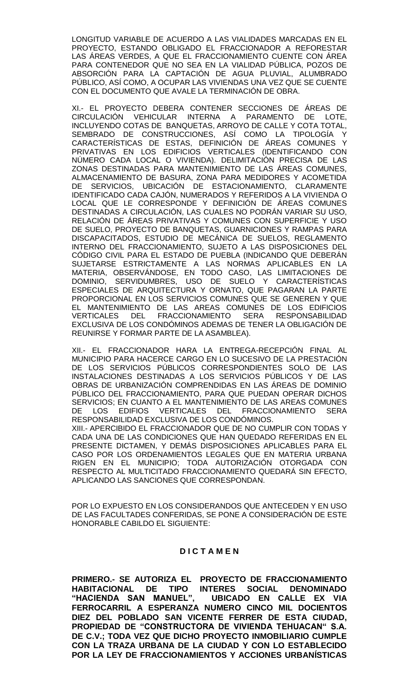LONGITUD VARIABLE DE ACUERDO A LAS VIALIDADES MARCADAS EN EL PROYECTO, ESTANDO OBLIGADO EL FRACCIONADOR A REFORESTAR LAS ÁREAS VERDES, A QUE EL FRACCIONAMIENTO CUENTE CON ÁREA PARA CONTENEDOR QUE NO SEA EN LA VIALIDAD PÚBLICA, POZOS DE ABSORCIÓN PARA LA CAPTACIÓN DE AGUA PLUVIAL, ALUMBRADO PÚBLICO, ASÍ COMO, A OCUPAR LAS VIVIENDAS UNA VEZ QUE SE CUENTE CON EL DOCUMENTO QUE AVALE LA TERMINACIÓN DE OBRA.

XI.- EL PROYECTO DEBERA CONTENER SECCIONES DE ÁREAS DE CIRCULACIÓN VEHICULAR INTERNA A PARAMENTO DE LOTE, INCLUYENDO COTAS DE BANQUETAS, ARROYO DE CALLE Y COTA TOTAL, SEMBRADO DE CONSTRUCCIONES, ASÍ COMO LA TIPOLOGÍA Y CARACTERÍSTICAS DE ESTAS, DEFINICIÓN DE ÁREAS COMUNES Y PRIVATIVAS EN LOS EDIFICIOS VERTICALES (IDENTIFICANDO CON NÚMERO CADA LOCAL O VIVIENDA). DELIMITACIÓN PRECISA DE LAS ZONAS DESTINADAS PARA MANTENIMIENTO DE LAS ÁREAS COMUNES, ALMACENAMIENTO DE BASURA, ZONA PARA MEDIDORES Y ACOMETIDA DE SERVICIOS, UBICACIÓN DE ESTACIONAMIENTO, CLARAMENTE IDENTIFICADO CADA CAJÓN, NUMERADOS Y REFERIDOS A LA VIVIENDA O LOCAL QUE LE CORRESPONDE Y DEFINICIÓN DE ÁREAS COMUNES DESTINADAS A CIRCULACIÓN, LAS CUALES NO PODRÁN VARIAR SU USO, RELACIÓN DE ÁREAS PRIVATIVAS Y COMUNES CON SUPERFICIE Y USO DE SUELO, PROYECTO DE BANQUETAS, GUARNICIONES Y RAMPAS PARA DISCAPACITADOS, ESTUDIO DE MECÁNICA DE SUELOS, REGLAMENTO INTERNO DEL FRACCIONAMIENTO, SUJETO A LAS DISPOSICIONES DEL CÓDIGO CIVIL PARA EL ESTADO DE PUEBLA (INDICANDO QUE DEBERÁN SUJETARSE ESTRICTAMENTE A LAS NORMAS APLICABLES EN LA MATERIA, OBSERVÁNDOSE, EN TODO CASO, LAS LIMITACIONES DE DOMINIO, SERVIDUMBRES, USO DE SUELO Y CARACTERÍSTICAS ESPECIALES DE ARQUITECTURA Y ORNATO, QUE PAGARAN LA PARTE PROPORCIONAL EN LOS SERVICIOS COMUNES QUE SE GENEREN Y QUE EL MANTENIMIENTO DE LAS AREAS COMUNES DE LOS EDIFICIOS<br>VERTICALES DEL FRACCIONAMIENTO SERA RESPONSABILIDAD VERTICALES DEL FRACCIONAMIENTO SERA RESPONSABILIDAD EXCLUSIVA DE LOS CONDÓMINOS ADEMAS DE TENER LA OBLIGACIÓN DE REUNIRSE Y FORMAR PARTE DE LA ASAMBLEA).

XII.- EL FRACCIONADOR HARA LA ENTREGA-RECEPCIÓN FINAL AL MUNICIPIO PARA HACERCE CARGO EN LO SUCESIVO DE LA PRESTACIÓN DE LOS SERVICIOS PÚBLICOS CORRESPONDIENTES SOLO DE LAS INSTALACIONES DESTINADAS A LOS SERVICIOS PÚBLICOS Y DE LAS OBRAS DE URBANIZACIÓN COMPRENDIDAS EN LAS ÁREAS DE DOMINIO PÚBLICO DEL FRACCIONAMIENTO, PARA QUE PUEDAN OPERAR DICHOS SERVICIOS; EN CUANTO A EL MANTENIMIENTO DE LAS AREAS COMUNES DE LOS EDIFIOS VERTICALES DEL FRACCIONAMIENTO SERA RESPONSABILIDAD EXCLUSIVA DE LOS CONDÓMINOS. XIII.- APERCIBIDO EL FRACCIONADOR QUE DE NO CUMPLIR CON TODAS Y CADA UNA DE LAS CONDICIONES QUE HAN QUEDADO REFERIDAS EN EL PRESENTE DICTAMEN, Y DEMÁS DISPOSICIONES APLICABLES PARA EL CASO POR LOS ORDENAMIENTOS LEGALES QUE EN MATERIA URBANA RIGEN EN EL MUNICIPIO; TODA AUTORIZACIÓN OTORGADA CON

POR LO EXPUESTO EN LOS CONSIDERANDOS QUE ANTECEDEN Y EN USO DE LAS FACULTADES CONFERIDAS, SE PONE A CONSIDERACIÓN DE ESTE HONORABLE CABILDO EL SIGUIENTE:

RESPECTO AL MULTICITADO FRACCIONAMIENTO QUEDARÁ SIN EFECTO,

APLICANDO LAS SANCIONES QUE CORRESPONDAN.

## **D I C T A M E N**

**PRIMERO.- SE AUTORIZA EL PROYECTO DE FRACCIONAMIENTO HABITACIONAL DE TIPO INTERES SOCIAL DENOMINADO "HACIENDA SAN MANUEL", UBICADO EN CALLE EX VIA FERROCARRIL A ESPERANZA NUMERO CINCO MIL DOCIENTOS DIEZ DEL POBLADO SAN VICENTE FERRER DE ESTA CIUDAD, PROPIEDAD DE "CONSTRUCTORA DE VIVIENDA TEHUACAN" S.A. DE C.V.; TODA VEZ QUE DICHO PROYECTO INMOBILIARIO CUMPLE CON LA TRAZA URBANA DE LA CIUDAD Y CON LO ESTABLECIDO POR LA LEY DE FRACCIONAMIENTOS Y ACCIONES URBANÍSTICAS**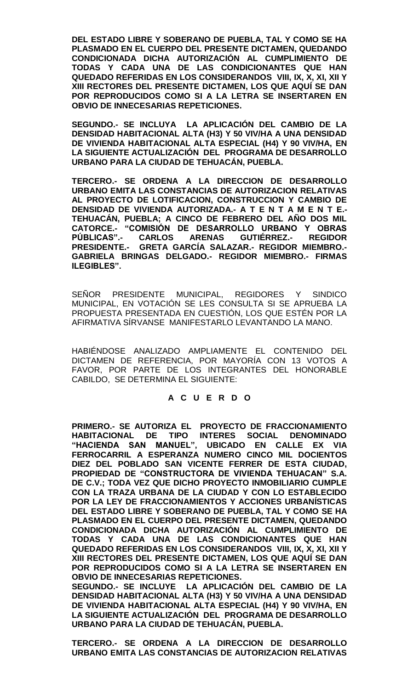**DEL ESTADO LIBRE Y SOBERANO DE PUEBLA, TAL Y COMO SE HA PLASMADO EN EL CUERPO DEL PRESENTE DICTAMEN, QUEDANDO CONDICIONADA DICHA AUTORIZACIÓN AL CUMPLIMIENTO DE TODAS Y CADA UNA DE LAS CONDICIONANTES QUE HAN QUEDADO REFERIDAS EN LOS CONSIDERANDOS VIII, IX, X, XI, XII Y XIII RECTORES DEL PRESENTE DICTAMEN, LOS QUE AQUÍ SE DAN POR REPRODUCIDOS COMO SI A LA LETRA SE INSERTAREN EN OBVIO DE INNECESARIAS REPETICIONES.**

**SEGUNDO.- SE INCLUYA LA APLICACIÓN DEL CAMBIO DE LA DENSIDAD HABITACIONAL ALTA (H3) Y 50 VIV/HA A UNA DENSIDAD DE VIVIENDA HABITACIONAL ALTA ESPECIAL (H4) Y 90 VIV/HA, EN LA SIGUIENTE ACTUALIZACIÓN DEL PROGRAMA DE DESARROLLO URBANO PARA LA CIUDAD DE TEHUACÁN, PUEBLA.**

**TERCERO.- SE ORDENA A LA DIRECCION DE DESARROLLO URBANO EMITA LAS CONSTANCIAS DE AUTORIZACION RELATIVAS AL PROYECTO DE LOTIFICACION, CONSTRUCCION Y CAMBIO DE DENSIDAD DE VIVIENDA AUTORIZADA.- A T E N T A M E N T E.- TEHUACÁN, PUEBLA; A CINCO DE FEBRERO DEL AÑO DOS MIL CATORCE.- "COMISIÓN DE DESARROLLO URBANO Y OBRAS PÚBLICAS".- CARLOS ARENAS GUTIÉRREZ.- REGIDOR PRESIDENTE.- GRETA GARCÍA SALAZAR.- REGIDOR MIEMBRO.- GABRIELA BRINGAS DELGADO.- REGIDOR MIEMBRO.- FIRMAS ILEGIBLES".**

SEÑOR PRESIDENTE MUNICIPAL, REGIDORES Y SINDICO MUNICIPAL, EN VOTACIÓN SE LES CONSULTA SI SE APRUEBA LA PROPUESTA PRESENTADA EN CUESTIÓN, LOS QUE ESTÉN POR LA AFIRMATIVA SÍRVANSE MANIFESTARLO LEVANTANDO LA MANO.

HABIÉNDOSE ANALIZADO AMPLIAMENTE EL CONTENIDO DEL DICTAMEN DE REFERENCIA, POR MAYORÍA CON 13 VOTOS A FAVOR, POR PARTE DE LOS INTEGRANTES DEL HONORABLE CABILDO, SE DETERMINA EL SIGUIENTE:

# **A C U E R D O**

**PRIMERO.- SE AUTORIZA EL PROYECTO DE FRACCIONAMIENTO HABITACIONAL DE TIPO INTERES SOCIAL DENOMINADO "HACIENDA SAN MANUEL", UBICADO EN CALLE EX VIA FERROCARRIL A ESPERANZA NUMERO CINCO MIL DOCIENTOS DIEZ DEL POBLADO SAN VICENTE FERRER DE ESTA CIUDAD, PROPIEDAD DE "CONSTRUCTORA DE VIVIENDA TEHUACAN" S.A. DE C.V.; TODA VEZ QUE DICHO PROYECTO INMOBILIARIO CUMPLE CON LA TRAZA URBANA DE LA CIUDAD Y CON LO ESTABLECIDO POR LA LEY DE FRACCIONAMIENTOS Y ACCIONES URBANÍSTICAS DEL ESTADO LIBRE Y SOBERANO DE PUEBLA, TAL Y COMO SE HA PLASMADO EN EL CUERPO DEL PRESENTE DICTAMEN, QUEDANDO CONDICIONADA DICHA AUTORIZACIÓN AL CUMPLIMIENTO DE TODAS Y CADA UNA DE LAS CONDICIONANTES QUE HAN QUEDADO REFERIDAS EN LOS CONSIDERANDOS VIII, IX, X, XI, XII Y XIII RECTORES DEL PRESENTE DICTAMEN, LOS QUE AQUÍ SE DAN POR REPRODUCIDOS COMO SI A LA LETRA SE INSERTAREN EN OBVIO DE INNECESARIAS REPETICIONES.**

**SEGUNDO.- SE INCLUYE LA APLICACIÓN DEL CAMBIO DE LA DENSIDAD HABITACIONAL ALTA (H3) Y 50 VIV/HA A UNA DENSIDAD DE VIVIENDA HABITACIONAL ALTA ESPECIAL (H4) Y 90 VIV/HA, EN LA SIGUIENTE ACTUALIZACIÓN DEL PROGRAMA DE DESARROLLO URBANO PARA LA CIUDAD DE TEHUACÁN, PUEBLA.**

**TERCERO.- SE ORDENA A LA DIRECCION DE DESARROLLO URBANO EMITA LAS CONSTANCIAS DE AUTORIZACION RELATIVAS**